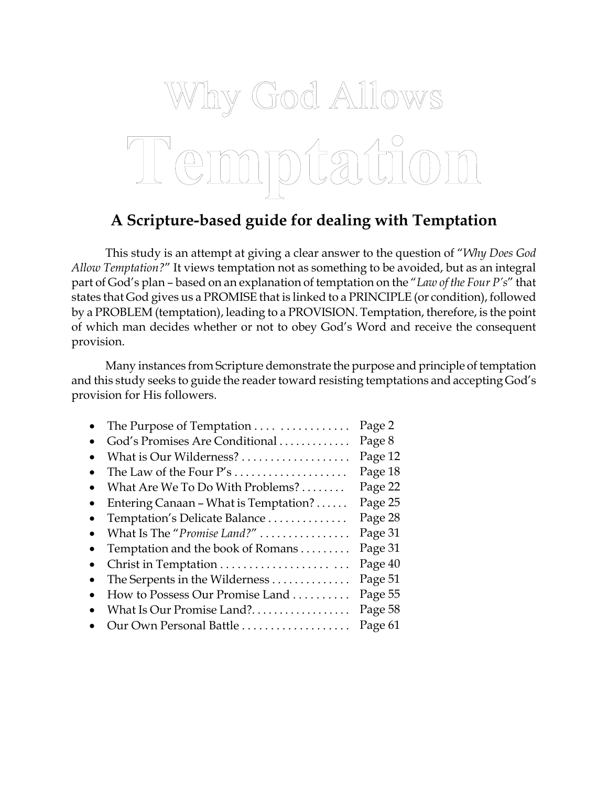# Why God Allows  $\begin{picture}(120,15) \put(0,0){\line(1,0){10}} \put(15,0){\line(1,0){10}} \put(15,0){\line(1,0){10}} \put(15,0){\line(1,0){10}} \put(15,0){\line(1,0){10}} \put(15,0){\line(1,0){10}} \put(15,0){\line(1,0){10}} \put(15,0){\line(1,0){10}} \put(15,0){\line(1,0){10}} \put(15,0){\line(1,0){10}} \put(15,0){\line(1,0){10}} \put(15,0){\line($

# **A Scripture-based guide for dealing with Temptation**

This study is an attempt at giving a clear answer to the question of "*Why Does God Allow Temptation?*" It views temptation not as something to be avoided, but as an integral part of God's plan – based on an explanation of temptation on the "*Law of the Four P's*" that states that God gives us a PROMISE that is linked to a PRINCIPLE (or condition), followed by a PROBLEM (temptation), leading to a PROVISION. Temptation, therefore, is the point of which man decides whether or not to obey God's Word and receive the consequent provision.

Many instances from Scripture demonstrate the purpose and principle of temptation and this study seeks to guide the reader toward resisting temptations and accepting God's provision for His followers.

| The Purpose of Temptation             | Page 2  |
|---------------------------------------|---------|
| God's Promises Are Conditional        | Page 8  |
| What is Our Wilderness?               | Page 12 |
| The Law of the Four P's               | Page 18 |
| What Are We To Do With Problems?      | Page 22 |
| Entering Canaan - What is Temptation? | Page 25 |
| Temptation's Delicate Balance         | Page 28 |
| What Is The "Promise Land?"           | Page 31 |
| Temptation and the book of Romans     | Page 31 |
|                                       | Page 40 |
| The Serpents in the Wilderness        | Page 51 |
| How to Possess Our Promise Land       | Page 55 |
| What Is Our Promise Land?             | Page 58 |
| Our Own Personal Battle               | Page 61 |
|                                       |         |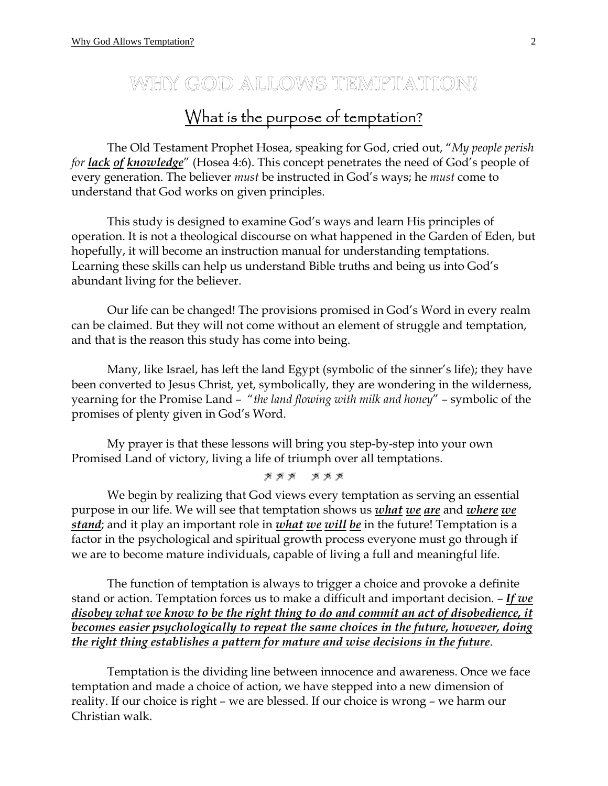# WHY GOD ALLOWS TEMPTATION!

# What is the purpose of temptation?

The Old Testament Prophet Hosea, speaking for God, cried out, "*My people perish for lack of knowledge*" (Hosea 4:6). This concept penetrates the need of God's people of every generation. The believer *must* be instructed in God's ways; he *must* come to understand that God works on given principles.

This study is designed to examine God's ways and learn His principles of operation. It is not a theological discourse on what happened in the Garden of Eden, but hopefully, it will become an instruction manual for understanding temptations. Learning these skills can help us understand Bible truths and being us into God's abundant living for the believer.

Our life can be changed! The provisions promised in God's Word in every realm can be claimed. But they will not come without an element of struggle and temptation, and that is the reason this study has come into being.

Many, like Israel, has left the land Egypt (symbolic of the sinner's life); they have been converted to Jesus Christ, yet, symbolically, they are wondering in the wilderness, yearning for the Promise Land – "*the land flowing with milk and honey*" – symbolic of the promises of plenty given in God's Word.

My prayer is that these lessons will bring you step-by-step into your own Promised Land of victory, living a life of triumph over all temptations.

=== ===

We begin by realizing that God views every temptation as serving an essential purpose in our life. We will see that temptation shows us *what we are* and *where we stand*; and it play an important role in *what we will be* in the future! Temptation is a factor in the psychological and spiritual growth process everyone must go through if we are to become mature individuals, capable of living a full and meaningful life.

The function of temptation is always to trigger a choice and provoke a definite stand or action. Temptation forces us to make a difficult and important decision. – *If we disobey what we know to be the right thing to do and commit an act of disobedience, it becomes easier psychologically to repeat the same choices in the future, however, doing the right thing establishes a pattern for mature and wise decisions in the future*.

Temptation is the dividing line between innocence and awareness. Once we face temptation and made a choice of action, we have stepped into a new dimension of reality. If our choice is right – we are blessed. If our choice is wrong – we harm our Christian walk.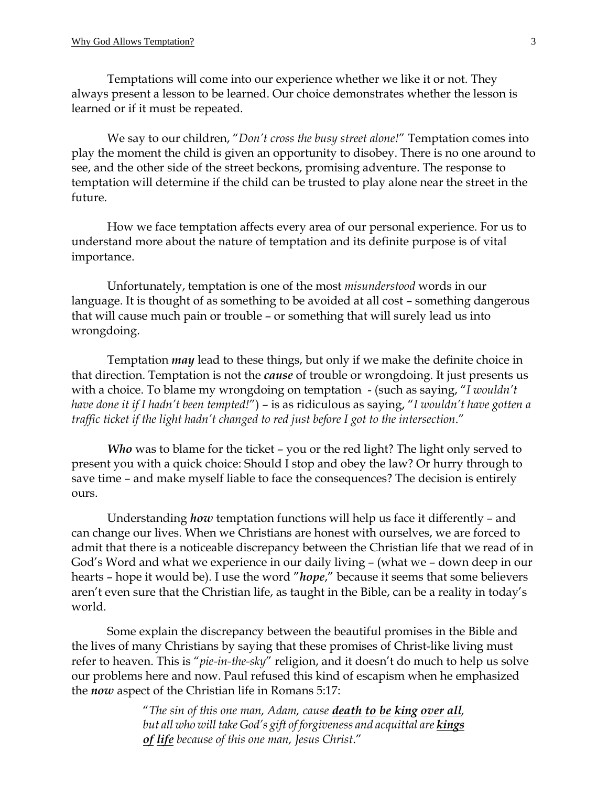Temptations will come into our experience whether we like it or not. They always present a lesson to be learned. Our choice demonstrates whether the lesson is learned or if it must be repeated.

We say to our children, "*Don't cross the busy street alone!*" Temptation comes into play the moment the child is given an opportunity to disobey. There is no one around to see, and the other side of the street beckons, promising adventure. The response to temptation will determine if the child can be trusted to play alone near the street in the future.

How we face temptation affects every area of our personal experience. For us to understand more about the nature of temptation and its definite purpose is of vital importance.

Unfortunately, temptation is one of the most *misunderstood* words in our language. It is thought of as something to be avoided at all cost – something dangerous that will cause much pain or trouble – or something that will surely lead us into wrongdoing.

Temptation *may* lead to these things, but only if we make the definite choice in that direction. Temptation is not the *cause* of trouble or wrongdoing. It just presents us with a choice. To blame my wrongdoing on temptation - (such as saying, "*I wouldn't have done it if I hadn't been tempted!*") – is as ridiculous as saying, "*I wouldn't have gotten a traffic ticket if the light hadn't changed to red just before I got to the intersection*."

*Who* was to blame for the ticket – you or the red light? The light only served to present you with a quick choice: Should I stop and obey the law? Or hurry through to save time – and make myself liable to face the consequences? The decision is entirely ours.

Understanding *how* temptation functions will help us face it differently – and can change our lives. When we Christians are honest with ourselves, we are forced to admit that there is a noticeable discrepancy between the Christian life that we read of in God's Word and what we experience in our daily living – (what we – down deep in our hearts – hope it would be). I use the word "*hope*," because it seems that some believers aren't even sure that the Christian life, as taught in the Bible, can be a reality in today's world.

Some explain the discrepancy between the beautiful promises in the Bible and the lives of many Christians by saying that these promises of Christ-like living must refer to heaven. This is "*pie-in-the-sky*" religion, and it doesn't do much to help us solve our problems here and now. Paul refused this kind of escapism when he emphasized the *now* aspect of the Christian life in Romans 5:17:

> "*The sin of this one man, Adam, cause death to be king over all, but all who will take God's gift of forgiveness and acquittal are kings of life because of this one man, Jesus Christ*."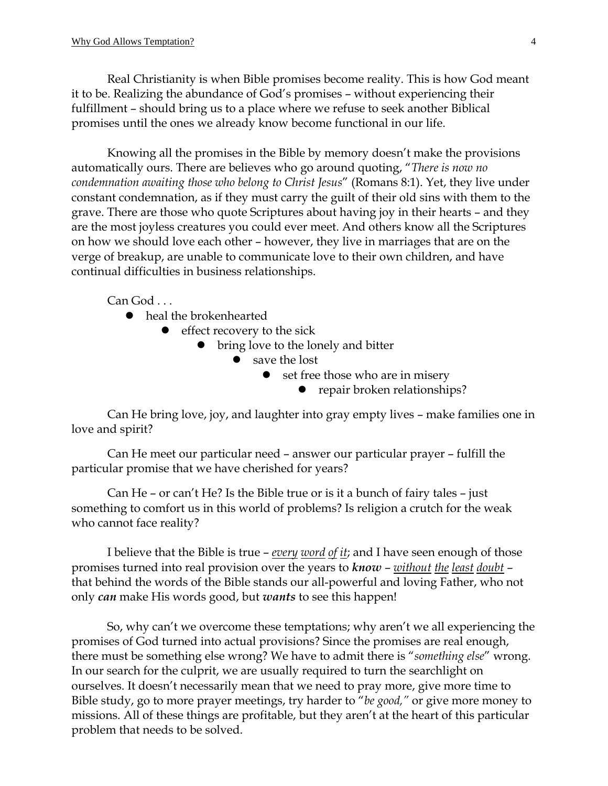Real Christianity is when Bible promises become reality. This is how God meant it to be. Realizing the abundance of God's promises – without experiencing their fulfillment – should bring us to a place where we refuse to seek another Biblical promises until the ones we already know become functional in our life.

Knowing all the promises in the Bible by memory doesn't make the provisions automatically ours. There are believes who go around quoting, "*There is now no condemnation awaiting those who belong to Christ Jesus*" (Romans 8:1). Yet, they live under constant condemnation, as if they must carry the guilt of their old sins with them to the grave. There are those who quote Scriptures about having joy in their hearts – and they are the most joyless creatures you could ever meet. And others know all the Scriptures on how we should love each other – however, they live in marriages that are on the verge of breakup, are unable to communicate love to their own children, and have continual difficulties in business relationships.

Can God . . .

- $\bullet$  heal the brokenhearted
	- $\bullet$  effect recovery to the sick
		- $\bullet$  bring love to the lonely and bitter
			- save the lost
				- set free those who are in misery
					- repair broken relationships?

Can He bring love, joy, and laughter into gray empty lives – make families one in love and spirit?

Can He meet our particular need – answer our particular prayer – fulfill the particular promise that we have cherished for years?

Can He – or can't He? Is the Bible true or is it a bunch of fairy tales – just something to comfort us in this world of problems? Is religion a crutch for the weak who cannot face reality?

I believe that the Bible is true – *every word of it*; and I have seen enough of those promises turned into real provision over the years to *know* – *without the least doubt* – that behind the words of the Bible stands our all-powerful and loving Father, who not only *can* make His words good, but *wants* to see this happen!

So, why can't we overcome these temptations; why aren't we all experiencing the promises of God turned into actual provisions? Since the promises are real enough, there must be something else wrong? We have to admit there is "*something else*" wrong. In our search for the culprit, we are usually required to turn the searchlight on ourselves. It doesn't necessarily mean that we need to pray more, give more time to Bible study, go to more prayer meetings, try harder to "*be good,"* or give more money to missions. All of these things are profitable, but they aren't at the heart of this particular problem that needs to be solved.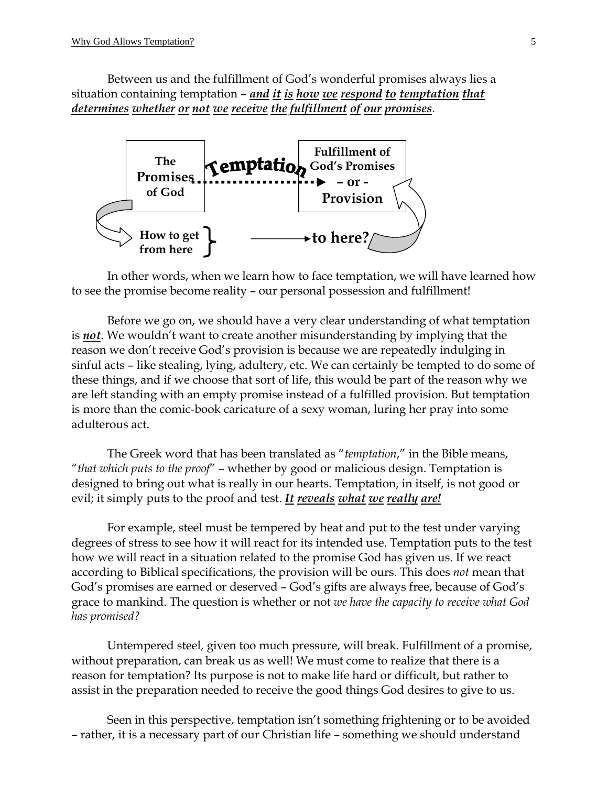Between us and the fulfillment of God's wonderful promises always lies a situation containing temptation – *and it is how we respond to temptation that determines whether or not we receive the fulfillment of our promises*.



In other words, when we learn how to face temptation, we will have learned how to see the promise become reality – our personal possession and fulfillment!

Before we go on, we should have a very clear understanding of what temptation is *not*. We wouldn't want to create another misunderstanding by implying that the reason we don't receive God's provision is because we are repeatedly indulging in sinful acts – like stealing, lying, adultery, etc. We can certainly be tempted to do some of these things, and if we choose that sort of life, this would be part of the reason why we are left standing with an empty promise instead of a fulfilled provision. But temptation is more than the comic-book caricature of a sexy woman, luring her pray into some adulterous act.

The Greek word that has been translated as "*temptation*," in the Bible means, "*that which puts to the proof*" – whether by good or malicious design. Temptation is designed to bring out what is really in our hearts. Temptation, in itself, is not good or evil; it simply puts to the proof and test. *It reveals what we really are!*

For example, steel must be tempered by heat and put to the test under varying degrees of stress to see how it will react for its intended use. Temptation puts to the test how we will react in a situation related to the promise God has given us. If we react according to Biblical specifications, the provision will be ours. This does *not* mean that God's promises are earned or deserved – God's gifts are always free, because of God's grace to mankind. The question is whether or not *we have the capacity to receive what God has promised?*

Untempered steel, given too much pressure, will break. Fulfillment of a promise, without preparation, can break us as well! We must come to realize that there is a reason for temptation? Its purpose is not to make life hard or difficult, but rather to assist in the preparation needed to receive the good things God desires to give to us.

Seen in this perspective, temptation isn't something frightening or to be avoided – rather, it is a necessary part of our Christian life – something we should understand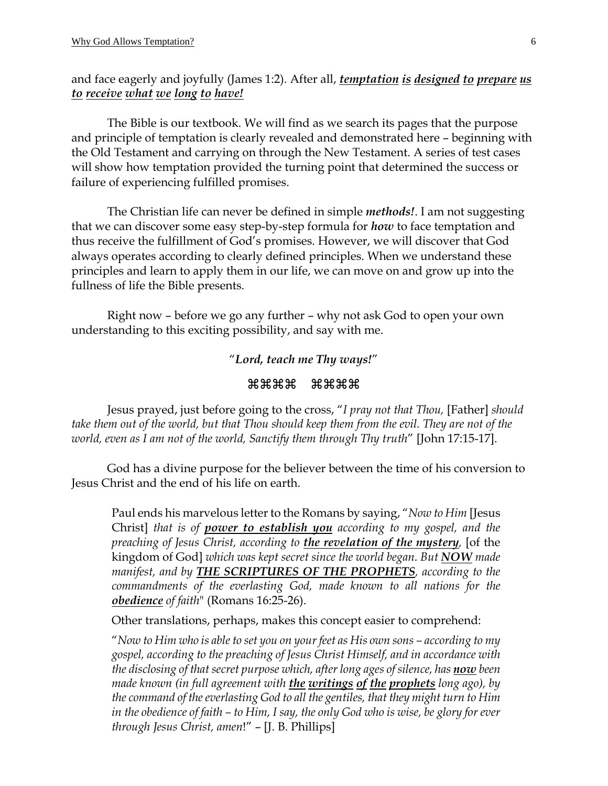and face eagerly and joyfully (James 1:2). After all, *temptation is designed to prepare us to receive what we long to have!*

The Bible is our textbook. We will find as we search its pages that the purpose and principle of temptation is clearly revealed and demonstrated here – beginning with the Old Testament and carrying on through the New Testament. A series of test cases will show how temptation provided the turning point that determined the success or failure of experiencing fulfilled promises.

The Christian life can never be defined in simple *methods!*. I am not suggesting that we can discover some easy step-by-step formula for *how* to face temptation and thus receive the fulfillment of God's promises. However, we will discover that God always operates according to clearly defined principles. When we understand these principles and learn to apply them in our life, we can move on and grow up into the fullness of life the Bible presents.

Right now – before we go any further – why not ask God to open your own understanding to this exciting possibility, and say with me.

#### "*Lord, teach me Thy ways!*"

#### aaaa aaaa

Jesus prayed, just before going to the cross, "*I pray not that Thou,* [Father] *should take them out of the world, but that Thou should keep them from the evil. They are not of the world, even as I am not of the world, Sanctify them through Thy truth*" [John 17:15-17].

God has a divine purpose for the believer between the time of his conversion to Jesus Christ and the end of his life on earth.

Paul ends his marvelous letter to the Romans by saying, "*Now to Him* [Jesus Christ] *that is of power to establish you according to my gospel, and the preaching of Jesus Christ, according to the revelation of the mystery,* [of the kingdom of God] *which was kept secret since the world began. But NOW made manifest, and by THE SCRIPTURES OF THE PROPHETS, according to the commandments of the everlasting God, made known to all nations for the obedience of faith*" (Romans 16:25-26).

Other translations, perhaps, makes this concept easier to comprehend:

"*Now to Him who is able to set you on your feet as His own sons – according to my gospel, according to the preaching of Jesus Christ Himself, and in accordance with the disclosing of that secret purpose which, after long ages of silence, has now been made known (in full agreement with the writings of the prophets long ago), by the command of the everlasting God to all the gentiles, that they might turn to Him in the obedience of faith – to Him, I say, the only God who is wise, be glory for ever through Jesus Christ, amen*!" – [J. B. Phillips]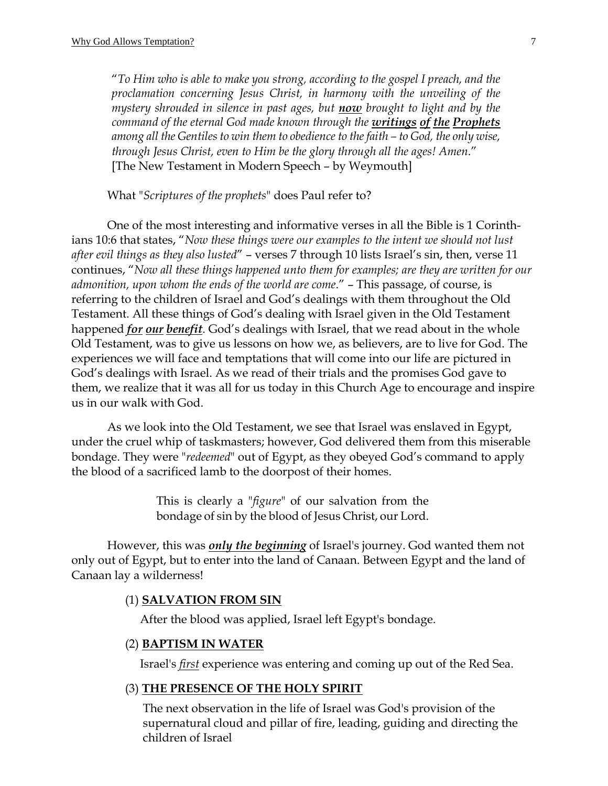"*To Him who is able to make you strong, according to the gospel I preach, and the proclamation concerning Jesus Christ, in harmony with the unveiling of the mystery shrouded in silence in past ages, but now brought to light and by the command of the eternal God made known through the writings of the Prophets among all the Gentiles to win them to obedience to the faith – to God, the only wise, through Jesus Christ, even to Him be the glory through all the ages! Amen*." [The New Testament in Modern Speech – by Weymouth]

What "*Scriptures of the prophets*" does Paul refer to?

One of the most interesting and informative verses in all the Bible is 1 Corinthians 10:6 that states, "*Now these things were our examples to the intent we should not lust after evil things as they also lusted*" – verses 7 through 10 lists Israel's sin, then, verse 11 continues, "*Now all these things happened unto them for examples; are they are written for our admonition, upon whom the ends of the world are come*." – This passage, of course, is referring to the children of Israel and God's dealings with them throughout the Old Testament. All these things of God's dealing with Israel given in the Old Testament happened *for our benefit*. God's dealings with Israel, that we read about in the whole Old Testament, was to give us lessons on how we, as believers, are to live for God. The experiences we will face and temptations that will come into our life are pictured in God's dealings with Israel. As we read of their trials and the promises God gave to them, we realize that it was all for us today in this Church Age to encourage and inspire us in our walk with God.

As we look into the Old Testament, we see that Israel was enslaved in Egypt, under the cruel whip of taskmasters; however, God delivered them from this miserable bondage. They were "*redeemed*" out of Egypt, as they obeyed God's command to apply the blood of a sacrificed lamb to the doorpost of their homes.

> This is clearly a "*figure*" of our salvation from the bondage of sin by the blood of Jesus Christ, our Lord.

However, this was *only the beginning* of Israel's journey. God wanted them not only out of Egypt, but to enter into the land of Canaan. Between Egypt and the land of Canaan lay a wilderness!

#### (1) **SALVATION FROM SIN**

After the blood was applied, Israel left Egypt's bondage.

#### (2) **BAPTISM IN WATER**

Israel's *first* experience was entering and coming up out of the Red Sea.

#### (3) **THE PRESENCE OF THE HOLY SPIRIT**

The next observation in the life of Israel was God's provision of the supernatural cloud and pillar of fire, leading, guiding and directing the children of Israel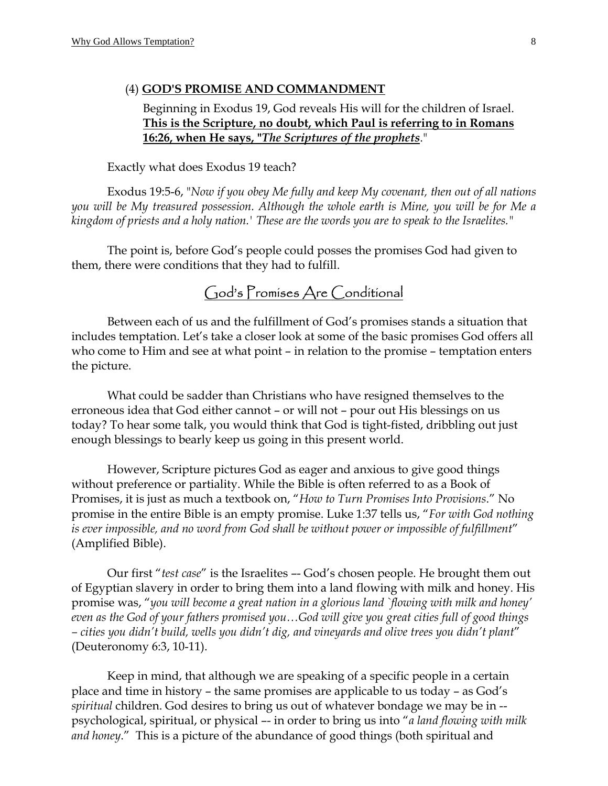#### (4) **GOD'S PROMISE AND COMMANDMENT**

#### Beginning in Exodus 19, God reveals His will for the children of Israel. **This is the Scripture, no doubt, which Paul is referring to in Romans 16:26, when He says, "***The Scriptures of the prophets*."

#### Exactly what does Exodus 19 teach?

Exodus 19:5-6, "*Now if you obey Me fully and keep My covenant, then out of all nations you will be My treasured possession. Although the whole earth is Mine, you will be for Me a kingdom of priests and a holy nation.' These are the words you are to speak to the Israelites."* 

The point is, before God's people could posses the promises God had given to them, there were conditions that they had to fulfill.

# God's Promises Are Conditional

Between each of us and the fulfillment of God's promises stands a situation that includes temptation. Let's take a closer look at some of the basic promises God offers all who come to Him and see at what point – in relation to the promise – temptation enters the picture.

What could be sadder than Christians who have resigned themselves to the erroneous idea that God either cannot – or will not – pour out His blessings on us today? To hear some talk, you would think that God is tight-fisted, dribbling out just enough blessings to bearly keep us going in this present world.

However, Scripture pictures God as eager and anxious to give good things without preference or partiality. While the Bible is often referred to as a Book of Promises, it is just as much a textbook on, "*How to Turn Promises Into Provisions*." No promise in the entire Bible is an empty promise. Luke 1:37 tells us, "*For with God nothing is ever impossible, and no word from God shall be without power or impossible of fulfillment*" (Amplified Bible).

Our first "*test case*" is the Israelites –- God's chosen people. He brought them out of Egyptian slavery in order to bring them into a land flowing with milk and honey. His promise was, "*you will become a great nation in a glorious land `flowing with milk and honey' even as the God of your fathers promised you…God will give you great cities full of good things – cities you didn't build, wells you didn't dig, and vineyards and olive trees you didn't plant*" (Deuteronomy 6:3, 10-11).

Keep in mind, that although we are speaking of a specific people in a certain place and time in history – the same promises are applicable to us today – as God's *spiritual* children. God desires to bring us out of whatever bondage we may be in - psychological, spiritual, or physical –- in order to bring us into "*a land flowing with milk and honey*." This is a picture of the abundance of good things (both spiritual and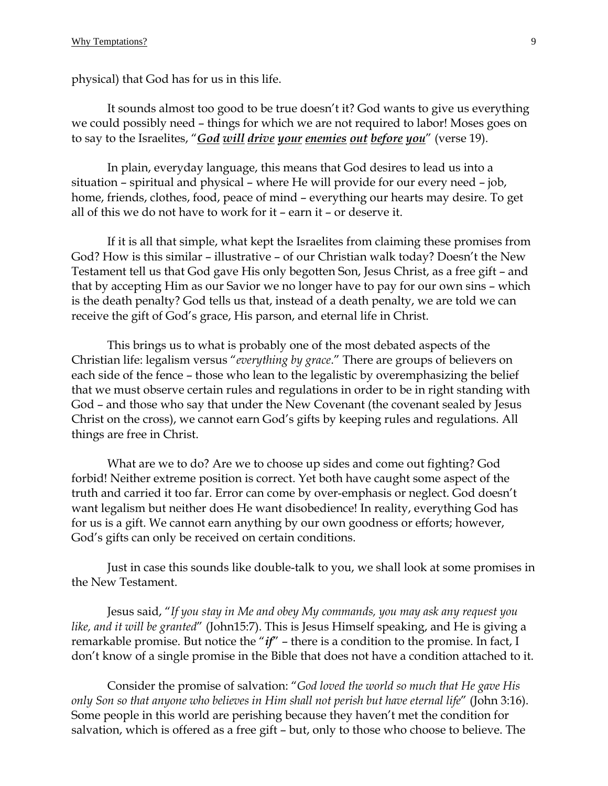physical) that God has for us in this life.

It sounds almost too good to be true doesn't it? God wants to give us everything we could possibly need – things for which we are not required to labor! Moses goes on to say to the Israelites, "*God will drive your enemies out before you*" (verse 19).

In plain, everyday language, this means that God desires to lead us into a situation – spiritual and physical – where He will provide for our every need – job, home, friends, clothes, food, peace of mind – everything our hearts may desire. To get all of this we do not have to work for it – earn it – or deserve it.

If it is all that simple, what kept the Israelites from claiming these promises from God? How is this similar – illustrative – of our Christian walk today? Doesn't the New Testament tell us that God gave His only begotten Son, Jesus Christ, as a free gift – and that by accepting Him as our Savior we no longer have to pay for our own sins – which is the death penalty? God tells us that, instead of a death penalty, we are told we can receive the gift of God's grace, His parson, and eternal life in Christ.

This brings us to what is probably one of the most debated aspects of the Christian life: legalism versus "*everything by grace*." There are groups of believers on each side of the fence – those who lean to the legalistic by overemphasizing the belief that we must observe certain rules and regulations in order to be in right standing with God – and those who say that under the New Covenant (the covenant sealed by Jesus Christ on the cross), we cannot earn God's gifts by keeping rules and regulations. All things are free in Christ.

What are we to do? Are we to choose up sides and come out fighting? God forbid! Neither extreme position is correct. Yet both have caught some aspect of the truth and carried it too far. Error can come by over-emphasis or neglect. God doesn't want legalism but neither does He want disobedience! In reality, everything God has for us is a gift. We cannot earn anything by our own goodness or efforts; however, God's gifts can only be received on certain conditions.

Just in case this sounds like double-talk to you, we shall look at some promises in the New Testament.

Jesus said, "*If you stay in Me and obey My commands, you may ask any request you like, and it will be granted*" (John15:7). This is Jesus Himself speaking, and He is giving a remarkable promise. But notice the "*if*" – there is a condition to the promise. In fact, I don't know of a single promise in the Bible that does not have a condition attached to it.

Consider the promise of salvation: "*God loved the world so much that He gave His only Son so that anyone who believes in Him shall not perish but have eternal life*" (John 3:16). Some people in this world are perishing because they haven't met the condition for salvation, which is offered as a free gift – but, only to those who choose to believe. The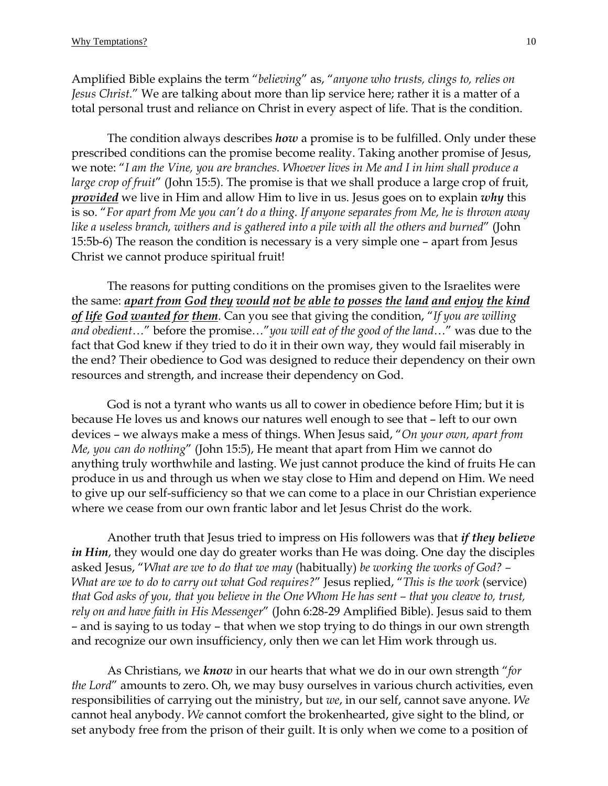Amplified Bible explains the term "*believing*" as, "*anyone who trusts, clings to, relies on Jesus Christ.*" We are talking about more than lip service here; rather it is a matter of a total personal trust and reliance on Christ in every aspect of life. That is the condition.

The condition always describes *how* a promise is to be fulfilled. Only under these prescribed conditions can the promise become reality. Taking another promise of Jesus, we note: "*I am the Vine, you are branches. Whoever lives in Me and I in him shall produce a large crop of fruit*" (John 15:5). The promise is that we shall produce a large crop of fruit, *provided* we live in Him and allow Him to live in us. Jesus goes on to explain *why* this is so. "*For apart from Me you can't do a thing. If anyone separates from Me, he is thrown away like a useless branch, withers and is gathered into a pile with all the others and burned*" (John 15:5b-6) The reason the condition is necessary is a very simple one – apart from Jesus Christ we cannot produce spiritual fruit!

The reasons for putting conditions on the promises given to the Israelites were the same: *apart from God they would not be able to posses the land and enjoy the kind of life God wanted for them*. Can you see that giving the condition, "*If you are willing and obedient*…" before the promise…"*you will eat of the good of the land*…" was due to the fact that God knew if they tried to do it in their own way, they would fail miserably in the end? Their obedience to God was designed to reduce their dependency on their own resources and strength, and increase their dependency on God.

God is not a tyrant who wants us all to cower in obedience before Him; but it is because He loves us and knows our natures well enough to see that – left to our own devices – we always make a mess of things. When Jesus said, "*On your own, apart from Me, you can do nothing*" (John 15:5), He meant that apart from Him we cannot do anything truly worthwhile and lasting. We just cannot produce the kind of fruits He can produce in us and through us when we stay close to Him and depend on Him. We need to give up our self-sufficiency so that we can come to a place in our Christian experience where we cease from our own frantic labor and let Jesus Christ do the work.

Another truth that Jesus tried to impress on His followers was that *if they believe in Him*, they would one day do greater works than He was doing. One day the disciples asked Jesus, "*What are we to do that we may* (habitually) *be working the works of God? – What are we to do to carry out what God requires?*" Jesus replied, "*This is the work* (service) *that God asks of you, that you believe in the One Whom He has sent – that you cleave to, trust, rely on and have faith in His Messenger*" (John 6:28-29 Amplified Bible). Jesus said to them – and is saying to us today – that when we stop trying to do things in our own strength and recognize our own insufficiency, only then we can let Him work through us.

As Christians, we *know* in our hearts that what we do in our own strength "*for the Lord*" amounts to zero. Oh, we may busy ourselves in various church activities, even responsibilities of carrying out the ministry, but *we*, in our self, cannot save anyone. *We* cannot heal anybody. *We* cannot comfort the brokenhearted, give sight to the blind, or set anybody free from the prison of their guilt. It is only when we come to a position of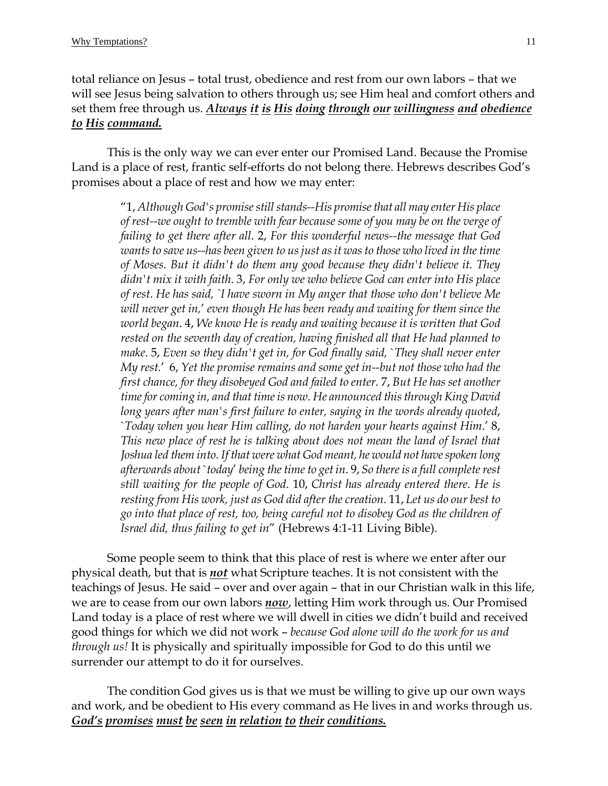total reliance on Jesus – total trust, obedience and rest from our own labors – that we will see Jesus being salvation to others through us; see Him heal and comfort others and set them free through us. *Always it is His doing through our willingness and obedience to His command.*

This is the only way we can ever enter our Promised Land. Because the Promise Land is a place of rest, frantic self-efforts do not belong there. Hebrews describes God's promises about a place of rest and how we may enter:

> "1, *Although God's promise still stands--His promise that all may enter His place of rest--we ought to tremble with fear because some of you may be on the verge of failing to get there after all*. 2, *For this wonderful news--the message that God wants to save us--has been given to us just as it was to those who lived in the time of Moses. But it didn't do them any good because they didn't believe it. They didn't mix it with faith*. 3, *For only we who believe God can enter into His place of rest. He has said, `I have sworn in My anger that those who don't believe Me will never get in,*' *even though He has been ready and waiting for them since the world began*. 4, *We know He is ready and waiting because it is written that God rested on the seventh day of creation, having finished all that He had planned to make*. 5, *Even so they didn't get in, for God finally said,* `*They shall never enter My rest.*' 6, *Yet the promise remains and some get in--but not those who had the first chance, for they disobeyed God and failed to enter.* 7, *But He has set another time for coming in, and that time is now. He announced this through King David long years after man's first failure to enter, saying in the words already quoted*, `*Today when you hear Him calling, do not harden your hearts against Him*.' 8, *This new place of rest he is talking about does not mean the land of Israel that Joshua led them into. If that were what God meant, he would not have spoken long afterwards about* `*today*' *being the time to get in*. 9, *So there is a full complete rest still waiting for the people of God*. 10, *Christ has already entered there. He is resting from His work, just as God did after the creation*. 11, *Let us do our best to go into that place of rest, too, being careful not to disobey God as the children of Israel did, thus failing to get in*" (Hebrews 4:1-11 Living Bible).

Some people seem to think that this place of rest is where we enter after our physical death, but that is *not* what Scripture teaches. It is not consistent with the teachings of Jesus. He said – over and over again – that in our Christian walk in this life, we are to cease from our own labors *now*, letting Him work through us. Our Promised Land today is a place of rest where we will dwell in cities we didn't build and received good things for which we did not work – *because God alone will do the work for us and through us!* It is physically and spiritually impossible for God to do this until we surrender our attempt to do it for ourselves.

The condition God gives us is that we must be willing to give up our own ways and work, and be obedient to His every command as He lives in and works through us. *God's promises must be seen in relation to their conditions.*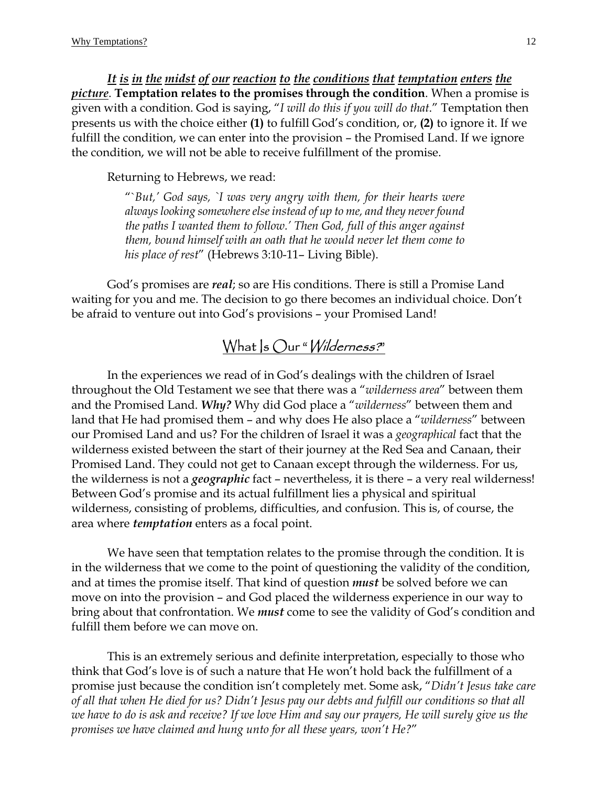*It is in the midst of our reaction to the conditions that temptation enters the picture*. **Temptation relates to the promises through the condition**. When a promise is given with a condition. God is saying, "*I will do this if you will do that*." Temptation then presents us with the choice either **(1)** to fulfill God's condition, or, **(2)** to ignore it. If we fulfill the condition, we can enter into the provision – the Promised Land. If we ignore the condition, we will not be able to receive fulfillment of the promise.

Returning to Hebrews, we read:

"`*But,' God says, `I was very angry with them, for their hearts were always looking somewhere else instead of up to me, and they never found the paths I wanted them to follow.' Then God, full of this anger against them, bound himself with an oath that he would never let them come to his place of rest*" (Hebrews 3:10-11– Living Bible).

God's promises are *real*; so are His conditions. There is still a Promise Land waiting for you and me. The decision to go there becomes an individual choice. Don't be afraid to venture out into God's provisions – your Promised Land!

## What |s Our "*Wilderness?*"

In the experiences we read of in God's dealings with the children of Israel throughout the Old Testament we see that there was a "*wilderness area*" between them and the Promised Land. *Why?* Why did God place a "*wilderness*" between them and land that He had promised them – and why does He also place a "*wilderness*" between our Promised Land and us? For the children of Israel it was a *geographical* fact that the wilderness existed between the start of their journey at the Red Sea and Canaan, their Promised Land. They could not get to Canaan except through the wilderness. For us, the wilderness is not a *geographic* fact – nevertheless, it is there – a very real wilderness! Between God's promise and its actual fulfillment lies a physical and spiritual wilderness, consisting of problems, difficulties, and confusion. This is, of course, the area where *temptation* enters as a focal point.

We have seen that temptation relates to the promise through the condition. It is in the wilderness that we come to the point of questioning the validity of the condition, and at times the promise itself. That kind of question *must* be solved before we can move on into the provision – and God placed the wilderness experience in our way to bring about that confrontation. We *must* come to see the validity of God's condition and fulfill them before we can move on.

This is an extremely serious and definite interpretation, especially to those who think that God's love is of such a nature that He won't hold back the fulfillment of a promise just because the condition isn't completely met. Some ask, "*Didn't Jesus take care of all that when He died for us? Didn't Jesus pay our debts and fulfill our conditions so that all we have to do is ask and receive? If we love Him and say our prayers, He will surely give us the promises we have claimed and hung unto for all these years, won't He?*"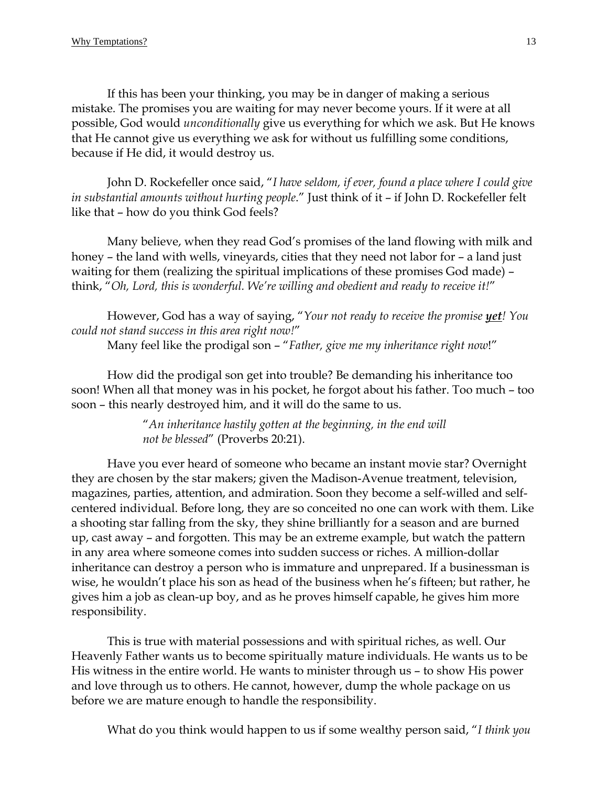If this has been your thinking, you may be in danger of making a serious mistake. The promises you are waiting for may never become yours. If it were at all possible, God would *unconditionally* give us everything for which we ask. But He knows that He cannot give us everything we ask for without us fulfilling some conditions, because if He did, it would destroy us.

John D. Rockefeller once said, "*I have seldom, if ever, found a place where I could give in substantial amounts without hurting people*." Just think of it – if John D. Rockefeller felt like that – how do you think God feels?

Many believe, when they read God's promises of the land flowing with milk and honey – the land with wells, vineyards, cities that they need not labor for – a land just waiting for them (realizing the spiritual implications of these promises God made) – think, "*Oh, Lord, this is wonderful. We're willing and obedient and ready to receive it!*"

However, God has a way of saying, "*Your not ready to receive the promise yet! You could not stand success in this area right now!*"

Many feel like the prodigal son – "*Father, give me my inheritance right now*!"

How did the prodigal son get into trouble? Be demanding his inheritance too soon! When all that money was in his pocket, he forgot about his father. Too much – too soon – this nearly destroyed him, and it will do the same to us.

> "*An inheritance hastily gotten at the beginning, in the end will not be blessed*" (Proverbs 20:21).

Have you ever heard of someone who became an instant movie star? Overnight they are chosen by the star makers; given the Madison-Avenue treatment, television, magazines, parties, attention, and admiration. Soon they become a self-willed and selfcentered individual. Before long, they are so conceited no one can work with them. Like a shooting star falling from the sky, they shine brilliantly for a season and are burned up, cast away – and forgotten. This may be an extreme example, but watch the pattern in any area where someone comes into sudden success or riches. A million-dollar inheritance can destroy a person who is immature and unprepared. If a businessman is wise, he wouldn't place his son as head of the business when he's fifteen; but rather, he gives him a job as clean-up boy, and as he proves himself capable, he gives him more responsibility.

This is true with material possessions and with spiritual riches, as well. Our Heavenly Father wants us to become spiritually mature individuals. He wants us to be His witness in the entire world. He wants to minister through us – to show His power and love through us to others. He cannot, however, dump the whole package on us before we are mature enough to handle the responsibility.

What do you think would happen to us if some wealthy person said, "*I think you*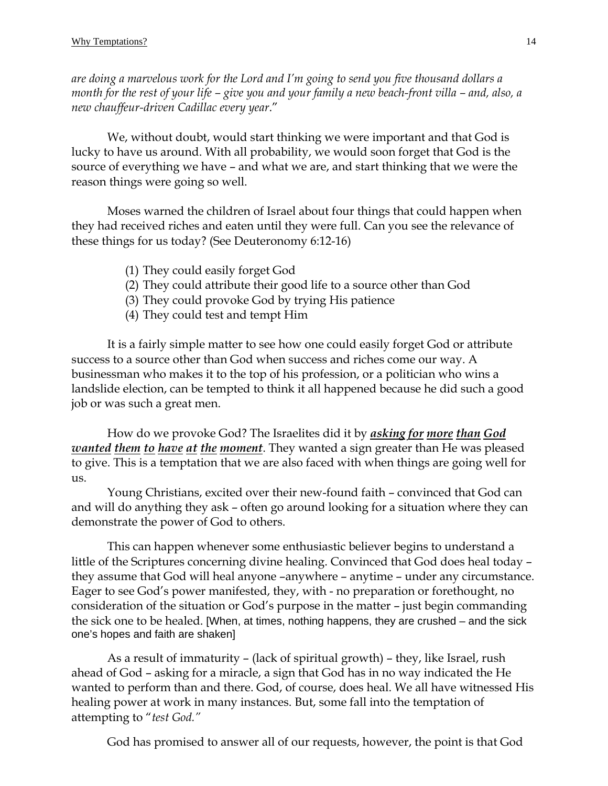*are doing a marvelous work for the Lord and I'm going to send you five thousand dollars a month for the rest of your life – give you and your family a new beach-front villa – and, also, a new chauffeur-driven Cadillac every year*."

We, without doubt, would start thinking we were important and that God is lucky to have us around. With all probability, we would soon forget that God is the source of everything we have – and what we are, and start thinking that we were the reason things were going so well.

Moses warned the children of Israel about four things that could happen when they had received riches and eaten until they were full. Can you see the relevance of these things for us today? (See Deuteronomy 6:12-16)

- (1) They could easily forget God
- (2) They could attribute their good life to a source other than God
- (3) They could provoke God by trying His patience
- (4) They could test and tempt Him

It is a fairly simple matter to see how one could easily forget God or attribute success to a source other than God when success and riches come our way. A businessman who makes it to the top of his profession, or a politician who wins a landslide election, can be tempted to think it all happened because he did such a good job or was such a great men.

How do we provoke God? The Israelites did it by *asking for more than God wanted them to have at the moment*. They wanted a sign greater than He was pleased to give. This is a temptation that we are also faced with when things are going well for us.

Young Christians, excited over their new-found faith – convinced that God can and will do anything they ask – often go around looking for a situation where they can demonstrate the power of God to others.

This can happen whenever some enthusiastic believer begins to understand a little of the Scriptures concerning divine healing. Convinced that God does heal today – they assume that God will heal anyone –anywhere – anytime – under any circumstance. Eager to see God's power manifested, they, with - no preparation or forethought, no consideration of the situation or God's purpose in the matter – just begin commanding the sick one to be healed. [When, at times, nothing happens, they are crushed – and the sick one's hopes and faith are shaken]

As a result of immaturity – (lack of spiritual growth) – they, like Israel, rush ahead of God – asking for a miracle, a sign that God has in no way indicated the He wanted to perform than and there. God, of course, does heal. We all have witnessed His healing power at work in many instances. But, some fall into the temptation of attempting to "*test God."*

God has promised to answer all of our requests, however, the point is that God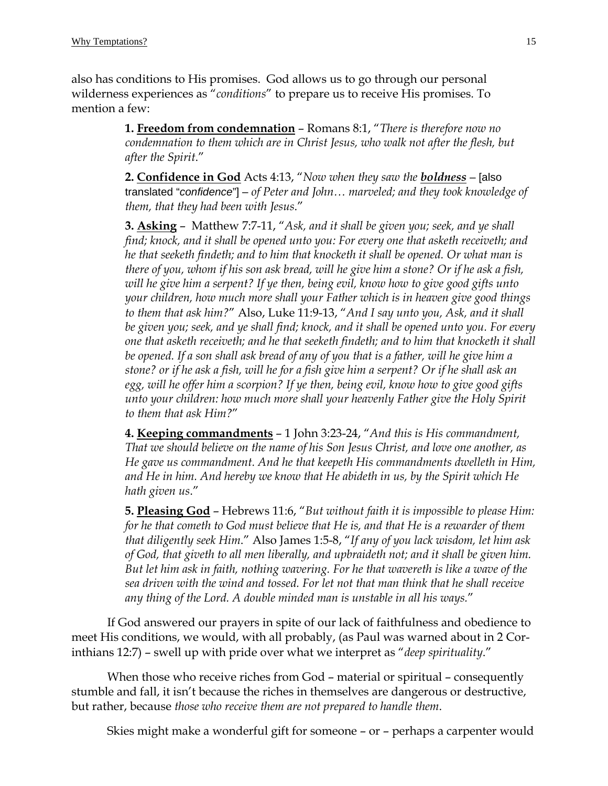also has conditions to His promises. God allows us to go through our personal wilderness experiences as "*conditions*" to prepare us to receive His promises. To mention a few:

> **1. Freedom from condemnation** – Romans 8:1, "*There is therefore now no condemnation to them which are in Christ Jesus, who walk not after the flesh, but after the Spirit*."

**2. Confidence in God** Acts 4:13, "*Now when they saw the boldness* – [also translated "*confidence*"] – *of Peter and John… marveled; and they took knowledge of them, that they had been with Jesus*."

**3. Asking** – Matthew 7:7-11, "*Ask, and it shall be given you; seek, and ye shall find; knock, and it shall be opened unto you: For every one that asketh receiveth; and he that seeketh findeth; and to him that knocketh it shall be opened. Or what man is there of you, whom if his son ask bread, will he give him a stone? Or if he ask a fish,*  will he give him a serpent? If ye then, being evil, know how to give good gifts unto *your children, how much more shall your Father which is in heaven give good things to them that ask him?*" Also, Luke 11:9-13, "*And I say unto you, Ask, and it shall be given you; seek, and ye shall find; knock, and it shall be opened unto you. For every one that asketh receiveth; and he that seeketh findeth; and to him that knocketh it shall be opened. If a son shall ask bread of any of you that is a father, will he give him a stone? or if he ask a fish, will he for a fish give him a serpent? Or if he shall ask an egg, will he offer him a scorpion? If ye then, being evil, know how to give good gifts unto your children: how much more shall your heavenly Father give the Holy Spirit to them that ask Him?*"

**4. Keeping commandments** – 1 John 3:23-24, "*And this is His commandment, That we should believe on the name of his Son Jesus Christ, and love one another, as He gave us commandment. And he that keepeth His commandments dwelleth in Him, and He in him. And hereby we know that He abideth in us, by the Spirit which He hath given us*."

**5. Pleasing God** – Hebrews 11:6, "*But without faith it is impossible to please Him: for he that cometh to God must believe that He is, and that He is a rewarder of them that diligently seek Him*." Also James 1:5-8, "*If any of you lack wisdom, let him ask of God, that giveth to all men liberally, and upbraideth not; and it shall be given him. But let him ask in faith, nothing wavering. For he that wavereth is like a wave of the sea driven with the wind and tossed. For let not that man think that he shall receive any thing of the Lord. A double minded man is unstable in all his ways.*"

If God answered our prayers in spite of our lack of faithfulness and obedience to meet His conditions, we would, with all probably, (as Paul was warned about in 2 Corinthians 12:7) – swell up with pride over what we interpret as "*deep spirituality*."

When those who receive riches from God – material or spiritual – consequently stumble and fall, it isn't because the riches in themselves are dangerous or destructive, but rather, because *those who receive them are not prepared to handle them*.

Skies might make a wonderful gift for someone – or – perhaps a carpenter would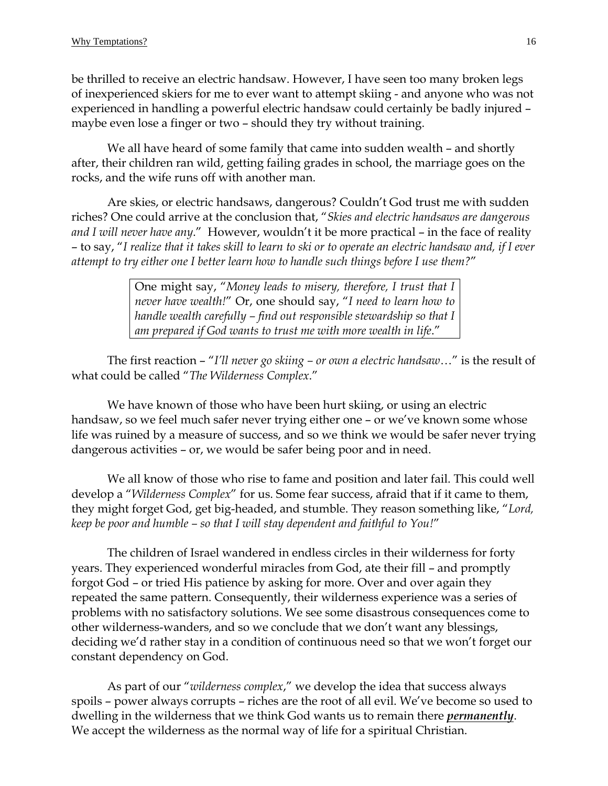be thrilled to receive an electric handsaw. However, I have seen too many broken legs of inexperienced skiers for me to ever want to attempt skiing - and anyone who was not experienced in handling a powerful electric handsaw could certainly be badly injured – maybe even lose a finger or two – should they try without training.

We all have heard of some family that came into sudden wealth – and shortly after, their children ran wild, getting failing grades in school, the marriage goes on the rocks, and the wife runs off with another man.

Are skies, or electric handsaws, dangerous? Couldn't God trust me with sudden riches? One could arrive at the conclusion that, "*Skies and electric handsaws are dangerous and I will never have any*." However, wouldn't it be more practical – in the face of reality – to say, "*I realize that it takes skill to learn to ski or to operate an electric handsaw and, if I ever attempt to try either one I better learn how to handle such things before I use them?*"

> One might say, "*Money leads to misery, therefore, I trust that I never have wealth!*" Or, one should say, "*I need to learn how to handle wealth carefully – find out responsible stewardship so that I am prepared if God wants to trust me with more wealth in life*."

The first reaction – "*I'll never go skiing – or own a electric handsaw*…" is the result of what could be called "*The Wilderness Complex*."

We have known of those who have been hurt skiing, or using an electric handsaw, so we feel much safer never trying either one – or we've known some whose life was ruined by a measure of success, and so we think we would be safer never trying dangerous activities – or, we would be safer being poor and in need.

We all know of those who rise to fame and position and later fail. This could well develop a "*Wilderness Complex*" for us. Some fear success, afraid that if it came to them, they might forget God, get big-headed, and stumble. They reason something like, "*Lord, keep be poor and humble – so that I will stay dependent and faithful to You!*"

The children of Israel wandered in endless circles in their wilderness for forty years. They experienced wonderful miracles from God, ate their fill – and promptly forgot God – or tried His patience by asking for more. Over and over again they repeated the same pattern. Consequently, their wilderness experience was a series of problems with no satisfactory solutions. We see some disastrous consequences come to other wilderness-wanders, and so we conclude that we don't want any blessings, deciding we'd rather stay in a condition of continuous need so that we won't forget our constant dependency on God.

As part of our "*wilderness complex*," we develop the idea that success always spoils – power always corrupts – riches are the root of all evil. We've become so used to dwelling in the wilderness that we think God wants us to remain there *permanently*. We accept the wilderness as the normal way of life for a spiritual Christian.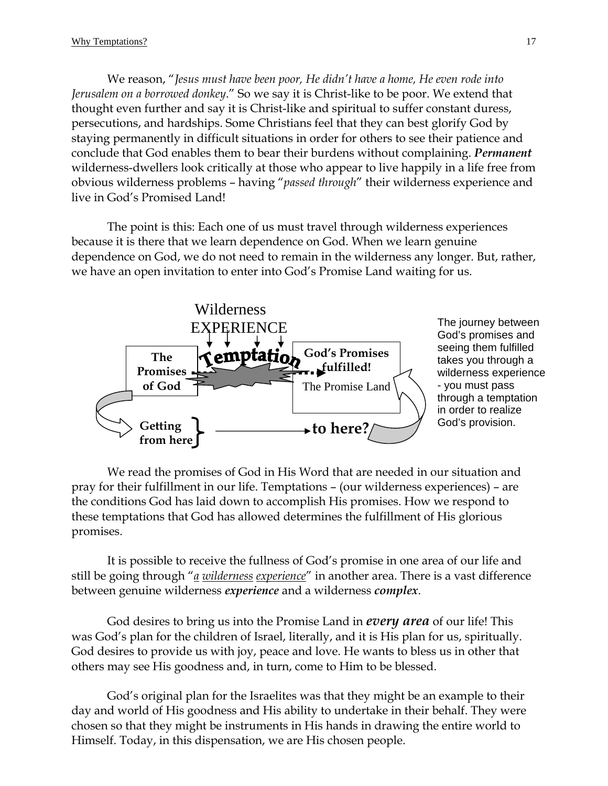We reason, "*Jesus must have been poor, He didn't have a home, He even rode into Jerusalem on a borrowed donkey*." So we say it is Christ-like to be poor. We extend that thought even further and say it is Christ-like and spiritual to suffer constant duress, persecutions, and hardships. Some Christians feel that they can best glorify God by staying permanently in difficult situations in order for others to see their patience and conclude that God enables them to bear their burdens without complaining. *Permanent* wilderness-dwellers look critically at those who appear to live happily in a life free from obvious wilderness problems – having "*passed through*" their wilderness experience and live in God's Promised Land!

The point is this: Each one of us must travel through wilderness experiences because it is there that we learn dependence on God. When we learn genuine dependence on God, we do not need to remain in the wilderness any longer. But, rather, we have an open invitation to enter into God's Promise Land waiting for us.



The journey between God's promises and seeing them fulfilled takes you through a wilderness experience - you must pass through a temptation in order to realize God's provision.

We read the promises of God in His Word that are needed in our situation and pray for their fulfillment in our life. Temptations – (our wilderness experiences) – are the conditions God has laid down to accomplish His promises. How we respond to these temptations that God has allowed determines the fulfillment of His glorious promises.

It is possible to receive the fullness of God's promise in one area of our life and still be going through "*a wilderness experience*" in another area. There is a vast difference between genuine wilderness *experience* and a wilderness *complex*.

God desires to bring us into the Promise Land in *every area* of our life! This was God's plan for the children of Israel, literally, and it is His plan for us, spiritually. God desires to provide us with joy, peace and love. He wants to bless us in other that others may see His goodness and, in turn, come to Him to be blessed.

God's original plan for the Israelites was that they might be an example to their day and world of His goodness and His ability to undertake in their behalf. They were chosen so that they might be instruments in His hands in drawing the entire world to Himself. Today, in this dispensation, we are His chosen people.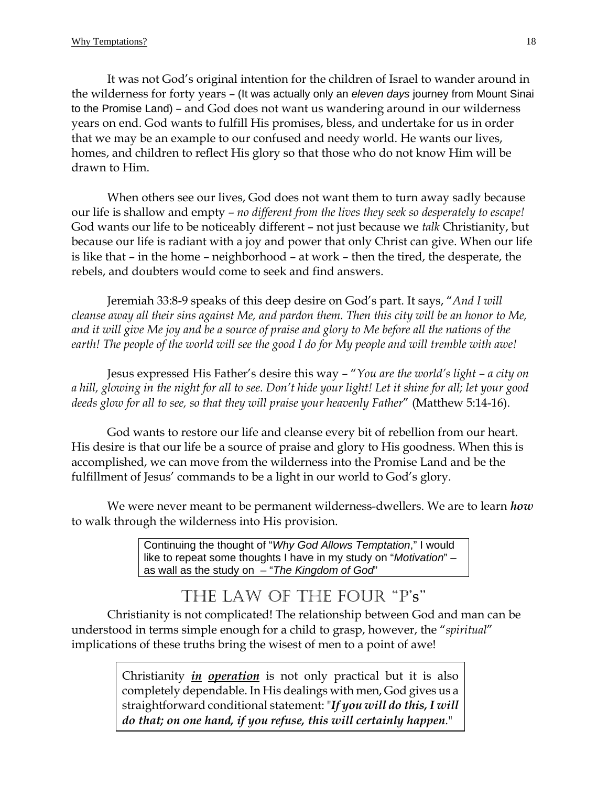It was not God's original intention for the children of Israel to wander around in the wilderness for forty years – (It was actually only an *eleven days* journey from Mount Sinai to the Promise Land) – and God does not want us wandering around in our wilderness years on end. God wants to fulfill His promises, bless, and undertake for us in order that we may be an example to our confused and needy world. He wants our lives, homes, and children to reflect His glory so that those who do not know Him will be drawn to Him.

When others see our lives, God does not want them to turn away sadly because our life is shallow and empty – *no different from the lives they seek so desperately to escape!*  God wants our life to be noticeably different – not just because we *talk* Christianity, but because our life is radiant with a joy and power that only Christ can give. When our life is like that – in the home – neighborhood – at work – then the tired, the desperate, the rebels, and doubters would come to seek and find answers.

Jeremiah 33:8-9 speaks of this deep desire on God's part. It says, "*And I will cleanse away all their sins against Me, and pardon them. Then this city will be an honor to Me, and it will give Me joy and be a source of praise and glory to Me before all the nations of the earth! The people of the world will see the good I do for My people and will tremble with awe!*

Jesus expressed His Father's desire this way – "*You are the world's light – a city on a hill, glowing in the night for all to see. Don't hide your light! Let it shine for all; let your good deeds glow for all to see, so that they will praise your heavenly Father*" (Matthew 5:14-16).

God wants to restore our life and cleanse every bit of rebellion from our heart. His desire is that our life be a source of praise and glory to His goodness. When this is accomplished, we can move from the wilderness into the Promise Land and be the fulfillment of Jesus' commands to be a light in our world to God's glory.

We were never meant to be permanent wilderness-dwellers. We are to learn *how* to walk through the wilderness into His provision.

> Continuing the thought of "*Why God Allows Temptation*," I would like to repeat some thoughts I have in my study on "*Motivation*" – as wall as the study on – "*The Kingdom of God*"

# THE LAW OF THE FOUR "P's"

Christianity is not complicated! The relationship between God and man can be understood in terms simple enough for a child to grasp, however, the "*spiritual*" implications of these truths bring the wisest of men to a point of awe!

> Christianity *in operation* is not only practical but it is also completely dependable. In His dealings with men, God gives us a straightforward conditional statement: "*If you will do this, I will do that; on one hand, if you refuse, this will certainly happen*."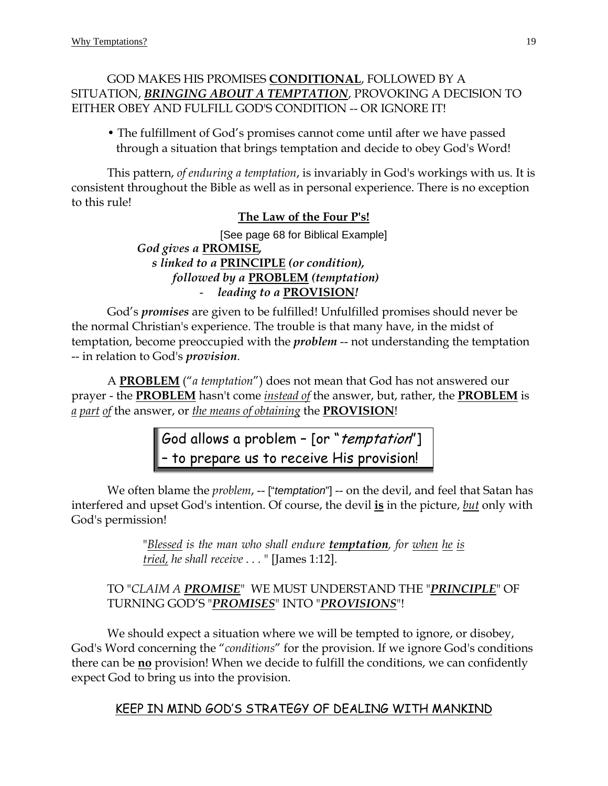#### GOD MAKES HIS PROMISES **CONDITIONAL**, FOLLOWED BY A SITUATION, *BRINGING ABOUT A TEMPTATION*, PROVOKING A DECISION TO EITHER OBEY AND FULFILL GOD'S CONDITION -- OR IGNORE IT!

• The fulfillment of God's promises cannot come until after we have passed through a situation that brings temptation and decide to obey God's Word!

This pattern, *of enduring a temptation*, is invariably in God's workings with us. It is consistent throughout the Bible as well as in personal experience. There is no exception to this rule!

#### **The Law of the Four P's!**

[See page 68 for Biblical Example]  *God gives a* **PROMISE***, s linked to a* **PRINCIPLE** *(or condition), followed by a* **PROBLEM** *(temptation)*  - *leading to a* **PROVISION***!* 

God's *promises* are given to be fulfilled! Unfulfilled promises should never be the normal Christian's experience. The trouble is that many have, in the midst of temptation, become preoccupied with the *problem* -- not understanding the temptation -- in relation to God's *provision*.

A **PROBLEM** ("*a temptation*") does not mean that God has not answered our prayer - the **PROBLEM** hasn't come *instead of* the answer, but, rather, the **PROBLEM** is *a part of* the answer, or *the means of obtaining* the **PROVISION**!

> God allows a problem - [or "temptation"] – to prepare us to receive His provision!

We often blame the *problem*, -- ["*temptation*"] -- on the devil, and feel that Satan has interfered and upset God's intention. Of course, the devil **is** in the picture, *but* only with God's permission!

> "*Blessed is the man who shall endure temptation, for when he is tried, he shall receive . . .* " [James 1:12].

#### TO "*CLAIM A PROMISE*" WE MUST UNDERSTAND THE "*PRINCIPLE*" OF TURNING GOD'S "*PROMISES*" INTO "*PROVISIONS*"!

We should expect a situation where we will be tempted to ignore, or disobey, God's Word concerning the "*conditions*" for the provision. If we ignore God's conditions there can be **no** provision! When we decide to fulfill the conditions, we can confidently expect God to bring us into the provision.

## KEEP IN MIND GOD'S STRATEGY OF DEALING WITH MANKIND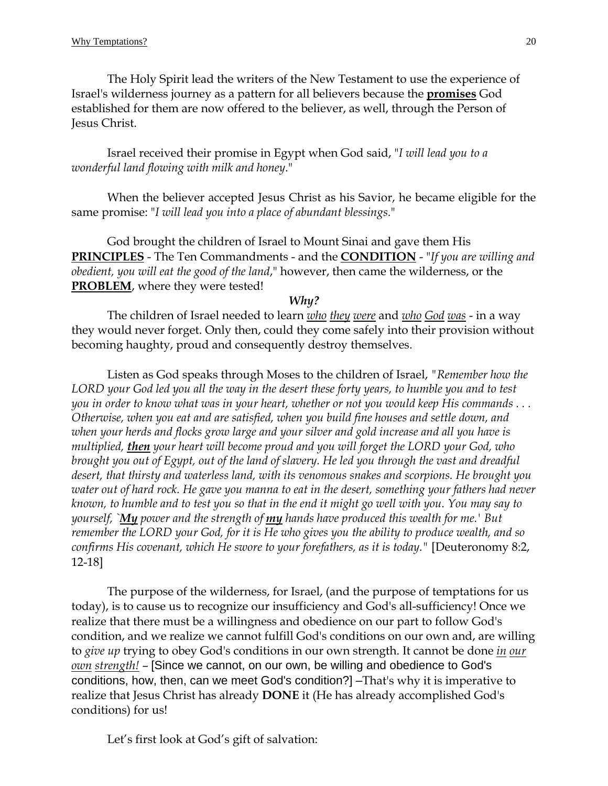The Holy Spirit lead the writers of the New Testament to use the experience of Israel's wilderness journey as a pattern for all believers because the **promises** God established for them are now offered to the believer, as well, through the Person of Jesus Christ.

Israel received their promise in Egypt when God said, "*I will lead you to a wonderful land flowing with milk and honey*."

When the believer accepted Jesus Christ as his Savior, he became eligible for the same promise: "*I will lead you into a place of abundant blessings*."

God brought the children of Israel to Mount Sinai and gave them His **PRINCIPLES** - The Ten Commandments - and the **CONDITION** - "*If you are willing and obedient, you will eat the good of the land*," however, then came the wilderness, or the **PROBLEM**, where they were tested!

#### *Why?*

The children of Israel needed to learn *who they were* and *who God was* - in a way they would never forget. Only then, could they come safely into their provision without becoming haughty, proud and consequently destroy themselves.

Listen as God speaks through Moses to the children of Israel, *"Remember how the LORD your God led you all the way in the desert these forty years, to humble you and to test you in order to know what was in your heart, whether or not you would keep His commands . . . Otherwise, when you eat and are satisfied, when you build fine houses and settle down, and when your herds and flocks grow large and your silver and gold increase and all you have is multiplied, then your heart will become proud and you will forget the LORD your God, who brought you out of Egypt, out of the land of slavery. He led you through the vast and dreadful desert, that thirsty and waterless land, with its venomous snakes and scorpions. He brought you water out of hard rock. He gave you manna to eat in the desert, something your fathers had never known, to humble and to test you so that in the end it might go well with you. You may say to yourself, `My power and the strength of my hands have produced this wealth for me.' But remember the LORD your God, for it is He who gives you the ability to produce wealth, and so confirms His covenant, which He swore to your forefathers, as it is today."* [Deuteronomy 8:2, 12-18]

The purpose of the wilderness, for Israel, (and the purpose of temptations for us today), is to cause us to recognize our insufficiency and God's all-sufficiency! Once we realize that there must be a willingness and obedience on our part to follow God's condition, and we realize we cannot fulfill God's conditions on our own and, are willing to *give up* trying to obey God's conditions in our own strength. It cannot be done *in our own strength!* – [Since we cannot, on our own, be willing and obedience to God's conditions, how, then, can we meet God's condition?] –That's why it is imperative to realize that Jesus Christ has already **DONE** it (He has already accomplished God's conditions) for us!

Let's first look at God's gift of salvation: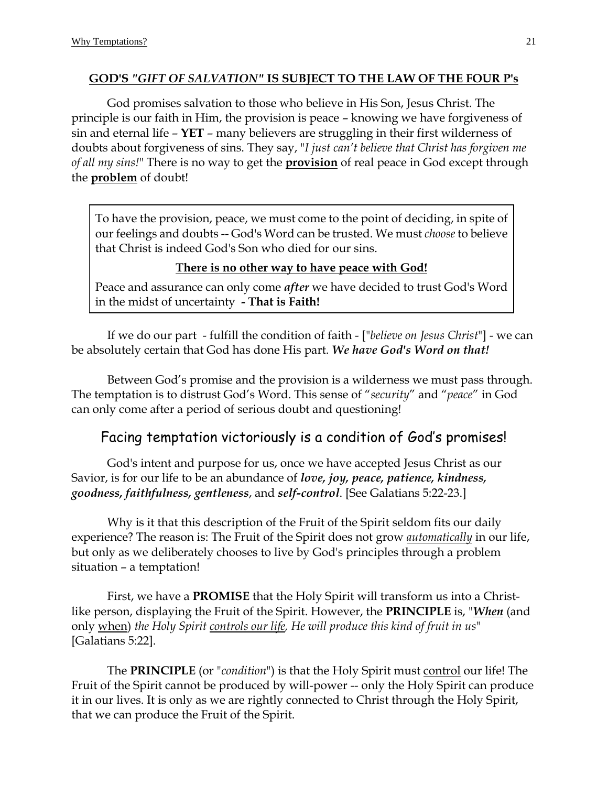#### **GOD'S** *"GIFT OF SALVATION"* **IS SUBJECT TO THE LAW OF THE FOUR P's**

God promises salvation to those who believe in His Son, Jesus Christ. The principle is our faith in Him, the provision is peace – knowing we have forgiveness of sin and eternal life – **YET** – many believers are struggling in their first wilderness of doubts about forgiveness of sins. They say, "*I just can't believe that Christ has forgiven me of all my sins!*" There is no way to get the **provision** of real peace in God except through the **problem** of doubt!

To have the provision, peace, we must come to the point of deciding, in spite of our feelings and doubts -- God's Word can be trusted. We must *choose* to believe that Christ is indeed God's Son who died for our sins.

#### **There is no other way to have peace with God!**

Peace and assurance can only come *after* we have decided to trust God's Word in the midst of uncertainty **- That is Faith!**

If we do our part - fulfill the condition of faith - ["*believe on Jesus Christ*"] - we can be absolutely certain that God has done His part. *We have God's Word on that!*

Between God's promise and the provision is a wilderness we must pass through. The temptation is to distrust God's Word. This sense of "*security*" and "*peace*" in God can only come after a period of serious doubt and questioning!

## Facing temptation victoriously is a condition of God's promises!

God's intent and purpose for us, once we have accepted Jesus Christ as our Savior, is for our life to be an abundance of *love, joy, peace, patience, kindness, goodness, faithfulness, gentleness*, and *self-control*. [See Galatians 5:22-23.]

Why is it that this description of the Fruit of the Spirit seldom fits our daily experience? The reason is: The Fruit of the Spirit does not grow *automatically* in our life, but only as we deliberately chooses to live by God's principles through a problem situation – a temptation!

First, we have a **PROMISE** that the Holy Spirit will transform us into a Christlike person, displaying the Fruit of the Spirit. However, the **PRINCIPLE** is, "*When* (and only when) *the Holy Spirit controls our life, He will produce this kind of fruit in us*" [Galatians 5:22].

The **PRINCIPLE** (or "*condition*") is that the Holy Spirit must control our life! The Fruit of the Spirit cannot be produced by will-power -- only the Holy Spirit can produce it in our lives. It is only as we are rightly connected to Christ through the Holy Spirit, that we can produce the Fruit of the Spirit.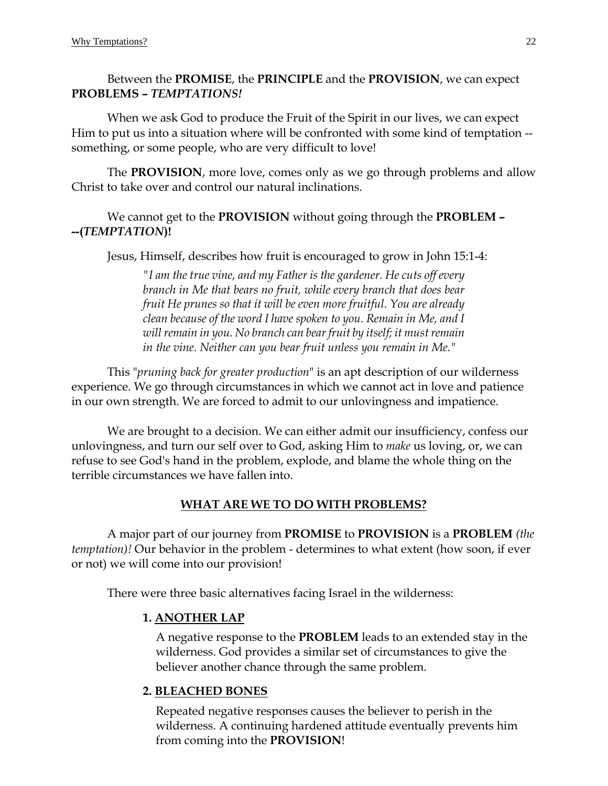#### Between the **PROMISE**, the **PRINCIPLE** and the **PROVISION**, we can expect **PROBLEMS –** *TEMPTATIONS!*

When we ask God to produce the Fruit of the Spirit in our lives, we can expect Him to put us into a situation where will be confronted with some kind of temptation - something, or some people, who are very difficult to love!

The **PROVISION**, more love, comes only as we go through problems and allow Christ to take over and control our natural inclinations.

We cannot get to the **PROVISION** without going through the **PROBLEM – --(***TEMPTATION***)!**

Jesus, Himself, describes how fruit is encouraged to grow in John 15:1-4:

*"I am the true vine, and my Father is the gardener. He cuts off every branch in Me that bears no fruit, while every branch that does bear fruit He prunes so that it will be even more fruitful. You are already clean because of the word I have spoken to you. Remain in Me, and I will remain in you. No branch can bear fruit by itself; it must remain in the vine. Neither can you bear fruit unless you remain in Me."* 

This "*pruning back for greater production*" is an apt description of our wilderness experience. We go through circumstances in which we cannot act in love and patience in our own strength. We are forced to admit to our unlovingness and impatience.

We are brought to a decision. We can either admit our insufficiency, confess our unlovingness, and turn our self over to God, asking Him to *make* us loving, or, we can refuse to see God's hand in the problem, explode, and blame the whole thing on the terrible circumstances we have fallen into.

#### **WHAT ARE WE TO DO WITH PROBLEMS?**

A major part of our journey from **PROMISE** to **PROVISION** is a **PROBLEM** *(the temptation*)! Our behavior in the problem - determines to what extent (how soon, if ever or not) we will come into our provision!

There were three basic alternatives facing Israel in the wilderness:

#### **1. ANOTHER LAP**

A negative response to the **PROBLEM** leads to an extended stay in the wilderness. God provides a similar set of circumstances to give the believer another chance through the same problem.

#### **2. BLEACHED BONES**

Repeated negative responses causes the believer to perish in the wilderness. A continuing hardened attitude eventually prevents him from coming into the **PROVISION**!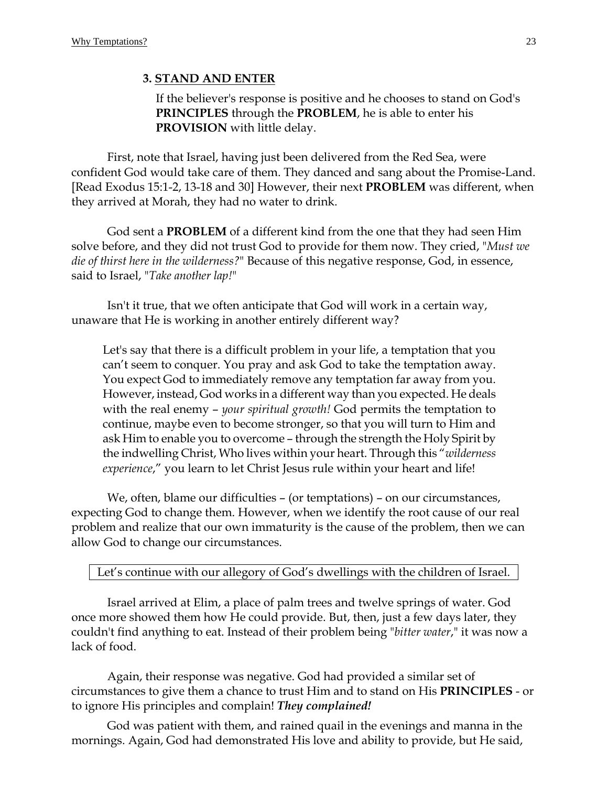#### **3. STAND AND ENTER**

If the believer's response is positive and he chooses to stand on God's **PRINCIPLES** through the **PROBLEM**, he is able to enter his **PROVISION** with little delay.

First, note that Israel, having just been delivered from the Red Sea, were confident God would take care of them. They danced and sang about the Promise-Land. [Read Exodus 15:1-2, 13-18 and 30] However, their next **PROBLEM** was different, when they arrived at Morah, they had no water to drink.

God sent a **PROBLEM** of a different kind from the one that they had seen Him solve before, and they did not trust God to provide for them now. They cried, "*Must we die of thirst here in the wilderness?*" Because of this negative response, God, in essence, said to Israel, "*Take another lap!*"

Isn't it true, that we often anticipate that God will work in a certain way, unaware that He is working in another entirely different way?

Let's say that there is a difficult problem in your life, a temptation that you can't seem to conquer. You pray and ask God to take the temptation away. You expect God to immediately remove any temptation far away from you. However, instead, God works in a different way than you expected. He deals with the real enemy – *your spiritual growth!* God permits the temptation to continue, maybe even to become stronger, so that you will turn to Him and ask Him to enable you to overcome – through the strength the Holy Spirit by the indwelling Christ, Who lives within your heart. Through this "*wilderness experience*," you learn to let Christ Jesus rule within your heart and life!

We, often, blame our difficulties – (or temptations) – on our circumstances, expecting God to change them. However, when we identify the root cause of our real problem and realize that our own immaturity is the cause of the problem, then we can allow God to change our circumstances.

#### Let's continue with our allegory of God's dwellings with the children of Israel.

Israel arrived at Elim, a place of palm trees and twelve springs of water. God once more showed them how He could provide. But, then, just a few days later, they couldn't find anything to eat. Instead of their problem being "*bitter water*," it was now a lack of food.

Again, their response was negative. God had provided a similar set of circumstances to give them a chance to trust Him and to stand on His **PRINCIPLES** - or to ignore His principles and complain! *They complained!*

God was patient with them, and rained quail in the evenings and manna in the mornings. Again, God had demonstrated His love and ability to provide, but He said,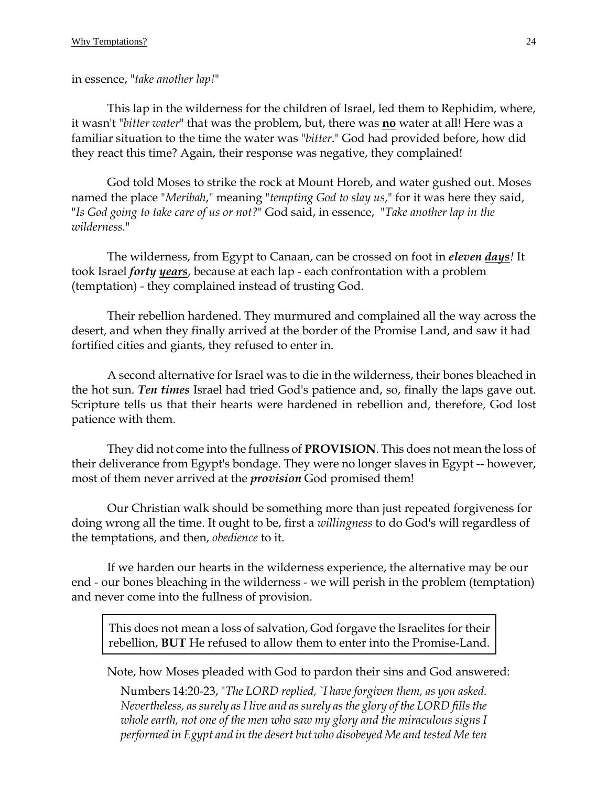in essence, "*take another lap!*"

This lap in the wilderness for the children of Israel, led them to Rephidim, where, it wasn't "*bitter water*" that was the problem, but, there was **no** water at all! Here was a familiar situation to the time the water was "*bitter*." God had provided before, how did they react this time? Again, their response was negative, they complained!

God told Moses to strike the rock at Mount Horeb, and water gushed out. Moses named the place "*Meribah*," meaning "*tempting God to slay us*," for it was here they said, "*Is God going to take care of us or not?*" God said, in essence, "*Take another lap in the wilderness.*"

The wilderness, from Egypt to Canaan, can be crossed on foot in *eleven days!* It took Israel *forty years*, because at each lap - each confrontation with a problem (temptation) - they complained instead of trusting God.

Their rebellion hardened. They murmured and complained all the way across the desert, and when they finally arrived at the border of the Promise Land, and saw it had fortified cities and giants, they refused to enter in.

A second alternative for Israel was to die in the wilderness, their bones bleached in the hot sun. *Ten times* Israel had tried God's patience and, so, finally the laps gave out. Scripture tells us that their hearts were hardened in rebellion and, therefore, God lost patience with them.

They did not come into the fullness of **PROVISION**. This does not mean the loss of their deliverance from Egypt's bondage. They were no longer slaves in Egypt -- however, most of them never arrived at the *provision* God promised them!

Our Christian walk should be something more than just repeated forgiveness for doing wrong all the time. It ought to be, first a *willingness* to do God's will regardless of the temptations, and then, *obedience* to it.

If we harden our hearts in the wilderness experience, the alternative may be our end - our bones bleaching in the wilderness - we will perish in the problem (temptation) and never come into the fullness of provision.

This does not mean a loss of salvation, God forgave the Israelites for their rebellion, **BUT** He refused to allow them to enter into the Promise-Land.

Note, how Moses pleaded with God to pardon their sins and God answered:

Numbers 14:20-23, "*The LORD replied, `I have forgiven them, as you asked. Nevertheless, as surely as I live and as surely as the glory of the LORD fills the whole earth, not one of the men who saw my glory and the miraculous signs I performed in Egypt and in the desert but who disobeyed Me and tested Me ten*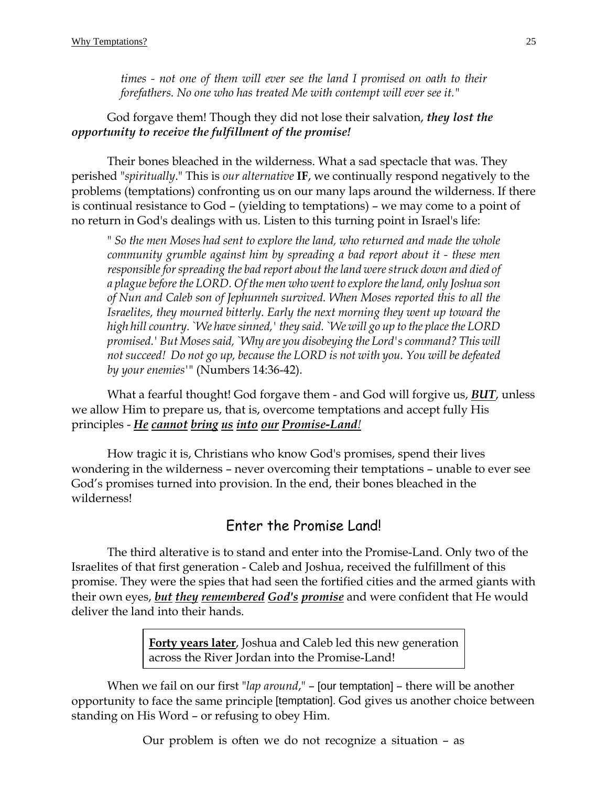*times - not one of them will ever see the land I promised on oath to their forefathers. No one who has treated Me with contempt will ever see it."* 

#### God forgave them! Though they did not lose their salvation, *they lost the opportunity to receive the fulfillment of the promise!*

Their bones bleached in the wilderness. What a sad spectacle that was. They perished "*spiritually*." This is *our alternative* **IF**, we continually respond negatively to the problems (temptations) confronting us on our many laps around the wilderness. If there is continual resistance to God – (yielding to temptations) – we may come to a point of no return in God's dealings with us. Listen to this turning point in Israel's life:

" *So the men Moses had sent to explore the land, who returned and made the whole community grumble against him by spreading a bad report about it - these men responsible for spreading the bad report about the land were struck down and died of a plague before the LORD. Of the men who went to explore the land, only Joshua son of Nun and Caleb son of Jephunneh survived. When Moses reported this to all the Israelites, they mourned bitterly. Early the next morning they went up toward the high hill country. `We have sinned,' they said. `We will go up to the place the LORD promised.' But Moses said, `Why are you disobeying the Lord's command? This will not succeed! Do not go up, because the LORD is not with you. You will be defeated by your enemies'*" (Numbers 14:36-42).

What a fearful thought! God forgave them - and God will forgive us, *BUT*, unless we allow Him to prepare us, that is, overcome temptations and accept fully His principles - *He cannot bring us into our Promise-Land!*

How tragic it is, Christians who know God's promises, spend their lives wondering in the wilderness – never overcoming their temptations – unable to ever see God's promises turned into provision. In the end, their bones bleached in the wilderness!

## Enter the Promise Land!

The third alterative is to stand and enter into the Promise-Land. Only two of the Israelites of that first generation - Caleb and Joshua, received the fulfillment of this promise. They were the spies that had seen the fortified cities and the armed giants with their own eyes, *but they remembered God's promise* and were confident that He would deliver the land into their hands.

> **Forty years later**, Joshua and Caleb led this new generation across the River Jordan into the Promise-Land!

When we fail on our first "*lap around*," – [our temptation] – there will be another opportunity to face the same principle [temptation]. God gives us another choice between standing on His Word – or refusing to obey Him.

Our problem is often we do not recognize a situation – as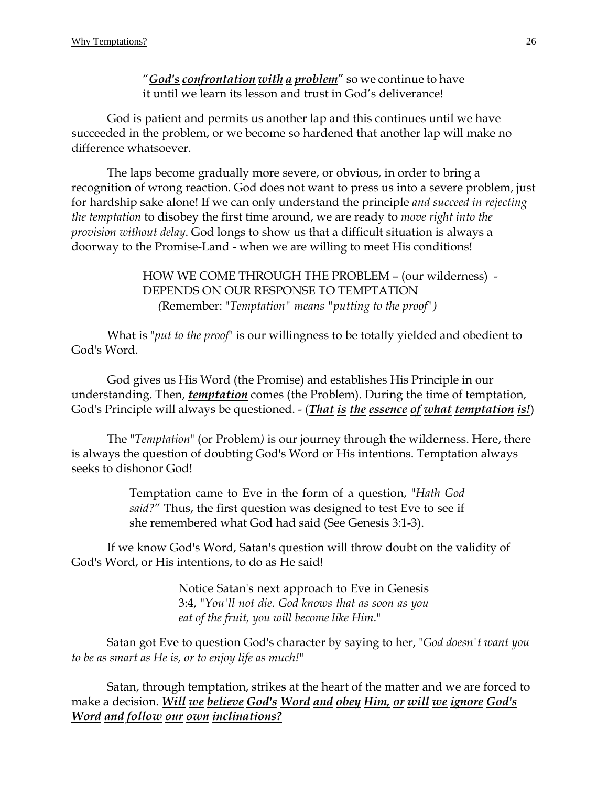"*God's confrontation with a problem*" so we continue to have it until we learn its lesson and trust in God's deliverance!

God is patient and permits us another lap and this continues until we have succeeded in the problem, or we become so hardened that another lap will make no difference whatsoever.

The laps become gradually more severe, or obvious, in order to bring a recognition of wrong reaction. God does not want to press us into a severe problem, just for hardship sake alone! If we can only understand the principle *and succeed in rejecting the temptation* to disobey the first time around, we are ready to *move right into the provision without delay*. God longs to show us that a difficult situation is always a doorway to the Promise-Land - when we are willing to meet His conditions!

> HOW WE COME THROUGH THE PROBLEM – (our wilderness) - DEPENDS ON OUR RESPONSE TO TEMPTATION *(*Remember: "*Temptation" means "putting to the proof")*

What is "*put to the proof*" is our willingness to be totally yielded and obedient to God's Word.

God gives us His Word (the Promise) and establishes His Principle in our understanding. Then, *temptation* comes (the Problem). During the time of temptation, God's Principle will always be questioned. - (*That is the essence of what temptation is!*)

 The "*Temptation*" (or Problem*)* is our journey through the wilderness. Here, there is always the question of doubting God's Word or His intentions. Temptation always seeks to dishonor God!

> Temptation came to Eve in the form of a question, "*Hath God said?*" Thus, the first question was designed to test Eve to see if she remembered what God had said (See Genesis 3:1-3).

If we know God's Word, Satan's question will throw doubt on the validity of God's Word, or His intentions, to do as He said!

> Notice Satan's next approach to Eve in Genesis 3:4, "*You'll not die. God knows that as soon as you eat of the fruit, you will become like Him*."

Satan got Eve to question God's character by saying to her, "*God doesn't want you to be as smart as He is, or to enjoy life as much!*"

Satan, through temptation, strikes at the heart of the matter and we are forced to make a decision. *Will we believe God's Word and obey Him, or will we ignore God's Word and follow our own inclinations?*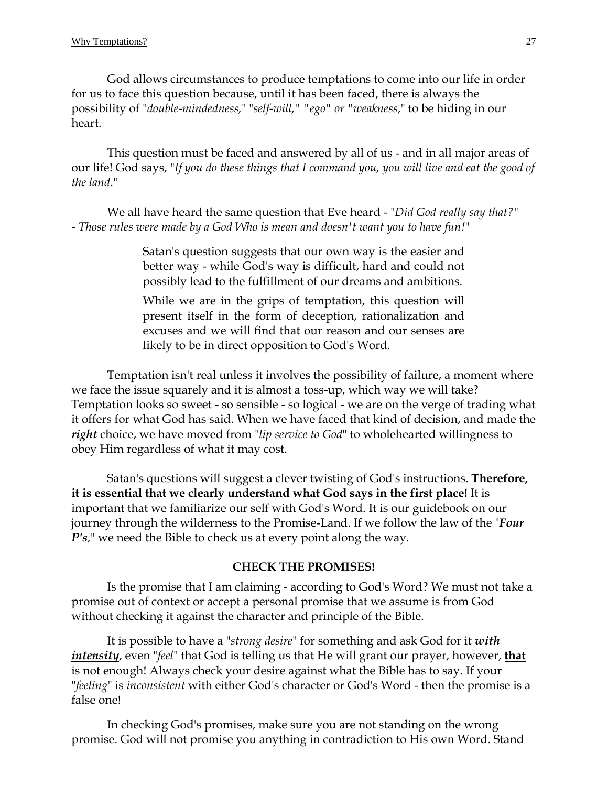God allows circumstances to produce temptations to come into our life in order for us to face this question because, until it has been faced, there is always the possibility of "*double-mindedness,*" "*self-will," "ego" or "weakness*," to be hiding in our heart.

This question must be faced and answered by all of us - and in all major areas of our life! God says, "*If you do these things that I command you, you will live and eat the good of the land*."

We all have heard the same question that Eve heard - "*Did God really say that?" - Those rules were made by a God Who is mean and doesn't want you to have fun!*"

> Satan's question suggests that our own way is the easier and better way - while God's way is difficult, hard and could not possibly lead to the fulfillment of our dreams and ambitions.

> While we are in the grips of temptation, this question will present itself in the form of deception, rationalization and excuses and we will find that our reason and our senses are likely to be in direct opposition to God's Word.

Temptation isn't real unless it involves the possibility of failure, a moment where we face the issue squarely and it is almost a toss-up, which way we will take? Temptation looks so sweet - so sensible - so logical - we are on the verge of trading what it offers for what God has said. When we have faced that kind of decision, and made the *right* choice, we have moved from "*lip service to God*" to wholehearted willingness to obey Him regardless of what it may cost.

Satan's questions will suggest a clever twisting of God's instructions. **Therefore, it is essential that we clearly understand what God says in the first place!** It is important that we familiarize our self with God's Word. It is our guidebook on our journey through the wilderness to the Promise-Land. If we follow the law of the "*Four P's,*" we need the Bible to check us at every point along the way.

#### **CHECK THE PROMISES!**

Is the promise that I am claiming - according to God's Word? We must not take a promise out of context or accept a personal promise that we assume is from God without checking it against the character and principle of the Bible.

It is possible to have a "*strong desire*" for something and ask God for it *with intensity*, even "*feel*" that God is telling us that He will grant our prayer, however, **that** is not enough! Always check your desire against what the Bible has to say. If your "*feeling*" is *inconsistent* with either God's character or God's Word - then the promise is a false one!

In checking God's promises, make sure you are not standing on the wrong promise. God will not promise you anything in contradiction to His own Word. Stand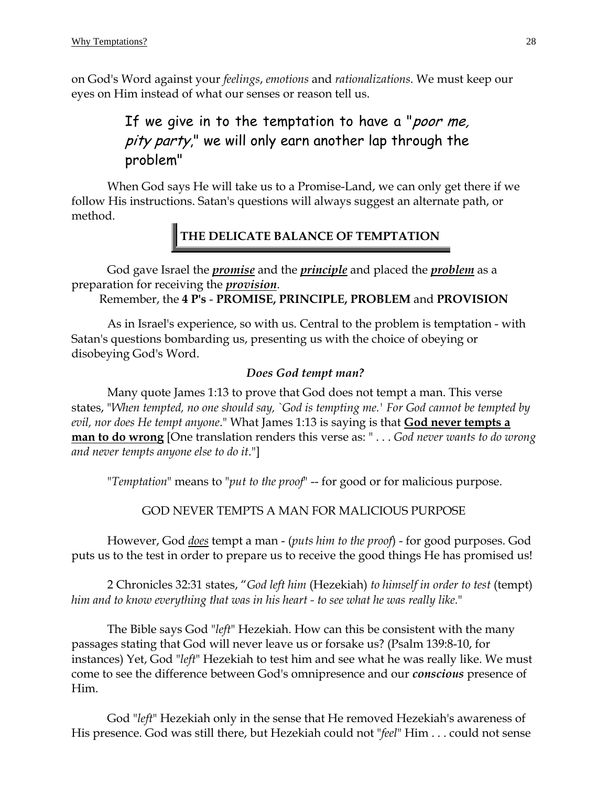on God's Word against your *feelings*, *emotions* and *rationalizations*. We must keep our eyes on Him instead of what our senses or reason tell us.

# If we give in to the temptation to have a "*poor me*, pity party," we will only earn another lap through the problem"

When God says He will take us to a Promise-Land, we can only get there if we follow His instructions. Satan's questions will always suggest an alternate path, or method.

# **THE DELICATE BALANCE OF TEMPTATION**

God gave Israel the *promise* and the *principle* and placed the *problem* as a preparation for receiving the *provision*.

Remember, the **4 P's** - **PROMISE, PRINCIPLE, PROBLEM** and **PROVISION**

As in Israel's experience, so with us. Central to the problem is temptation - with Satan's questions bombarding us, presenting us with the choice of obeying or disobeying God's Word.

#### *Does God tempt man?*

Many quote James 1:13 to prove that God does not tempt a man. This verse states, "*When tempted, no one should say, `God is tempting me.' For God cannot be tempted by evil, nor does He tempt anyone*." What James 1:13 is saying is that **God never tempts a man to do wrong** [One translation renders this verse as: " . . . *God never wants to do wrong and never tempts anyone else to do it*."]

"*Temptation*" means to "*put to the proof*" -- for good or for malicious purpose.

GOD NEVER TEMPTS A MAN FOR MALICIOUS PURPOSE

However, God *does* tempt a man - (*puts him to the proof*) - for good purposes. God puts us to the test in order to prepare us to receive the good things He has promised us!

2 Chronicles 32:31 states, "*God left him* (Hezekiah) *to himself in order to test* (tempt) *him and to know everything that was in his heart - to see what he was really like.*"

The Bible says God "*left*" Hezekiah. How can this be consistent with the many passages stating that God will never leave us or forsake us? (Psalm 139:8-10, for instances) Yet, God "*left*" Hezekiah to test him and see what he was really like. We must come to see the difference between God's omnipresence and our *conscious* presence of Him.

God "*left*" Hezekiah only in the sense that He removed Hezekiah's awareness of His presence. God was still there, but Hezekiah could not "*feel*" Him . . . could not sense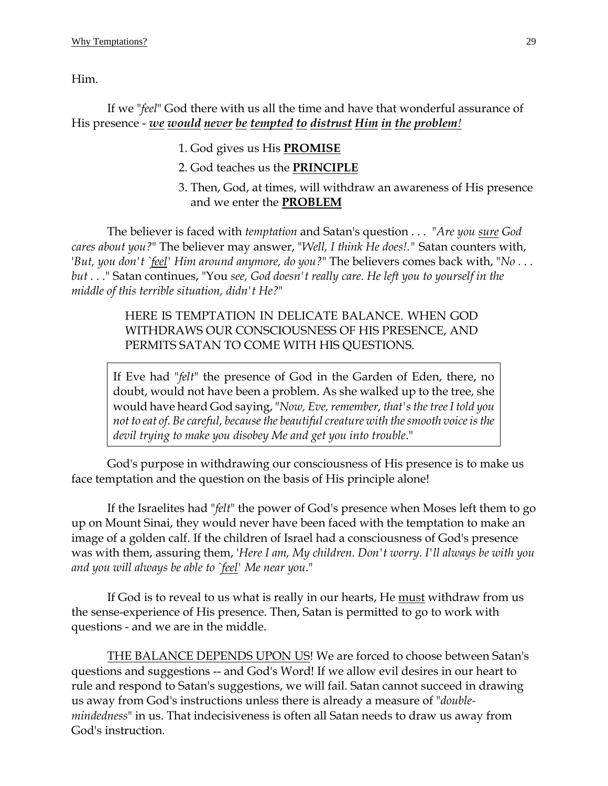Him.

If we "*feel*" God there with us all the time and have that wonderful assurance of His presence - *we would never be tempted to distrust Him in the problem!*

- 1. God gives us His **PROMISE**
- 2. God teaches us the **PRINCIPLE**
- 3. Then, God, at times, will withdraw an awareness of His presence and we enter the **PROBLEM**

The believer is faced with *temptation* and Satan's question . . . "*Are you sure God cares about you?*" The believer may answer, "*Well, I think He does!."* Satan counters with, '*But, you don't `feel' Him around anymore, do you?*" The believers comes back with, "*No . . . but . . .*" Satan continues, "You *see, God doesn't really care. He left you to yourself in the middle of this terrible situation, didn't He?*"

#### HERE IS TEMPTATION IN DELICATE BALANCE. WHEN GOD WITHDRAWS OUR CONSCIOUSNESS OF HIS PRESENCE, AND PERMITS SATAN TO COME WITH HIS QUESTIONS.

If Eve had "*felt*" the presence of God in the Garden of Eden, there, no doubt, would not have been a problem. As she walked up to the tree, she would have heard God saying, "*Now, Eve, remember, that's the tree I told you not to eat of. Be careful, because the beautiful creature with the smooth voice is the devil trying to make you disobey Me and get you into trouble*."

God's purpose in withdrawing our consciousness of His presence is to make us face temptation and the question on the basis of His principle alone!

If the Israelites had "*felt*" the power of God's presence when Moses left them to go up on Mount Sinai, they would never have been faced with the temptation to make an image of a golden calf. If the children of Israel had a consciousness of God's presence was with them, assuring them, '*Here I am, My children. Don't worry. I'll always be with you and you will always be able to `feel' Me near you*."

If God is to reveal to us what is really in our hearts, He <u>must</u> withdraw from us the sense-experience of His presence. Then, Satan is permitted to go to work with questions - and we are in the middle.

THE BALANCE DEPENDS UPON US! We are forced to choose between Satan's questions and suggestions -- and God's Word! If we allow evil desires in our heart to rule and respond to Satan's suggestions, we will fail. Satan cannot succeed in drawing us away from God's instructions unless there is already a measure of "*doublemindedness*" in us. That indecisiveness is often all Satan needs to draw us away from God's instruction.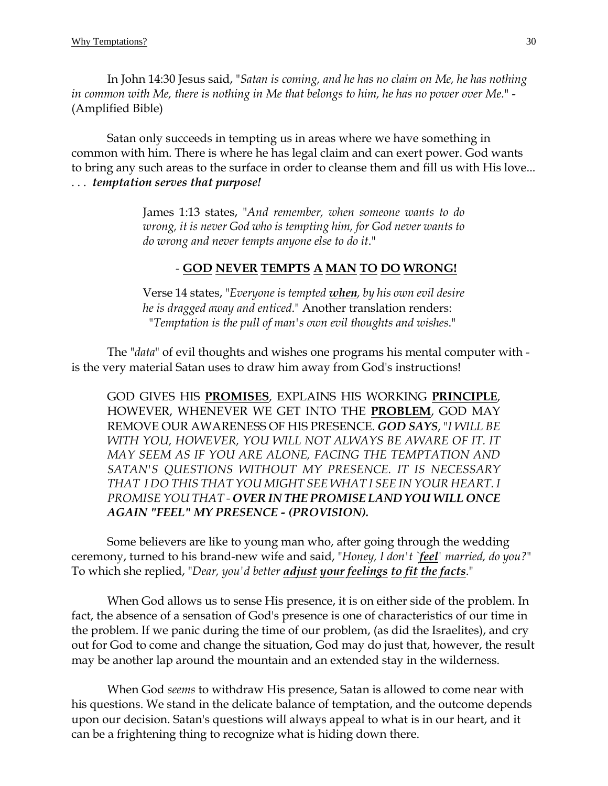In John 14:30 Jesus said, "*Satan is coming, and he has no claim on Me, he has nothing in common with Me, there is nothing in Me that belongs to him, he has no power over Me.*" - (Amplified Bible)

Satan only succeeds in tempting us in areas where we have something in common with him. There is where he has legal claim and can exert power. God wants to bring any such areas to the surface in order to cleanse them and fill us with His love... . . . *temptation serves that purpose!*

> James 1:13 states, "*And remember, when someone wants to do wrong, it is never God who is tempting him, for God never wants to do wrong and never tempts anyone else to do it*."

#### - **GOD NEVER TEMPTS A MAN TO DO WRONG!**

Verse 14 states, "*Everyone is tempted when, by his own evil desire he is dragged away and enticed*." Another translation renders: "*Temptation is the pull of man's own evil thoughts and wishes*."

The "*data*" of evil thoughts and wishes one programs his mental computer with is the very material Satan uses to draw him away from God's instructions!

GOD GIVES HIS **PROMISES**, EXPLAINS HIS WORKING **PRINCIPLE**, HOWEVER, WHENEVER WE GET INTO THE **PROBLEM**, GOD MAY REMOVE OUR AWARENESS OF HIS PRESENCE. *GOD SAYS*, "*I WILL BE WITH YOU, HOWEVER, YOU WILL NOT ALWAYS BE AWARE OF IT. IT MAY SEEM AS IF YOU ARE ALONE, FACING THE TEMPTATION AND SATAN'S QUESTIONS WITHOUT MY PRESENCE. IT IS NECESSARY THAT I DO THIS THAT YOU MIGHT SEE WHAT I SEE IN YOUR HEART. I PROMISE YOU THAT - OVER IN THE PROMISE LAND YOU WILL ONCE AGAIN "FEEL" MY PRESENCE - (PROVISION).*

Some believers are like to young man who, after going through the wedding ceremony, turned to his brand-new wife and said, "*Honey, I don't `feel' married, do you?*" To which she replied, "*Dear, you'd better adjust your feelings to fit the facts*."

When God allows us to sense His presence, it is on either side of the problem. In fact, the absence of a sensation of God's presence is one of characteristics of our time in the problem. If we panic during the time of our problem, (as did the Israelites), and cry out for God to come and change the situation, God may do just that, however, the result may be another lap around the mountain and an extended stay in the wilderness.

When God *seems* to withdraw His presence, Satan is allowed to come near with his questions. We stand in the delicate balance of temptation, and the outcome depends upon our decision. Satan's questions will always appeal to what is in our heart, and it can be a frightening thing to recognize what is hiding down there.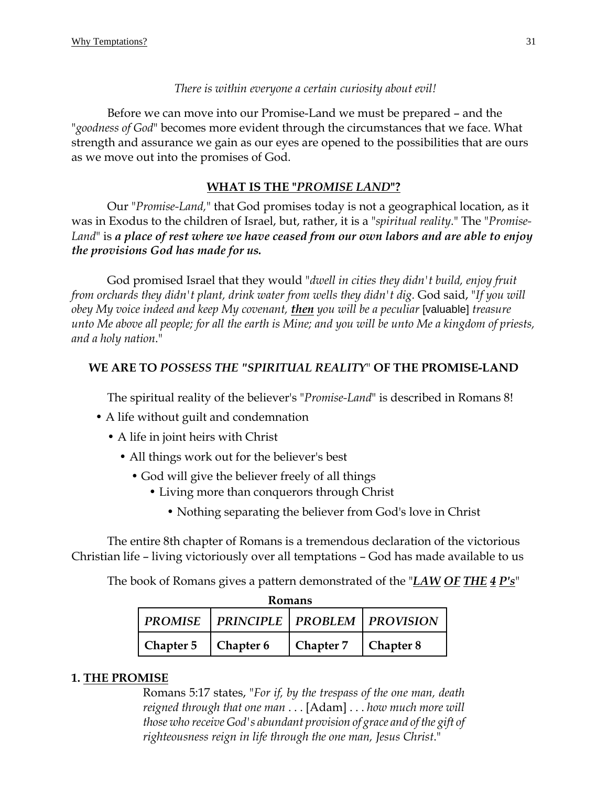#### *There is within everyone a certain curiosity about evil!*

Before we can move into our Promise-Land we must be prepared – and the "*goodness of God*" becomes more evident through the circumstances that we face. What strength and assurance we gain as our eyes are opened to the possibilities that are ours as we move out into the promises of God.

#### **WHAT IS THE "***PROMISE LAND***"?**

Our "*Promise-Land,*" that God promises today is not a geographical location, as it was in Exodus to the children of Israel, but, rather, it is a "*spiritual reality*." The "*Promise-Land*" is *a place of rest where we have ceased from our own labors and are able to enjoy the provisions God has made for us.* 

God promised Israel that they would "*dwell in cities they didn't build, enjoy fruit from orchards they didn't plant, drink water from wells they didn't dig.* God said, "*If you will obey My voice indeed and keep My covenant, then you will be a peculiar* [valuable] *treasure unto Me above all people; for all the earth is Mine; and you will be unto Me a kingdom of priests, and a holy nation*."

#### **WE ARE TO** *POSSESS THE "SPIRITUAL REALITY*" **OF THE PROMISE-LAND**

The spiritual reality of the believer's "*Promise-Land*" is described in Romans 8!

- A life without guilt and condemnation
	- A life in joint heirs with Christ
		- All things work out for the believer's best
			- God will give the believer freely of all things
				- Living more than conquerors through Christ
					- Nothing separating the believer from God's love in Christ

The entire 8th chapter of Romans is a tremendous declaration of the victorious Christian life – living victoriously over all temptations – God has made available to us

The book of Romans gives a pattern demonstrated of the "*LAW OF THE 4 P's*"

|                        | Romans                                           |                       |  |  |
|------------------------|--------------------------------------------------|-----------------------|--|--|
|                        | <b>PROMISE</b>   PRINCIPLE   PROBLEM   PROVISION |                       |  |  |
| Chapters 5   Chapter 6 |                                                  | Chapter 7   Chapter 8 |  |  |

#### **1. THE PROMISE**

Romans 5:17 states, "*For if, by the trespass of the one man, death reigned through that one man* . . . [Adam] . . . *how much more will those who receive God's abundant provision of grace and of the gift of righteousness reign in life through the one man, Jesus Christ*."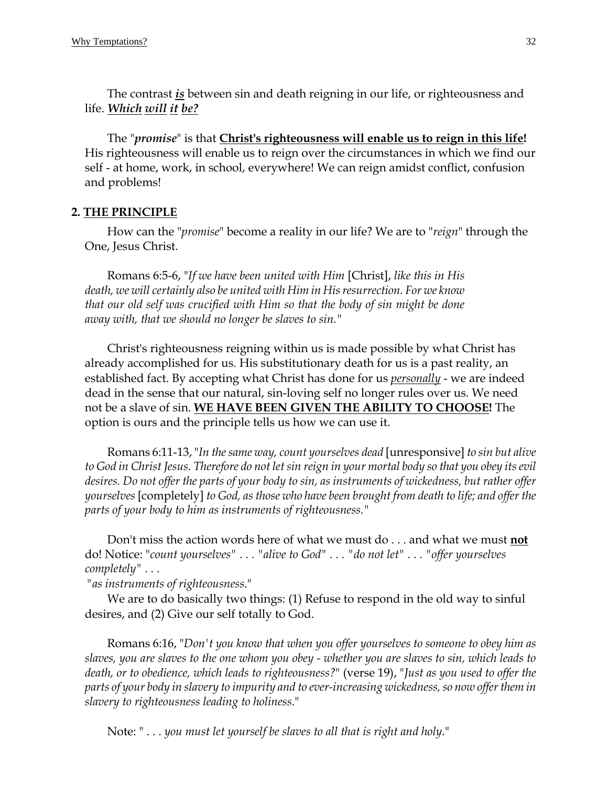The contrast *is* between sin and death reigning in our life, or righteousness and life. *Which will it be?*

The "*promise*" is that **Christ's righteousness will enable us to reign in this life!** His righteousness will enable us to reign over the circumstances in which we find our self - at home, work, in school, everywhere! We can reign amidst conflict, confusion and problems!

#### **2. THE PRINCIPLE**

How can the "*promise*" become a reality in our life? We are to "*reign*" through the One, Jesus Christ.

Romans 6:5-6, "*If we have been united with Him* [Christ], *like this in His death, we will certainly also be united with Him in His resurrection. For we know that our old self was crucified with Him so that the body of sin might be done away with, that we should no longer be slaves to sin."* 

Christ's righteousness reigning within us is made possible by what Christ has already accomplished for us. His substitutionary death for us is a past reality, an established fact. By accepting what Christ has done for us *personally* - we are indeed dead in the sense that our natural, sin-loving self no longer rules over us. We need not be a slave of sin. **WE HAVE BEEN GIVEN THE ABILITY TO CHOOSE!** The option is ours and the principle tells us how we can use it.

Romans 6:11-13, "*In the same way, count yourselves dead* [unresponsive] *to sin but alive to God in Christ Jesus. Therefore do not let sin reign in your mortal body so that you obey its evil desires. Do not offer the parts of your body to sin, as instruments of wickedness, but rather offer yourselves* [completely] *to God, as those who have been brought from death to life; and offer the parts of your body to him as instruments of righteousness."*

Don't miss the action words here of what we must do . . . and what we must **not** do! Notice: "*count yourselves" . . . "alive to God" . . . "do not let" . . . "offer yourselves completely" . . .* 

*"as instruments of righteousness*."

We are to do basically two things: (1) Refuse to respond in the old way to sinful desires, and (2) Give our self totally to God.

Romans 6:16, "*Don't you know that when you offer yourselves to someone to obey him as slaves, you are slaves to the one whom you obey - whether you are slaves to sin, which leads to death, or to obedience, which leads to righteousness?*" (verse 19), "*Just as you used to offer the parts of your body in slavery to impurity and to ever-increasing wickedness, so now offer them in slavery to righteousness leading to holiness*."

Note: " . . . *you must let yourself be slaves to all that is right and holy*."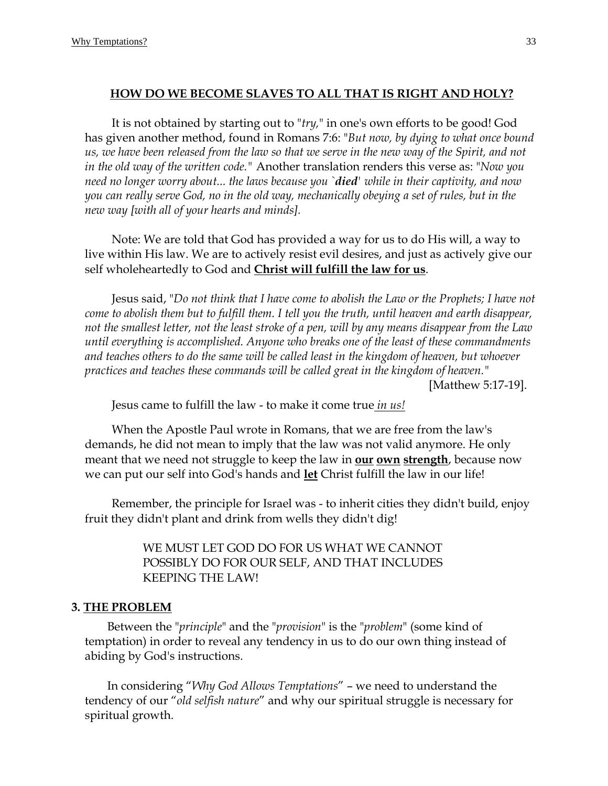#### **HOW DO WE BECOME SLAVES TO ALL THAT IS RIGHT AND HOLY?**

It is not obtained by starting out to "*try,*" in one's own efforts to be good! God has given another method, found in Romans 7:6: "*But now, by dying to what once bound us, we have been released from the law so that we serve in the new way of the Spirit, and not in the old way of the written code."* Another translation renders this verse as: "*Now you need no longer worry about... the laws because you `died' while in their captivity, and now you can really serve God, no in the old way, mechanically obeying a set of rules, but in the new way [with all of your hearts and minds].*

Note: We are told that God has provided a way for us to do His will, a way to live within His law. We are to actively resist evil desires, and just as actively give our self wholeheartedly to God and **Christ will fulfill the law for us**.

Jesus said, "*Do not think that I have come to abolish the Law or the Prophets; I have not come to abolish them but to fulfill them. I tell you the truth, until heaven and earth disappear, not the smallest letter, not the least stroke of a pen, will by any means disappear from the Law until everything is accomplished. Anyone who breaks one of the least of these commandments and teaches others to do the same will be called least in the kingdom of heaven, but whoever practices and teaches these commands will be called great in the kingdom of heaven."* [Matthew 5:17-19].

Jesus came to fulfill the law - to make it come true *in us!*

When the Apostle Paul wrote in Romans, that we are free from the law's demands, he did not mean to imply that the law was not valid anymore. He only meant that we need not struggle to keep the law in **our own strength**, because now we can put our self into God's hands and **let** Christ fulfill the law in our life!

Remember, the principle for Israel was - to inherit cities they didn't build, enjoy fruit they didn't plant and drink from wells they didn't dig!

> WE MUST LET GOD DO FOR US WHAT WE CANNOT POSSIBLY DO FOR OUR SELF, AND THAT INCLUDES KEEPING THE LAW!

#### **3. THE PROBLEM**

Between the "*principle*" and the "*provision*" is the "*problem*" (some kind of temptation) in order to reveal any tendency in us to do our own thing instead of abiding by God's instructions.

In considering "*Why God Allows Temptations*" – we need to understand the tendency of our "*old selfish nature*" and why our spiritual struggle is necessary for spiritual growth.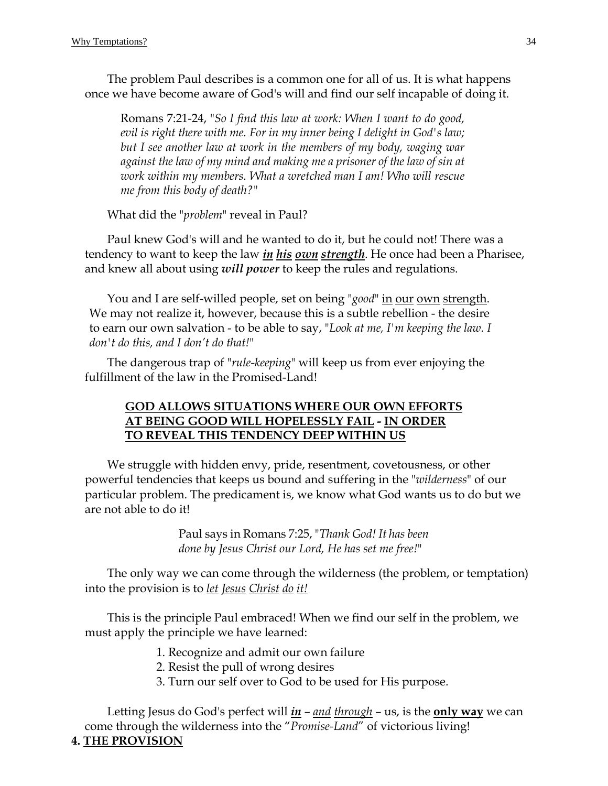The problem Paul describes is a common one for all of us. It is what happens once we have become aware of God's will and find our self incapable of doing it.

Romans 7:21-24, "*So I find this law at work: When I want to do good, evil is right there with me. For in my inner being I delight in God's law; but I see another law at work in the members of my body, waging war against the law of my mind and making me a prisoner of the law of sin at work within my members. What a wretched man I am! Who will rescue me from this body of death?"* 

What did the "*problem*" reveal in Paul?

Paul knew God's will and he wanted to do it, but he could not! There was a tendency to want to keep the law *in his own strength*. He once had been a Pharisee, and knew all about using *will power* to keep the rules and regulations.

You and I are self-willed people, set on being "*good*" in our own strength. We may not realize it, however, because this is a subtle rebellion - the desire to earn our own salvation - to be able to say, "*Look at me, I'm keeping the law. I don't do this, and I don't do that!*"

The dangerous trap of "*rule-keeping*" will keep us from ever enjoying the fulfillment of the law in the Promised-Land!

#### **GOD ALLOWS SITUATIONS WHERE OUR OWN EFFORTS AT BEING GOOD WILL HOPELESSLY FAIL - IN ORDER TO REVEAL THIS TENDENCY DEEP WITHIN US**

We struggle with hidden envy, pride, resentment, covetousness, or other powerful tendencies that keeps us bound and suffering in the "*wilderness*" of our particular problem. The predicament is, we know what God wants us to do but we are not able to do it!

> Paul says in Romans 7:25, "*Thank God! It has been done by Jesus Christ our Lord, He has set me free!*"

The only way we can come through the wilderness (the problem, or temptation) into the provision is to *let Jesus Christ do it!*

This is the principle Paul embraced! When we find our self in the problem, we must apply the principle we have learned:

- 1. Recognize and admit our own failure
- 2. Resist the pull of wrong desires
- 3. Turn our self over to God to be used for His purpose.

Letting Jesus do God's perfect will *in* – *and through* – us, is the **only way** we can come through the wilderness into the "*Promise-Land*" of victorious living!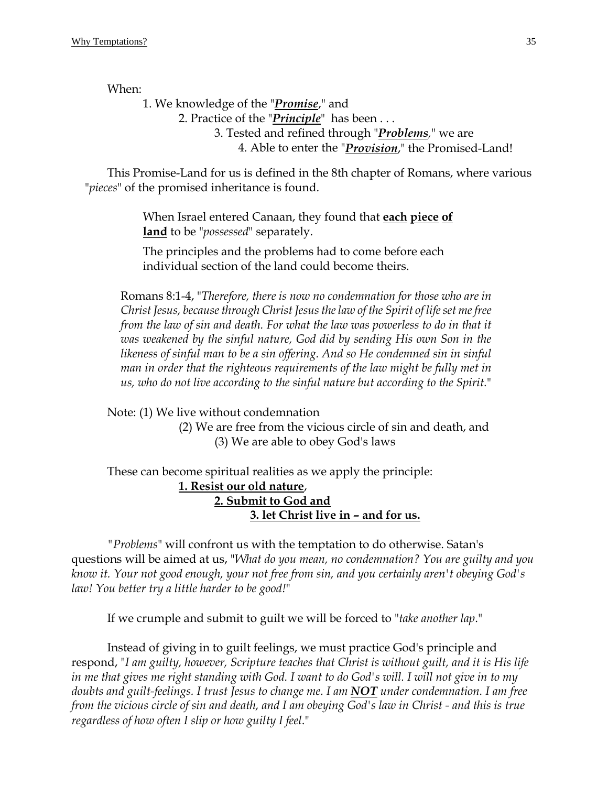When:

1. We knowledge of the "*Promise*," and

2. Practice of the "*Principle*" has been . . .

3. Tested and refined through "*Problems,*" we are 4. Able to enter the "*Provision*," the Promised-Land!

This Promise-Land for us is defined in the 8th chapter of Romans, where various "*pieces*" of the promised inheritance is found.

> When Israel entered Canaan, they found that **each piece of land** to be "*possessed*" separately.

The principles and the problems had to come before each individual section of the land could become theirs.

Romans 8:1-4, "*Therefore, there is now no condemnation for those who are in Christ Jesus, because through Christ Jesus the law of the Spirit of life set me free from the law of sin and death. For what the law was powerless to do in that it was weakened by the sinful nature, God did by sending His own Son in the likeness of sinful man to be a sin offering. And so He condemned sin in sinful man in order that the righteous requirements of the law might be fully met in us, who do not live according to the sinful nature but according to the Spirit.*"

Note: (1) We live without condemnation (2) We are free from the vicious circle of sin and death, and (3) We are able to obey God's laws

These can become spiritual realities as we apply the principle: **1. Resist our old nature**, **2. Submit to God and 3. let Christ live in – and for us.**

*"Problems*" will confront us with the temptation to do otherwise. Satan's questions will be aimed at us, "*What do you mean, no condemnation? You are guilty and you know it. Your not good enough, your not free from sin, and you certainly aren't obeying God's law! You better try a little harder to be good!*"

If we crumple and submit to guilt we will be forced to "*take another lap*."

Instead of giving in to guilt feelings, we must practice God's principle and respond, "*I am guilty, however, Scripture teaches that Christ is without guilt, and it is His life in me that gives me right standing with God. I want to do God's will. I will not give in to my doubts and guilt-feelings. I trust Jesus to change me. I am NOT under condemnation. I am free from the vicious circle of sin and death, and I am obeying God's law in Christ - and this is true regardless of how often I slip or how guilty I feel*."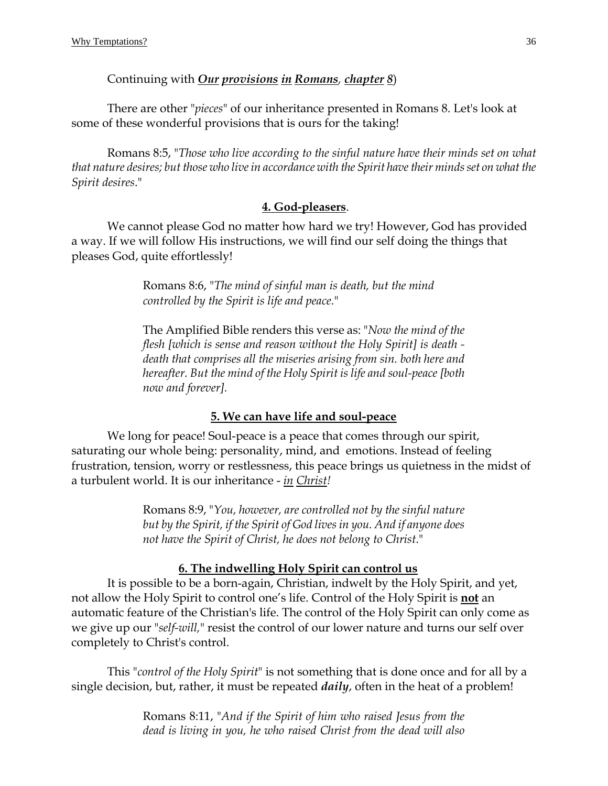#### Continuing with *Our provisions in Romans, chapter 8*)

There are other "*pieces*" of our inheritance presented in Romans 8. Let's look at some of these wonderful provisions that is ours for the taking!

Romans 8:5, "*Those who live according to the sinful nature have their minds set on what that nature desires; but those who live in accordance with the Spirit have their minds set on what the Spirit desires*."

#### **4. God-pleasers**.

We cannot please God no matter how hard we try! However, God has provided a way. If we will follow His instructions, we will find our self doing the things that pleases God, quite effortlessly!

> Romans 8:6, "*The mind of sinful man is death, but the mind controlled by the Spirit is life and peace.*"

The Amplified Bible renders this verse as: "*Now the mind of the flesh [which is sense and reason without the Holy Spirit] is death death that comprises all the miseries arising from sin. both here and hereafter. But the mind of the Holy Spirit is life and soul-peace [both now and forever].* 

#### **5. We can have life and soul-peace**

We long for peace! Soul-peace is a peace that comes through our spirit, saturating our whole being: personality, mind, and emotions. Instead of feeling frustration, tension, worry or restlessness, this peace brings us quietness in the midst of a turbulent world. It is our inheritance - *in Christ!*

> Romans 8:9, "*You, however, are controlled not by the sinful nature but by the Spirit, if the Spirit of God lives in you. And if anyone does not have the Spirit of Christ, he does not belong to Christ*."

#### **6. The indwelling Holy Spirit can control us**

It is possible to be a born-again, Christian, indwelt by the Holy Spirit, and yet, not allow the Holy Spirit to control one's life. Control of the Holy Spirit is **not** an automatic feature of the Christian's life. The control of the Holy Spirit can only come as we give up our "*self-will,*" resist the control of our lower nature and turns our self over completely to Christ's control.

This "*control of the Holy Spirit*" is not something that is done once and for all by a single decision, but, rather, it must be repeated *daily*, often in the heat of a problem!

> Romans 8:11, "*And if the Spirit of him who raised Jesus from the dead is living in you, he who raised Christ from the dead will also*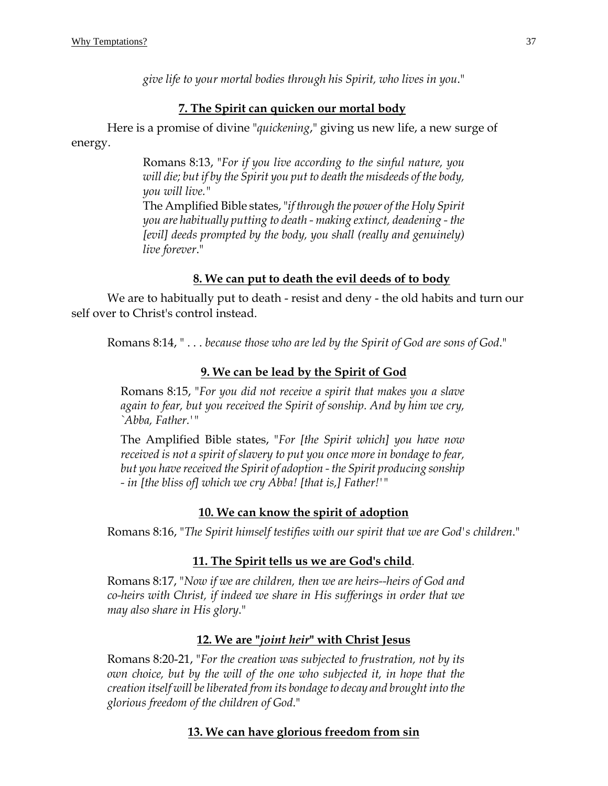*give life to your mortal bodies through his Spirit, who lives in you*."

#### **7. The Spirit can quicken our mortal body**

Here is a promise of divine "*quickening*," giving us new life, a new surge of energy.

> Romans 8:13, "*For if you live according to the sinful nature, you will die; but if by the Spirit you put to death the misdeeds of the body, you will live."*

> The Amplified Bible states, "*if through the power of the Holy Spirit you are habitually putting to death - making extinct, deadening - the [evil] deeds prompted by the body, you shall (really and genuinely) live forever*."

#### **8. We can put to death the evil deeds of to body**

We are to habitually put to death - resist and deny - the old habits and turn our self over to Christ's control instead.

Romans 8:14, " . . . *because those who are led by the Spirit of God are sons of God*."

#### **9. We can be lead by the Spirit of God**

Romans 8:15, "*For you did not receive a spirit that makes you a slave again to fear, but you received the Spirit of sonship. And by him we cry, `Abba, Father.'"* 

The Amplified Bible states, "*For [the Spirit which] you have now received is not a spirit of slavery to put you once more in bondage to fear, but you have received the Spirit of adoption - the Spirit producing sonship - in [the bliss of] which we cry Abba! [that is,] Father!'"*

#### **10. We can know the spirit of adoption**

Romans 8:16, "*The Spirit himself testifies with our spirit that we are God's children*."

#### **11. The Spirit tells us we are God's child**.

Romans 8:17, "*Now if we are children, then we are heirs--heirs of God and co-heirs with Christ, if indeed we share in His sufferings in order that we may also share in His glory*."

#### **12. We are "***joint heir***" with Christ Jesus**

Romans 8:20-21, "*For the creation was subjected to frustration, not by its own choice, but by the will of the one who subjected it, in hope that the creation itself will be liberated from its bondage to decay and brought into the glorious freedom of the children of God*."

#### **13. We can have glorious freedom from sin**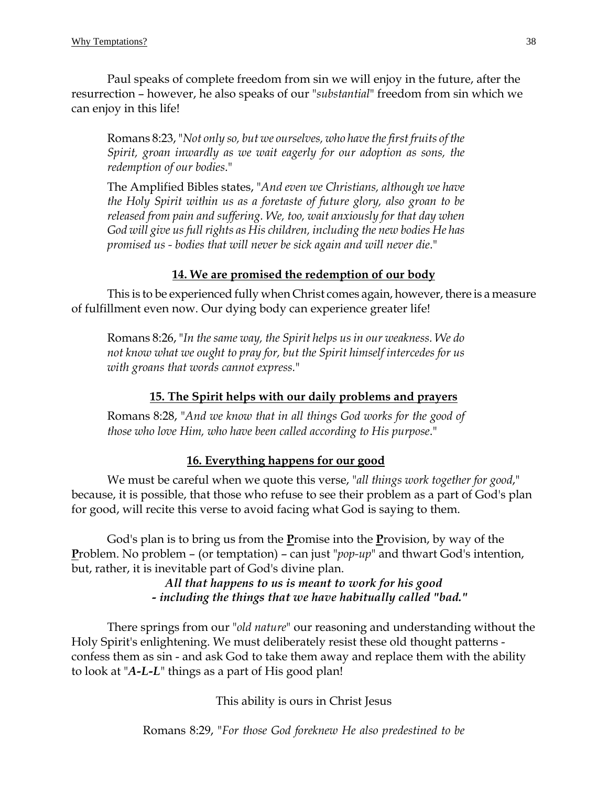Paul speaks of complete freedom from sin we will enjoy in the future, after the resurrection – however, he also speaks of our "*substantial*" freedom from sin which we can enjoy in this life!

Romans 8:23, "*Not only so, but we ourselves, who have the first fruits of the Spirit, groan inwardly as we wait eagerly for our adoption as sons, the redemption of our bodies*."

The Amplified Bibles states, "*And even we Christians, although we have the Holy Spirit within us as a foretaste of future glory, also groan to be released from pain and suffering. We, too, wait anxiously for that day when God will give us full rights as His children, including the new bodies He has promised us - bodies that will never be sick again and will never die*."

#### **14. We are promised the redemption of our body**

This is to be experienced fully when Christ comes again, however, there is a measure of fulfillment even now. Our dying body can experience greater life!

Romans 8:26, "*In the same way, the Spirit helps us in our weakness. We do not know what we ought to pray for, but the Spirit himself intercedes for us with groans that words cannot express.*"

#### **15. The Spirit helps with our daily problems and prayers**

Romans 8:28, "*And we know that in all things God works for the good of those who love Him, who have been called according to His purpose*."

#### **16. Everything happens for our good**

We must be careful when we quote this verse, "*all things work together for good*," because, it is possible, that those who refuse to see their problem as a part of God's plan for good, will recite this verse to avoid facing what God is saying to them.

God's plan is to bring us from the **P**romise into the **P**rovision, by way of the **P**roblem. No problem – (or temptation) – can just "*pop-up*" and thwart God's intention, but, rather, it is inevitable part of God's divine plan.

> *All that happens to us is meant to work for his good - including the things that we have habitually called "bad."*

There springs from our "*old nature*" our reasoning and understanding without the Holy Spirit's enlightening. We must deliberately resist these old thought patterns confess them as sin - and ask God to take them away and replace them with the ability to look at "*A-L-L*" things as a part of His good plan!

This ability is ours in Christ Jesus

Romans 8:29, "*For those God foreknew He also predestined to be*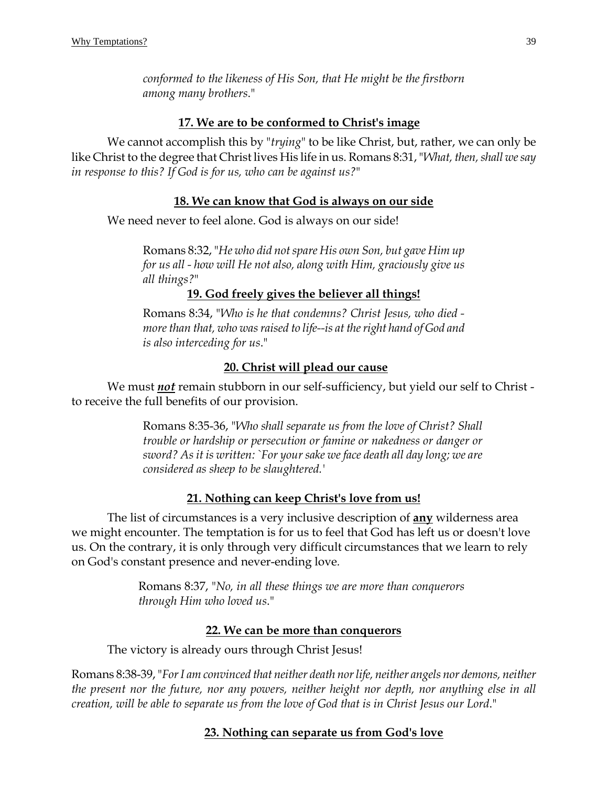*conformed to the likeness of His Son, that He might be the firstborn among many brothers*."

#### **17. We are to be conformed to Christ's image**

We cannot accomplish this by "*trying*" to be like Christ, but, rather, we can only be like Christ to the degree that Christ lives His life in us. Romans 8:31, "*What, then, shall we say in response to this? If God is for us, who can be against us?*"

#### **18. We can know that God is always on our side**

We need never to feel alone. God is always on our side!

Romans 8:32, "*He who did not spare His own Son, but gave Him up for us all - how will He not also, along with Him, graciously give us all things?*"

#### **19. God freely gives the believer all things!**

Romans 8:34, "*Who is he that condemns? Christ Jesus, who died more than that, who was raised to life--is at the right hand of God and is also interceding for us*."

#### **20. Christ will plead our cause**

We must *not* remain stubborn in our self-sufficiency, but yield our self to Christ to receive the full benefits of our provision.

> Romans 8:35-36, "*Who shall separate us from the love of Christ? Shall trouble or hardship or persecution or famine or nakedness or danger or sword? As it is written: `For your sake we face death all day long; we are considered as sheep to be slaughtered.'*

#### **21. Nothing can keep Christ's love from us!**

The list of circumstances is a very inclusive description of **any** wilderness area we might encounter. The temptation is for us to feel that God has left us or doesn't love us. On the contrary, it is only through very difficult circumstances that we learn to rely on God's constant presence and never-ending love*.* 

> Romans 8:37, "*No, in all these things we are more than conquerors through Him who loved us*."

#### **22. We can be more than conquerors**

The victory is already ours through Christ Jesus!

Romans 8:38-39, "*For I am convinced that neither death nor life, neither angels nor demons, neither the present nor the future, nor any powers, neither height nor depth, nor anything else in all creation, will be able to separate us from the love of God that is in Christ Jesus our Lord*."

#### **23. Nothing can separate us from God's love**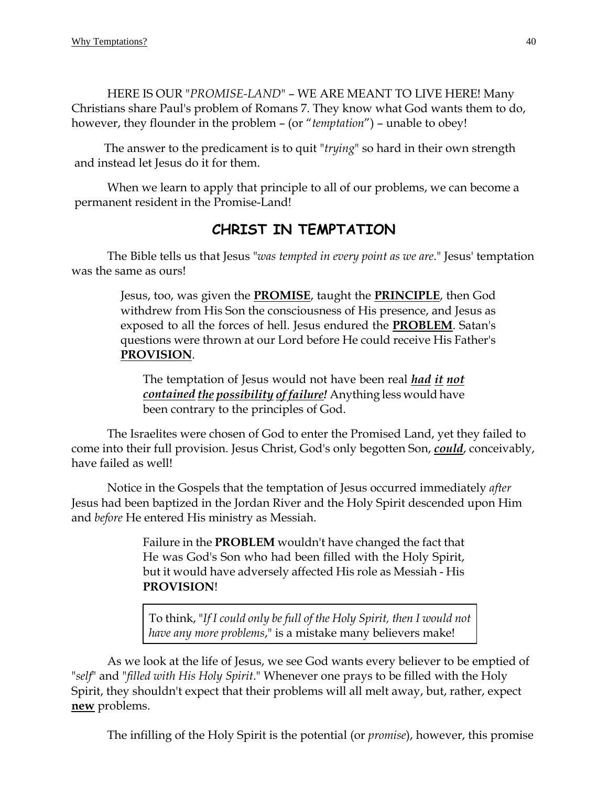HERE IS OUR "*PROMISE-LAND*" – WE ARE MEANT TO LIVE HERE! Many Christians share Paul's problem of Romans 7. They know what God wants them to do, however, they flounder in the problem – (or "*temptation*") – unable to obey!

 The answer to the predicament is to quit "*trying*" so hard in their own strength and instead let Jesus do it for them.

 When we learn to apply that principle to all of our problems, we can become a permanent resident in the Promise-Land!

#### **CHRIST IN TEMPTATION**

The Bible tells us that Jesus "*was tempted in every point as we are*." Jesus' temptation was the same as ours!

> Jesus, too, was given the **PROMISE**, taught the **PRINCIPLE**, then God withdrew from His Son the consciousness of His presence, and Jesus as exposed to all the forces of hell. Jesus endured the **PROBLEM**. Satan's questions were thrown at our Lord before He could receive His Father's **PROVISION**.

The temptation of Jesus would not have been real *had it not contained the possibility of failure!* Anything less would have been contrary to the principles of God.

The Israelites were chosen of God to enter the Promised Land, yet they failed to come into their full provision. Jesus Christ, God's only begotten Son, *could*, conceivably, have failed as well!

Notice in the Gospels that the temptation of Jesus occurred immediately *after* Jesus had been baptized in the Jordan River and the Holy Spirit descended upon Him and *before* He entered His ministry as Messiah.

> Failure in the **PROBLEM** wouldn't have changed the fact that He was God's Son who had been filled with the Holy Spirit, but it would have adversely affected His role as Messiah - His **PROVISION**!

To think, "*If I could only be full of the Holy Spirit, then I would not have any more problems*," is a mistake many believers make!

As we look at the life of Jesus, we see God wants every believer to be emptied of "*self*" and "*filled with His Holy Spirit*." Whenever one prays to be filled with the Holy Spirit, they shouldn't expect that their problems will all melt away, but, rather, expect **new** problems.

The infilling of the Holy Spirit is the potential (or *promise*), however, this promise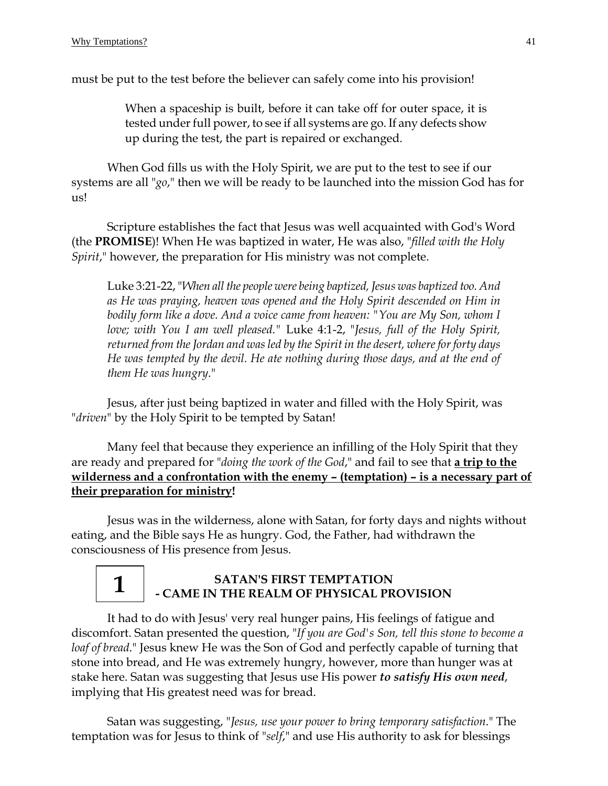must be put to the test before the believer can safely come into his provision!

When a spaceship is built, before it can take off for outer space, it is tested under full power, to see if all systems are go. If any defects show up during the test, the part is repaired or exchanged.

When God fills us with the Holy Spirit, we are put to the test to see if our systems are all "*go*," then we will be ready to be launched into the mission God has for us!

Scripture establishes the fact that Jesus was well acquainted with God's Word (the **PROMISE**)! When He was baptized in water, He was also, "*filled with the Holy Spirit*," however, the preparation for His ministry was not complete.

Luke 3:21-22, "*When all the people were being baptized, Jesus was baptized too. And as He was praying, heaven was opened and the Holy Spirit descended on Him in* bodily form like a dove. And a voice came from heaven: "You are My Son, whom I *love; with You I am well pleased."* Luke 4:1-2, "*Jesus, full of the Holy Spirit, returned from the Jordan and was led by the Spirit in the desert, where for forty days He was tempted by the devil. He ate nothing during those days, and at the end of them He was hungry*."

Jesus, after just being baptized in water and filled with the Holy Spirit, was "*driven*" by the Holy Spirit to be tempted by Satan!

Many feel that because they experience an infilling of the Holy Spirit that they are ready and prepared for "*doing the work of the God*," and fail to see that **a trip to the wilderness and a confrontation with the enemy – (temptation) – is a necessary part of their preparation for ministry!**

Jesus was in the wilderness, alone with Satan, for forty days and nights without eating, and the Bible says He as hungry. God, the Father, had withdrawn the consciousness of His presence from Jesus.

# **T**  $\begin{array}{|c|c|c|c|c|} \hline & & \text{SATAN'S FIRST TEMPTATION} \ \hline \end{array}$  - CAME IN THE REALM OF PHYSICAL PROVISION

It had to do with Jesus' very real hunger pains, His feelings of fatigue and discomfort. Satan presented the question, "*If you are God's Son, tell this stone to become a loaf of bread*." Jesus knew He was the Son of God and perfectly capable of turning that stone into bread, and He was extremely hungry, however, more than hunger was at stake here. Satan was suggesting that Jesus use His power *to satisfy His own need*, implying that His greatest need was for bread.

Satan was suggesting, "*Jesus, use your power to bring temporary satisfaction*." The temptation was for Jesus to think of "*self*," and use His authority to ask for blessings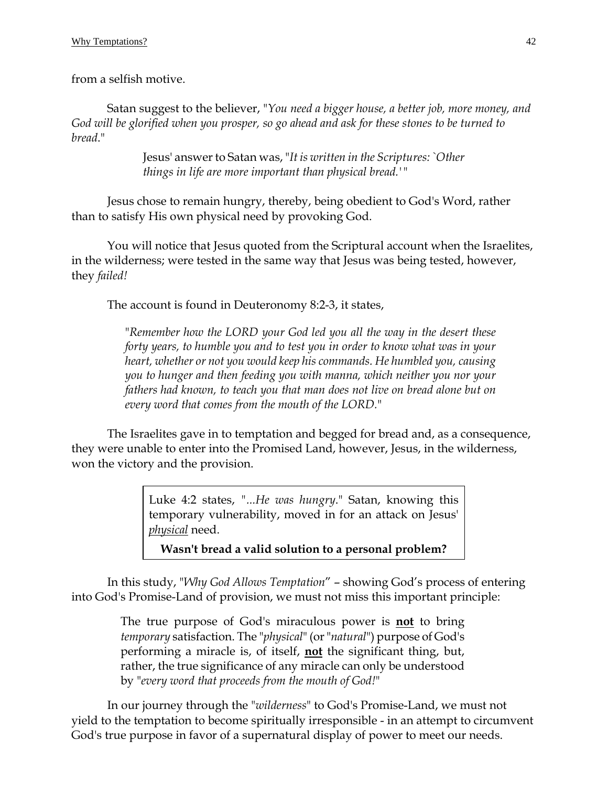#### from a selfish motive.

Satan suggest to the believer, "*You need a bigger house, a better job, more money, and God will be glorified when you prosper, so go ahead and ask for these stones to be turned to bread*."

> Jesus' answer to Satan was, "*It is written in the Scriptures: `Other things in life are more important than physical bread.'"*

Jesus chose to remain hungry, thereby, being obedient to God's Word, rather than to satisfy His own physical need by provoking God.

You will notice that Jesus quoted from the Scriptural account when the Israelites, in the wilderness; were tested in the same way that Jesus was being tested, however, they *failed!* 

The account is found in Deuteronomy 8:2-3, it states,

"*Remember how the LORD your God led you all the way in the desert these forty years, to humble you and to test you in order to know what was in your heart, whether or not you would keep his commands. He humbled you, causing you to hunger and then feeding you with manna, which neither you nor your fathers had known, to teach you that man does not live on bread alone but on every word that comes from the mouth of the LORD.*"

The Israelites gave in to temptation and begged for bread and, as a consequence, they were unable to enter into the Promised Land, however, Jesus, in the wilderness, won the victory and the provision.

> Luke 4:2 states, *"...He was hungry*." Satan, knowing this temporary vulnerability, moved in for an attack on Jesus' *physical* need.

 **Wasn't bread a valid solution to a personal problem?**

In this study, "*Why God Allows Temptation*" – showing God's process of entering into God's Promise-Land of provision, we must not miss this important principle:

> The true purpose of God's miraculous power is **not** to bring *temporary* satisfaction. The "*physical*" (or "*natural*") purpose of God's performing a miracle is, of itself, **not** the significant thing, but, rather, the true significance of any miracle can only be understood by "*every word that proceeds from the mouth of God!*"

In our journey through the "*wilderness*" to God's Promise-Land, we must not yield to the temptation to become spiritually irresponsible - in an attempt to circumvent God's true purpose in favor of a supernatural display of power to meet our needs.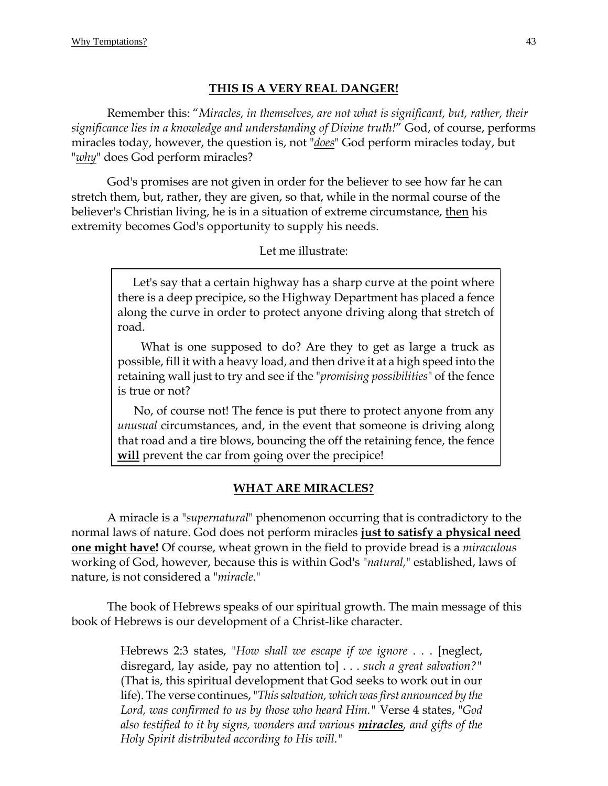#### **THIS IS A VERY REAL DANGER!**

Remember this: "*Miracles, in themselves, are not what is significant, but, rather, their significance lies in a knowledge and understanding of Divine truth!*" God, of course, performs miracles today, however, the question is, not "*does*" God perform miracles today, but "*why*" does God perform miracles?

God's promises are not given in order for the believer to see how far he can stretch them, but, rather, they are given, so that, while in the normal course of the believer's Christian living, he is in a situation of extreme circumstance, then his extremity becomes God's opportunity to supply his needs.

Let me illustrate:

 Let's say that a certain highway has a sharp curve at the point where there is a deep precipice, so the Highway Department has placed a fence along the curve in order to protect anyone driving along that stretch of road.

 What is one supposed to do? Are they to get as large a truck as possible, fill it with a heavy load, and then drive it at a high speed into the retaining wall just to try and see if the "*promising possibilities*" of the fence is true or not?

 No, of course not! The fence is put there to protect anyone from any *unusual* circumstances, and, in the event that someone is driving along that road and a tire blows, bouncing the off the retaining fence, the fence **will** prevent the car from going over the precipice!

#### **WHAT ARE MIRACLES?**

A miracle is a "*supernatural*" phenomenon occurring that is contradictory to the normal laws of nature. God does not perform miracles **just to satisfy a physical need one might have!** Of course, wheat grown in the field to provide bread is a *miraculous* working of God, however, because this is within God's "*natural,*" established, laws of nature, is not considered a "*miracle*."

The book of Hebrews speaks of our spiritual growth. The main message of this book of Hebrews is our development of a Christ-like character.

> Hebrews 2:3 states, "*How shall we escape if we ignore* . . . [neglect, disregard, lay aside, pay no attention to] . . . *such a great salvation?"* (That is, this spiritual development that God seeks to work out in our life). The verse continues, "*This salvation, which was first announced by the Lord, was confirmed to us by those who heard Him."* Verse 4 states, "*God also testified to it by signs, wonders and various miracles, and gifts of the Holy Spirit distributed according to His will."*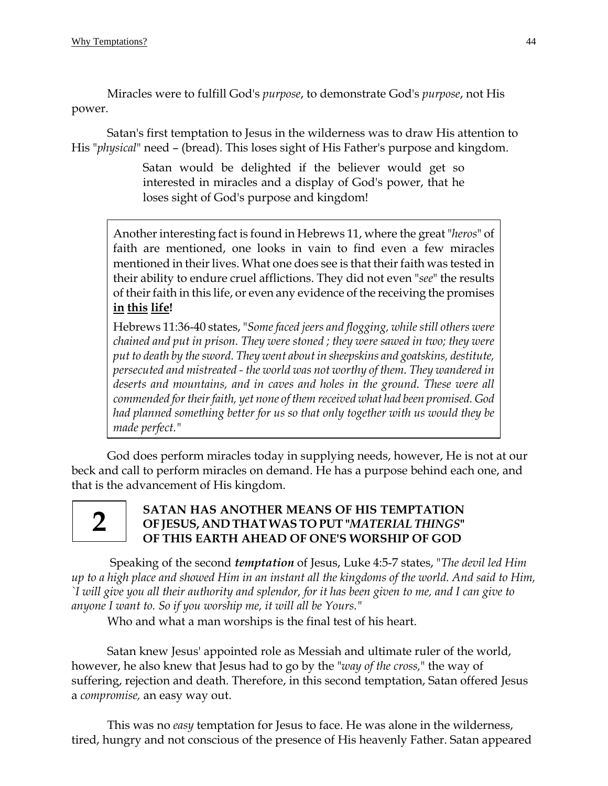Miracles were to fulfill God's *purpose*, to demonstrate God's *purpose*, not His power.

Satan's first temptation to Jesus in the wilderness was to draw His attention to His "*physical*" need – (bread). This loses sight of His Father's purpose and kingdom.

> Satan would be delighted if the believer would get so interested in miracles and a display of God's power, that he loses sight of God's purpose and kingdom!

Another interesting fact is found in Hebrews 11, where the great "*heros*" of faith are mentioned, one looks in vain to find even a few miracles mentioned in their lives. What one does see is that their faith was tested in their ability to endure cruel afflictions. They did not even "*see*" the results of their faith in this life, or even any evidence of the receiving the promises **in this life!** 

Hebrews 11:36-40 states, "*Some faced jeers and flogging, while still others were chained and put in prison. They were stoned ; they were sawed in two; they were put to death by the sword. They went about in sheepskins and goatskins, destitute, persecuted and mistreated - the world was not worthy of them. They wandered in deserts and mountains, and in caves and holes in the ground. These were all commended for their faith, yet none of them received what had been promised. God had planned something better for us so that only together with us would they be made perfect."* 

God does perform miracles today in supplying needs, however, He is not at our beck and call to perform miracles on demand. He has a purpose behind each one, and that is the advancement of His kingdom.

# **2 b SATAN HAS ANOTHER MEANS OF HIS TEMPTATION**<br> **OF JESUS, AND THAT WAS TO PUT "***MATERIAL THINGS***" OF THIS EARTH AHEAD OF ONE'S WORSHIP OF GOD**

Speaking of the second *temptation* of Jesus, Luke 4:5-7 states, "*The devil led Him up to a high place and showed Him in an instant all the kingdoms of the world. And said to Him, `I will give you all their authority and splendor, for it has been given to me, and I can give to anyone I want to. So if you worship me, it will all be Yours."*

Who and what a man worships is the final test of his heart.

Satan knew Jesus' appointed role as Messiah and ultimate ruler of the world, however, he also knew that Jesus had to go by the "*way of the cross,*" the way of suffering, rejection and death. Therefore, in this second temptation, Satan offered Jesus a *compromise,* an easy way out.

This was no *easy* temptation for Jesus to face. He was alone in the wilderness, tired, hungry and not conscious of the presence of His heavenly Father. Satan appeared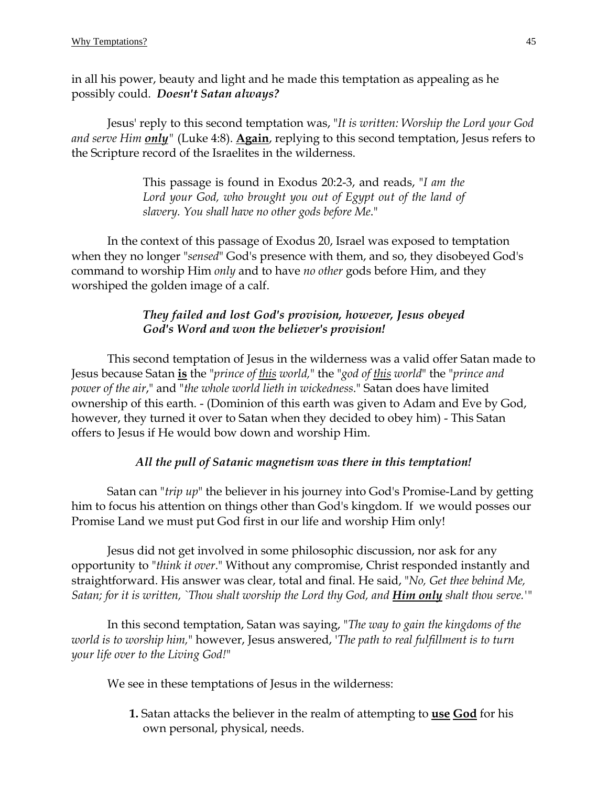in all his power, beauty and light and he made this temptation as appealing as he possibly could. *Doesn't Satan always?*

Jesus' reply to this second temptation was, "*It is written: Worship the Lord your God and serve Him only"* (Luke 4:8). **Again**, replying to this second temptation, Jesus refers to the Scripture record of the Israelites in the wilderness.

> This passage is found in Exodus 20:2-3, and reads, "*I am the Lord your God, who brought you out of Egypt out of the land of slavery. You shall have no other gods before Me*."

In the context of this passage of Exodus 20, Israel was exposed to temptation when they no longer "*sensed*" God's presence with them, and so, they disobeyed God's command to worship Him *only* and to have *no other* gods before Him, and they worshiped the golden image of a calf.

#### *They failed and lost God's provision, however, Jesus obeyed God's Word and won the believer's provision!*

This second temptation of Jesus in the wilderness was a valid offer Satan made to Jesus because Satan **is** the "*prince of this world,*" the "*god of this world*" the "*prince and power of the air*," and "*the whole world lieth in wickedness*." Satan does have limited ownership of this earth. - (Dominion of this earth was given to Adam and Eve by God, however, they turned it over to Satan when they decided to obey him) - This Satan offers to Jesus if He would bow down and worship Him.

#### *All the pull of Satanic magnetism was there in this temptation!*

Satan can "*trip up*" the believer in his journey into God's Promise-Land by getting him to focus his attention on things other than God's kingdom. If we would posses our Promise Land we must put God first in our life and worship Him only!

Jesus did not get involved in some philosophic discussion, nor ask for any opportunity to "*think it over*." Without any compromise, Christ responded instantly and straightforward. His answer was clear, total and final. He said, "*No, Get thee behind Me, Satan; for it is written, `Thou shalt worship the Lord thy God, and Him only shalt thou serve.'*"

In this second temptation, Satan was saying, "*The way to gain the kingdoms of the world is to worship him,*" however, Jesus answered, '*The path to real fulfillment is to turn your life over to the Living God!*"

We see in these temptations of Jesus in the wilderness:

**1.** Satan attacks the believer in the realm of attempting to **use God** for his own personal, physical, needs.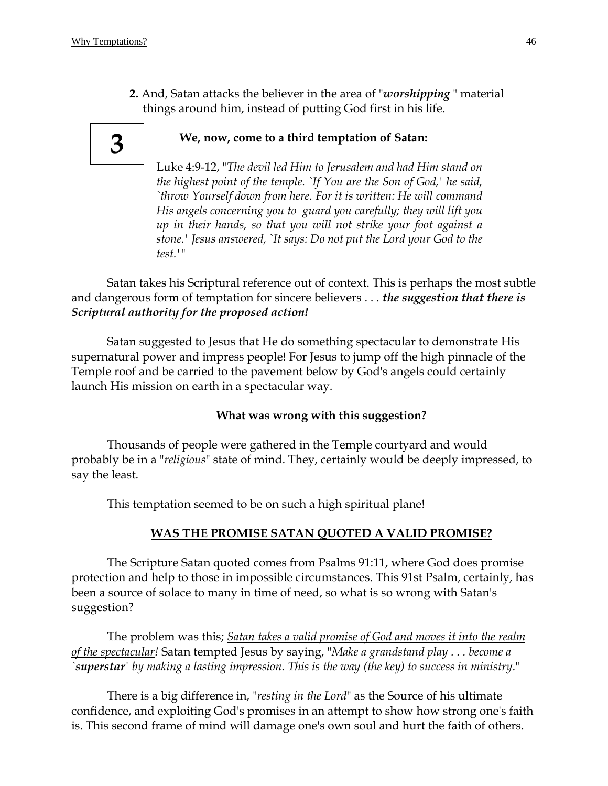**2.** And, Satan attacks the believer in the area of "*worshipping* " material things around him, instead of putting God first in his life.



# **We, now, come to a third temptation of Satan: 3**

Luke 4:9-12, "*The devil led Him to Jerusalem and had Him stand on the highest point of the temple. `If You are the Son of God,' he said, `throw Yourself down from here. For it is written: He will command His angels concerning you to guard you carefully; they will lift you up in their hands, so that you will not strike your foot against a stone.' Jesus answered, `It says: Do not put the Lord your God to the test.'"* 

Satan takes his Scriptural reference out of context. This is perhaps the most subtle and dangerous form of temptation for sincere believers . . . *the suggestion that there is Scriptural authority for the proposed action!*

Satan suggested to Jesus that He do something spectacular to demonstrate His supernatural power and impress people! For Jesus to jump off the high pinnacle of the Temple roof and be carried to the pavement below by God's angels could certainly launch His mission on earth in a spectacular way.

#### **What was wrong with this suggestion?**

Thousands of people were gathered in the Temple courtyard and would probably be in a "*religious*" state of mind. They, certainly would be deeply impressed, to say the least.

This temptation seemed to be on such a high spiritual plane!

#### **WAS THE PROMISE SATAN QUOTED A VALID PROMISE?**

The Scripture Satan quoted comes from Psalms 91:11, where God does promise protection and help to those in impossible circumstances. This 91st Psalm, certainly, has been a source of solace to many in time of need, so what is so wrong with Satan's suggestion?

The problem was this; *Satan takes a valid promise of God and moves it into the realm of the spectacular!* Satan tempted Jesus by saying, "*Make a grandstand play . . . become a `superstar' by making a lasting impression. This is the way (the key) to success in ministry*."

There is a big difference in, "*resting in the Lord*" as the Source of his ultimate confidence, and exploiting God's promises in an attempt to show how strong one's faith is. This second frame of mind will damage one's own soul and hurt the faith of others.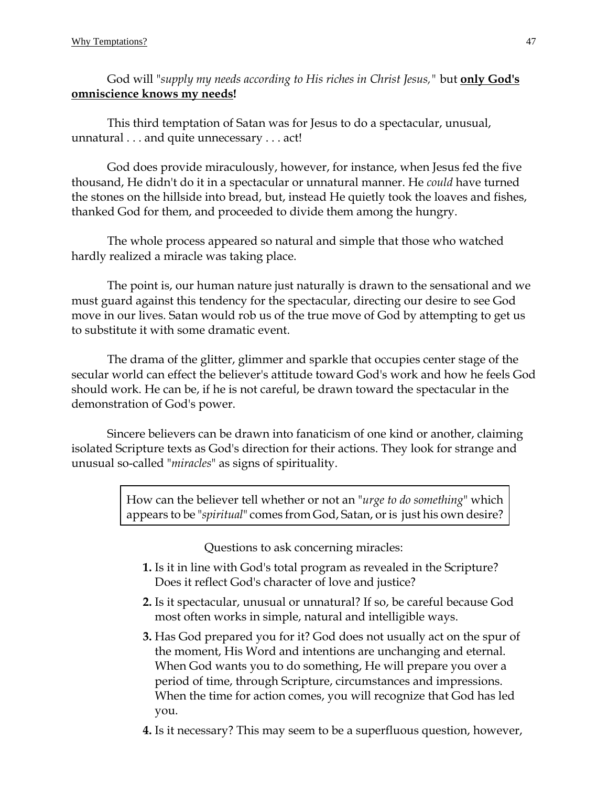God will "*supply my needs according to His riches in Christ Jesus,"* but **only God's omniscience knows my needs!**

This third temptation of Satan was for Jesus to do a spectacular, unusual, unnatural . . . and quite unnecessary . . . act!

God does provide miraculously, however, for instance, when Jesus fed the five thousand, He didn't do it in a spectacular or unnatural manner. He *could* have turned the stones on the hillside into bread, but, instead He quietly took the loaves and fishes, thanked God for them, and proceeded to divide them among the hungry.

The whole process appeared so natural and simple that those who watched hardly realized a miracle was taking place.

The point is, our human nature just naturally is drawn to the sensational and we must guard against this tendency for the spectacular, directing our desire to see God move in our lives. Satan would rob us of the true move of God by attempting to get us to substitute it with some dramatic event.

The drama of the glitter, glimmer and sparkle that occupies center stage of the secular world can effect the believer's attitude toward God's work and how he feels God should work. He can be, if he is not careful, be drawn toward the spectacular in the demonstration of God's power.

Sincere believers can be drawn into fanaticism of one kind or another, claiming isolated Scripture texts as God's direction for their actions. They look for strange and unusual so-called "*miracles*" as signs of spirituality.

> How can the believer tell whether or not an "*urge to do something*" which appears to be "*spiritual*" comes from God, Satan, or is just his own desire?

> > Questions to ask concerning miracles:

- **1.** Is it in line with God's total program as revealed in the Scripture? Does it reflect God's character of love and justice?
- **2.** Is it spectacular, unusual or unnatural? If so, be careful because God most often works in simple, natural and intelligible ways.
- **3.** Has God prepared you for it? God does not usually act on the spur of the moment, His Word and intentions are unchanging and eternal. When God wants you to do something, He will prepare you over a period of time, through Scripture, circumstances and impressions. When the time for action comes, you will recognize that God has led you.
- **4.** Is it necessary? This may seem to be a superfluous question, however,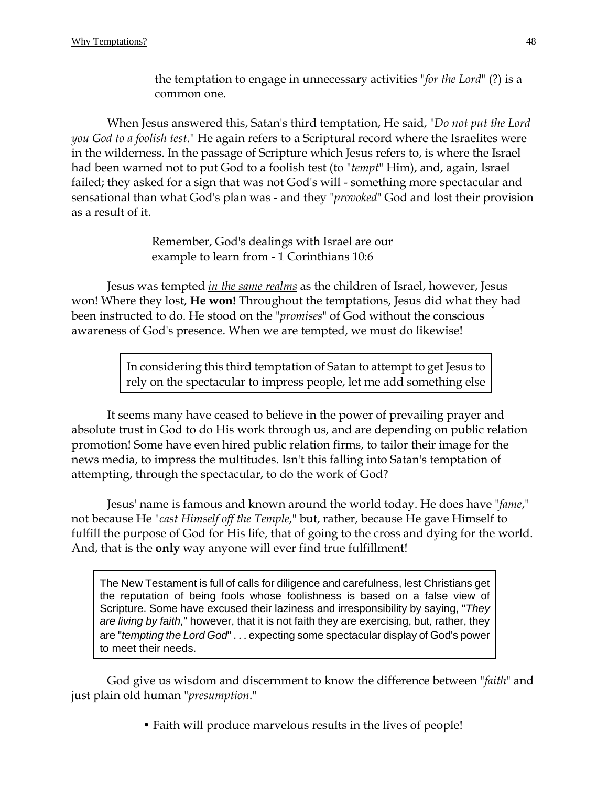the temptation to engage in unnecessary activities "*for the Lord*" (?) is a common one.

When Jesus answered this, Satan's third temptation, He said, "*Do not put the Lord you God to a foolish test*." He again refers to a Scriptural record where the Israelites were in the wilderness. In the passage of Scripture which Jesus refers to, is where the Israel had been warned not to put God to a foolish test (to "*tempt*" Him), and, again, Israel failed; they asked for a sign that was not God's will - something more spectacular and sensational than what God's plan was - and they "*provoked*" God and lost their provision as a result of it.

> Remember, God's dealings with Israel are our example to learn from - 1 Corinthians 10:6

Jesus was tempted *in the same realms* as the children of Israel, however, Jesus won! Where they lost, **He won!** Throughout the temptations, Jesus did what they had been instructed to do. He stood on the "*promises*" of God without the conscious awareness of God's presence. When we are tempted, we must do likewise!

> In considering this third temptation of Satan to attempt to get Jesus to rely on the spectacular to impress people, let me add something else

It seems many have ceased to believe in the power of prevailing prayer and absolute trust in God to do His work through us, and are depending on public relation promotion! Some have even hired public relation firms, to tailor their image for the news media, to impress the multitudes. Isn't this falling into Satan's temptation of attempting, through the spectacular, to do the work of God?

Jesus' name is famous and known around the world today. He does have "*fame*," not because He "*cast Himself off the Temple*," but, rather, because He gave Himself to fulfill the purpose of God for His life, that of going to the cross and dying for the world. And, that is the **only** way anyone will ever find true fulfillment!

The New Testament is full of calls for diligence and carefulness, lest Christians get the reputation of being fools whose foolishness is based on a false view of Scripture. Some have excused their laziness and irresponsibility by saying, "*They are living by faith,*" however, that it is not faith they are exercising, but, rather, they are "*tempting the Lord God*" . . . expecting some spectacular display of God's power to meet their needs.

God give us wisdom and discernment to know the difference between "*faith*" and just plain old human "*presumption*."

• Faith will produce marvelous results in the lives of people!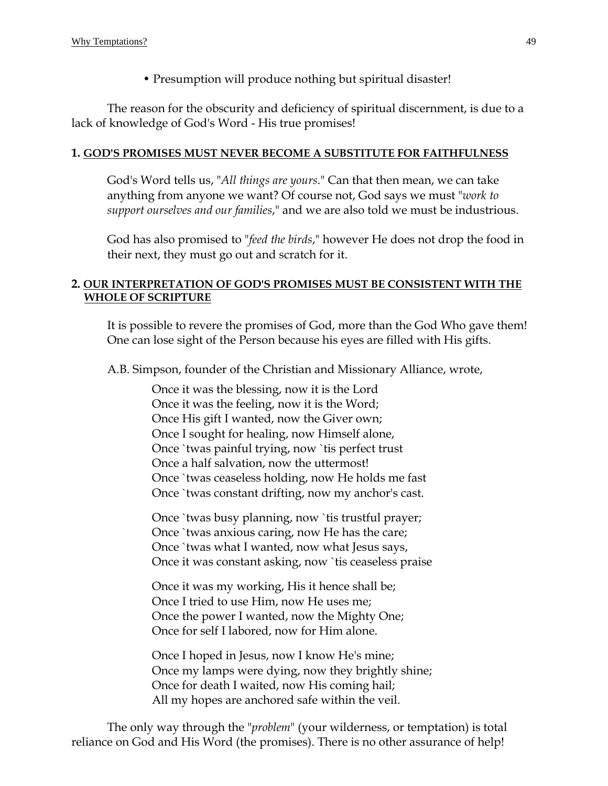• Presumption will produce nothing but spiritual disaster!

The reason for the obscurity and deficiency of spiritual discernment, is due to a lack of knowledge of God's Word - His true promises!

#### **1. GOD'S PROMISES MUST NEVER BECOME A SUBSTITUTE FOR FAITHFULNESS**

God's Word tells us, "*All things are yours*." Can that then mean, we can take anything from anyone we want? Of course not, God says we must "*work to support ourselves and our families*," and we are also told we must be industrious.

God has also promised to "*feed the birds*," however He does not drop the food in their next, they must go out and scratch for it.

#### **2. OUR INTERPRETATION OF GOD'S PROMISES MUST BE CONSISTENT WITH THE WHOLE OF SCRIPTURE**

It is possible to revere the promises of God, more than the God Who gave them! One can lose sight of the Person because his eyes are filled with His gifts.

A.B. Simpson, founder of the Christian and Missionary Alliance, wrote,

Once it was the blessing, now it is the Lord Once it was the feeling, now it is the Word; Once His gift I wanted, now the Giver own; Once I sought for healing, now Himself alone, Once `twas painful trying, now `tis perfect trust Once a half salvation, now the uttermost! Once `twas ceaseless holding, now He holds me fast Once `twas constant drifting, now my anchor's cast.

Once `twas busy planning, now `tis trustful prayer; Once `twas anxious caring, now He has the care; Once `twas what I wanted, now what Jesus says, Once it was constant asking, now `tis ceaseless praise

Once it was my working, His it hence shall be; Once I tried to use Him, now He uses me; Once the power I wanted, now the Mighty One; Once for self I labored, now for Him alone.

Once I hoped in Jesus, now I know He's mine; Once my lamps were dying, now they brightly shine; Once for death I waited, now His coming hail; All my hopes are anchored safe within the veil.

The only way through the "*problem*" (your wilderness, or temptation) is total reliance on God and His Word (the promises). There is no other assurance of help!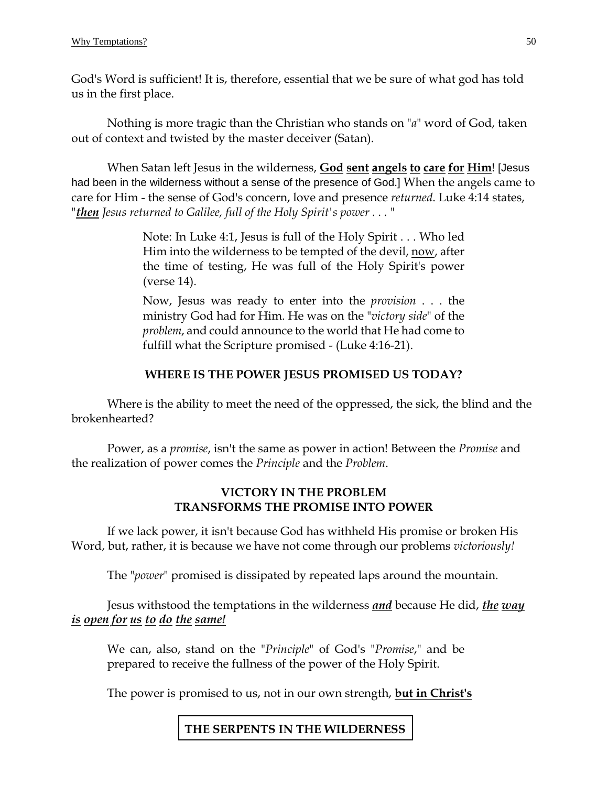God's Word is sufficient! It is, therefore, essential that we be sure of what god has told us in the first place.

Nothing is more tragic than the Christian who stands on "*a*" word of God, taken out of context and twisted by the master deceiver (Satan).

When Satan left Jesus in the wilderness, **God sent angels to care for Him**! [Jesus had been in the wilderness without a sense of the presence of God.] When the angels came to care for Him - the sense of God's concern, love and presence *returned*. Luke 4:14 states, "*then Jesus returned to Galilee, full of the Holy Spirit's power . . .* "

> Note: In Luke 4:1, Jesus is full of the Holy Spirit . . . Who led Him into the wilderness to be tempted of the devil, now, after the time of testing, He was full of the Holy Spirit's power (verse 14).

> Now, Jesus was ready to enter into the *provision* . . . the ministry God had for Him. He was on the "*victory side*" of the *problem*, and could announce to the world that He had come to fulfill what the Scripture promised - (Luke 4:16-21).

#### **WHERE IS THE POWER JESUS PROMISED US TODAY?**

Where is the ability to meet the need of the oppressed, the sick, the blind and the brokenhearted?

Power, as a *promise*, isn't the same as power in action! Between the *Promise* and the realization of power comes the *Principle* and the *Problem*.

#### **VICTORY IN THE PROBLEM TRANSFORMS THE PROMISE INTO POWER**

If we lack power, it isn't because God has withheld His promise or broken His Word, but, rather, it is because we have not come through our problems *victoriously!* 

The "*power*" promised is dissipated by repeated laps around the mountain.

Jesus withstood the temptations in the wilderness *and* because He did, *the way is open for us to do the same!*

We can, also, stand on the "*Principle*" of God's "*Promise*," and be prepared to receive the fullness of the power of the Holy Spirit.

The power is promised to us, not in our own strength, **but in Christ's**

#### **THE SERPENTS IN THE WILDERNESS**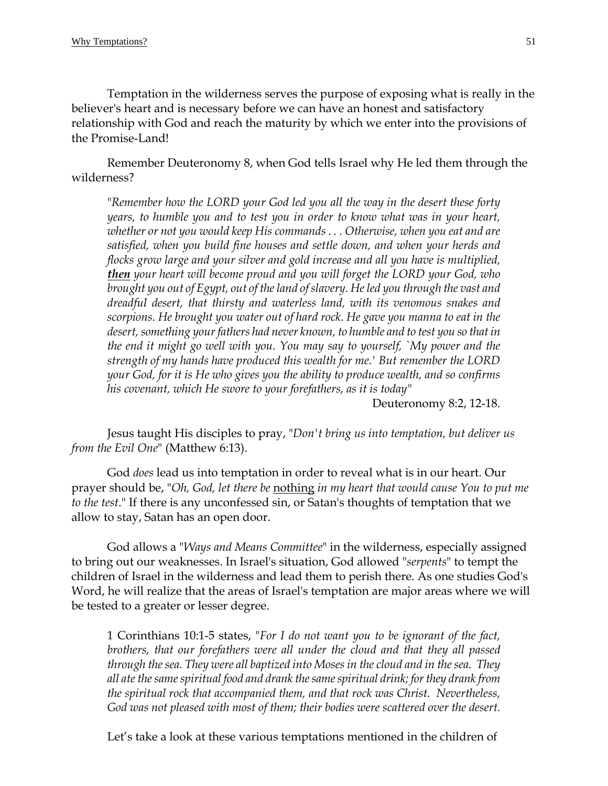Temptation in the wilderness serves the purpose of exposing what is really in the believer's heart and is necessary before we can have an honest and satisfactory relationship with God and reach the maturity by which we enter into the provisions of the Promise-Land!

Remember Deuteronomy 8, when God tells Israel why He led them through the wilderness?

"*Remember how the LORD your God led you all the way in the desert these forty years, to humble you and to test you in order to know what was in your heart, whether or not you would keep His commands . . . Otherwise, when you eat and are satisfied, when you build fine houses and settle down, and when your herds and flocks grow large and your silver and gold increase and all you have is multiplied, then your heart will become proud and you will forget the LORD your God, who brought you out of Egypt, out of the land of slavery. He led you through the vast and dreadful desert, that thirsty and waterless land, with its venomous snakes and scorpions. He brought you water out of hard rock. He gave you manna to eat in the desert, something your fathers had never known, to humble and to test you so that in the end it might go well with you. You may say to yourself, `My power and the strength of my hands have produced this wealth for me.' But remember the LORD your God, for it is He who gives you the ability to produce wealth, and so confirms his covenant, which He swore to your forefathers, as it is today"* 

Deuteronomy 8:2, 12-18.

Jesus taught His disciples to pray, "*Don't bring us into temptation, but deliver us from the Evil One*" (Matthew 6:13).

God *does* lead us into temptation in order to reveal what is in our heart. Our prayer should be, "*Oh, God, let there be* nothing *in my heart that would cause You to put me to the test*." If there is any unconfessed sin, or Satan's thoughts of temptation that we allow to stay, Satan has an open door.

God allows a "*Ways and Means Committee*" in the wilderness, especially assigned to bring out our weaknesses. In Israel's situation, God allowed "*serpents*" to tempt the children of Israel in the wilderness and lead them to perish there. As one studies God's Word, he will realize that the areas of Israel's temptation are major areas where we will be tested to a greater or lesser degree.

1 Corinthians 10:1-5 states, "*For I do not want you to be ignorant of the fact, brothers, that our forefathers were all under the cloud and that they all passed through the sea. They were all baptized into Moses in the cloud and in the sea. They all ate the same spiritual food and drank the same spiritual drink; for they drank from the spiritual rock that accompanied them, and that rock was Christ. Nevertheless, God was not pleased with most of them; their bodies were scattered over the desert.* 

Let's take a look at these various temptations mentioned in the children of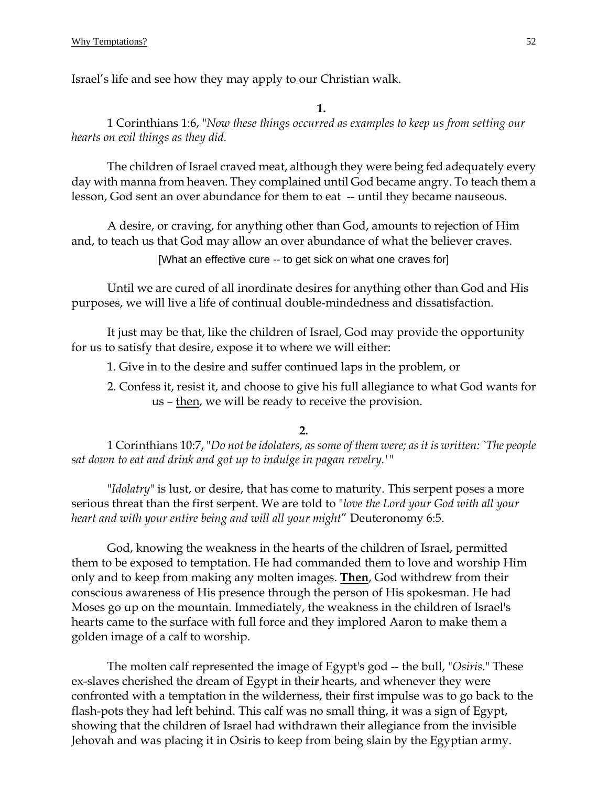Israel's life and see how they may apply to our Christian walk.

**1.** 

1 Corinthians 1:6, "*Now these things occurred as examples to keep us from setting our hearts on evil things as they did.* 

The children of Israel craved meat, although they were being fed adequately every day with manna from heaven. They complained until God became angry. To teach them a lesson, God sent an over abundance for them to eat -- until they became nauseous.

A desire, or craving, for anything other than God, amounts to rejection of Him and, to teach us that God may allow an over abundance of what the believer craves.

[What an effective cure -- to get sick on what one craves for]

Until we are cured of all inordinate desires for anything other than God and His purposes, we will live a life of continual double-mindedness and dissatisfaction.

It just may be that, like the children of Israel, God may provide the opportunity for us to satisfy that desire, expose it to where we will either:

1. Give in to the desire and suffer continued laps in the problem, or

2. Confess it, resist it, and choose to give his full allegiance to what God wants for us – then, we will be ready to receive the provision.

**2.** 

1 Corinthians 10:7, "*Do not be idolaters, as some of them were; as it is written: `The people sat down to eat and drink and got up to indulge in pagan revelry.'"* 

"*Idolatry*" is lust, or desire, that has come to maturity. This serpent poses a more serious threat than the first serpent. We are told to "*love the Lord your God with all your heart and with your entire being and will all your might*" Deuteronomy 6:5.

God, knowing the weakness in the hearts of the children of Israel, permitted them to be exposed to temptation. He had commanded them to love and worship Him only and to keep from making any molten images. **Then**, God withdrew from their conscious awareness of His presence through the person of His spokesman. He had Moses go up on the mountain. Immediately, the weakness in the children of Israel's hearts came to the surface with full force and they implored Aaron to make them a golden image of a calf to worship.

The molten calf represented the image of Egypt's god -- the bull, "*Osiris*." These ex-slaves cherished the dream of Egypt in their hearts, and whenever they were confronted with a temptation in the wilderness, their first impulse was to go back to the flash-pots they had left behind. This calf was no small thing, it was a sign of Egypt, showing that the children of Israel had withdrawn their allegiance from the invisible Jehovah and was placing it in Osiris to keep from being slain by the Egyptian army.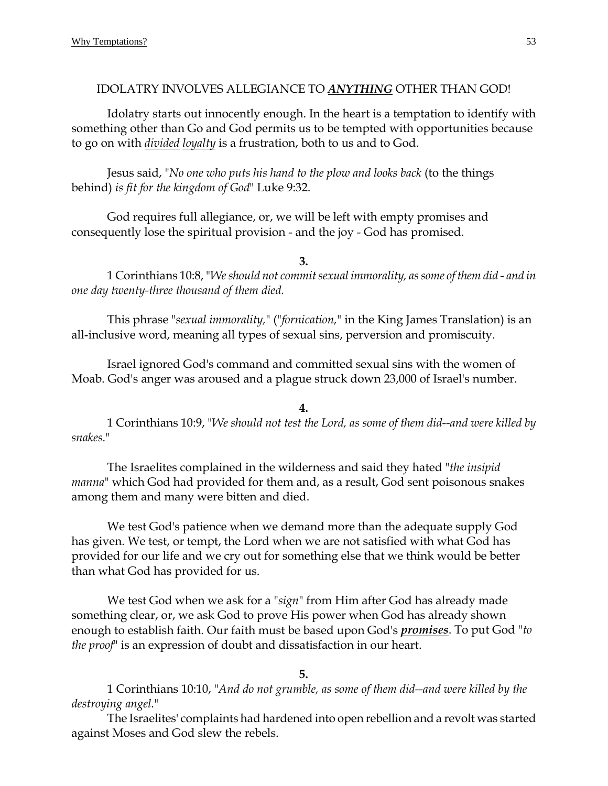#### IDOLATRY INVOLVES ALLEGIANCE TO *ANYTHING* OTHER THAN GOD!

Idolatry starts out innocently enough. In the heart is a temptation to identify with something other than Go and God permits us to be tempted with opportunities because to go on with *divided loyalty* is a frustration, both to us and to God.

Jesus said, "*No one who puts his hand to the plow and looks back* (to the things behind) *is fit for the kingdom of God*" Luke 9:32.

God requires full allegiance, or, we will be left with empty promises and consequently lose the spiritual provision - and the joy - God has promised.

**3.** 

1 Corinthians 10:8, "*We should not commit sexual immorality, as some of them did - and in one day twenty-three thousand of them died.* 

This phrase "*sexual immorality,*" ("*fornication,*" in the King James Translation) is an all-inclusive word, meaning all types of sexual sins, perversion and promiscuity.

Israel ignored God's command and committed sexual sins with the women of Moab. God's anger was aroused and a plague struck down 23,000 of Israel's number.

**4.** 

1 Corinthians 10:9, "*We should not test the Lord, as some of them did--and were killed by snakes.*"

The Israelites complained in the wilderness and said they hated "*the insipid manna*" which God had provided for them and, as a result, God sent poisonous snakes among them and many were bitten and died.

We test God's patience when we demand more than the adequate supply God has given. We test, or tempt, the Lord when we are not satisfied with what God has provided for our life and we cry out for something else that we think would be better than what God has provided for us.

We test God when we ask for a "*sign*" from Him after God has already made something clear, or, we ask God to prove His power when God has already shown enough to establish faith. Our faith must be based upon God's *promises*. To put God "*to the proof*" is an expression of doubt and dissatisfaction in our heart.

**5.** 

1 Corinthians 10:10, "*And do not grumble, as some of them did--and were killed by the destroying angel.*"

The Israelites' complaints had hardened into open rebellion and a revolt was started against Moses and God slew the rebels.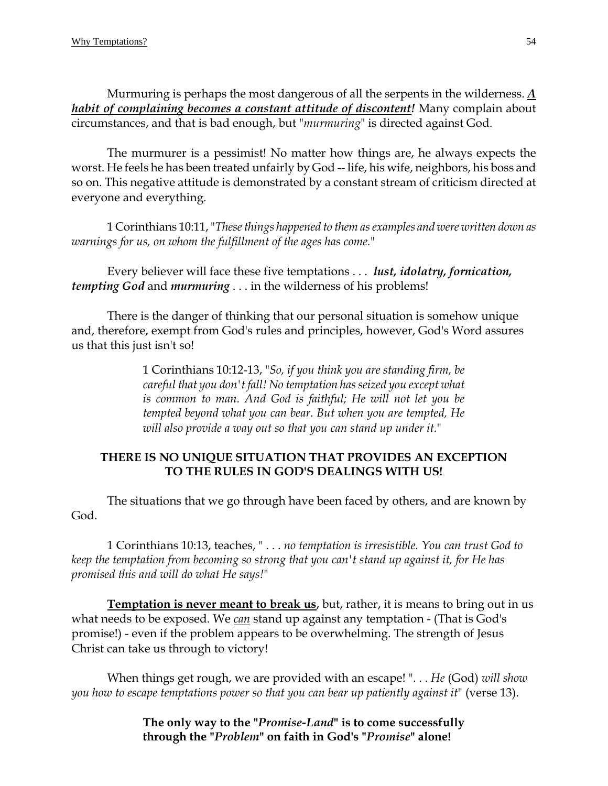Murmuring is perhaps the most dangerous of all the serpents in the wilderness. *A habit of complaining becomes a constant attitude of discontent!* Many complain about circumstances, and that is bad enough, but "*murmuring*" is directed against God.

The murmurer is a pessimist! No matter how things are, he always expects the worst. He feels he has been treated unfairly by God -- life, his wife, neighbors, his boss and so on. This negative attitude is demonstrated by a constant stream of criticism directed at everyone and everything.

1 Corinthians 10:11, "*These things happened to them as examples and were written down as warnings for us, on whom the fulfillment of the ages has come.*"

Every believer will face these five temptations . . . *lust, idolatry, fornication, tempting God* and *murmuring* . . . in the wilderness of his problems!

There is the danger of thinking that our personal situation is somehow unique and, therefore, exempt from God's rules and principles, however, God's Word assures us that this just isn't so!

> 1 Corinthians 10:12-13, "*So, if you think you are standing firm, be careful that you don't fall! No temptation has seized you except what is common to man. And God is faithful; He will not let you be tempted beyond what you can bear. But when you are tempted, He will also provide a way out so that you can stand up under it.*"

#### **THERE IS NO UNIQUE SITUATION THAT PROVIDES AN EXCEPTION TO THE RULES IN GOD'S DEALINGS WITH US!**

The situations that we go through have been faced by others, and are known by God.

1 Corinthians 10:13, teaches, " . . . *no temptation is irresistible. You can trust God to keep the temptation from becoming so strong that you can't stand up against it, for He has promised this and will do what He says!*"

**Temptation is never meant to break us**, but, rather, it is means to bring out in us what needs to be exposed. We *can* stand up against any temptation - (That is God's promise!) - even if the problem appears to be overwhelming. The strength of Jesus Christ can take us through to victory!

When things get rough, we are provided with an escape! ". . . *He* (God) *will show you how to escape temptations power so that you can bear up patiently against it*" (verse 13).

> **The only way to the "***Promise-Land***" is to come successfully through the "***Problem***" on faith in God's "***Promise***" alone!**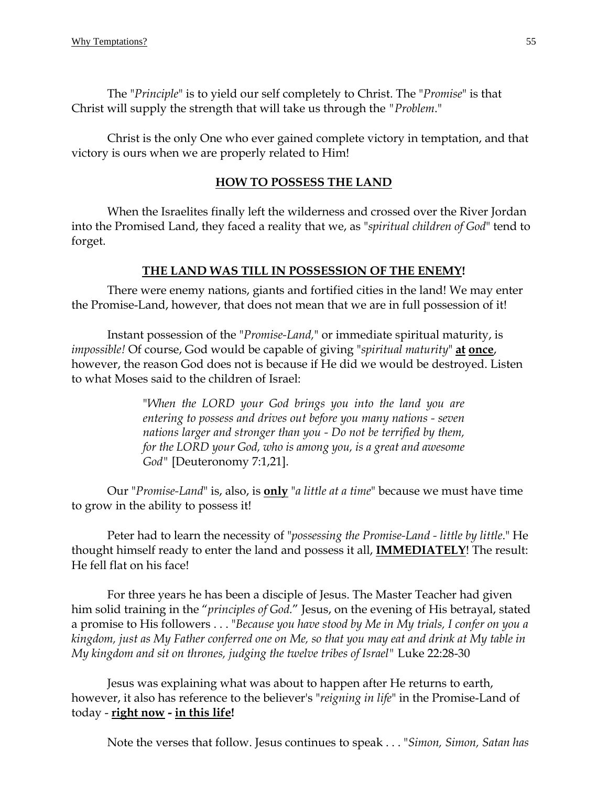The "*Principle*" is to yield our self completely to Christ. The "*Promise*" is that Christ will supply the strength that will take us through the *"Problem*."

Christ is the only One who ever gained complete victory in temptation, and that victory is ours when we are properly related to Him!

#### **HOW TO POSSESS THE LAND**

When the Israelites finally left the wilderness and crossed over the River Jordan into the Promised Land, they faced a reality that we, as "*spiritual children of God*" tend to forget.

#### **THE LAND WAS TILL IN POSSESSION OF THE ENEMY!**

There were enemy nations, giants and fortified cities in the land! We may enter the Promise-Land, however, that does not mean that we are in full possession of it!

Instant possession of the "*Promise-Land,*" or immediate spiritual maturity, is *impossible!* Of course, God would be capable of giving "*spiritual maturity*" **at once**, however, the reason God does not is because if He did we would be destroyed. Listen to what Moses said to the children of Israel:

> "*When the LORD your God brings you into the land you are entering to possess and drives out before you many nations - seven nations larger and stronger than you - Do not be terrified by them, for the LORD your God, who is among you, is a great and awesome God"* [Deuteronomy 7:1,21].

Our "*Promise-Land*" is, also, is **only** "*a little at a time*" because we must have time to grow in the ability to possess it!

Peter had to learn the necessity of "*possessing the Promise-Land - little by little*." He thought himself ready to enter the land and possess it all, **IMMEDIATELY**! The result: He fell flat on his face!

For three years he has been a disciple of Jesus. The Master Teacher had given him solid training in the "*principles of God.*" Jesus, on the evening of His betrayal, stated a promise to His followers . . . "*Because you have stood by Me in My trials, I confer on you a kingdom, just as My Father conferred one on Me, so that you may eat and drink at My table in My kingdom and sit on thrones, judging the twelve tribes of Israel"* Luke 22:28-30

Jesus was explaining what was about to happen after He returns to earth, however, it also has reference to the believer's "*reigning in life*" in the Promise-Land of today - **right now - in this life!**

Note the verses that follow. Jesus continues to speak . . . "*Simon, Simon, Satan has*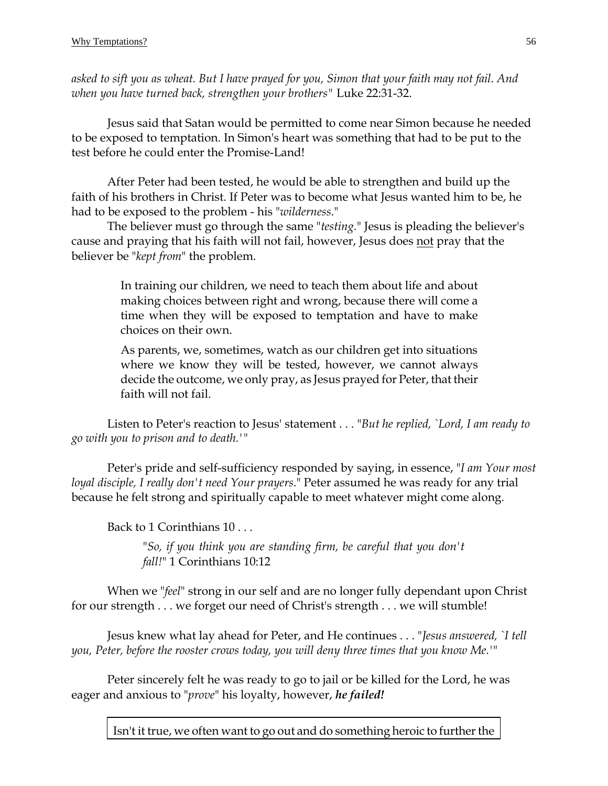*asked to sift you as wheat. But I have prayed for you, Simon that your faith may not fail. And when you have turned back, strengthen your brothers"* Luke 22:31-32.

Jesus said that Satan would be permitted to come near Simon because he needed to be exposed to temptation. In Simon's heart was something that had to be put to the test before he could enter the Promise-Land!

After Peter had been tested, he would be able to strengthen and build up the faith of his brothers in Christ. If Peter was to become what Jesus wanted him to be, he had to be exposed to the problem - his "*wilderness*."

The believer must go through the same "*testing.*" Jesus is pleading the believer's cause and praying that his faith will not fail, however, Jesus does not pray that the believer be "*kept from*" the problem.

> In training our children, we need to teach them about life and about making choices between right and wrong, because there will come a time when they will be exposed to temptation and have to make choices on their own.

> As parents, we, sometimes, watch as our children get into situations where we know they will be tested, however, we cannot always decide the outcome, we only pray, as Jesus prayed for Peter, that their faith will not fail.

Listen to Peter's reaction to Jesus' statement . . . "*But he replied, `Lord, I am ready to go with you to prison and to death.'"* 

Peter's pride and self-sufficiency responded by saying, in essence, "*I am Your most loyal disciple, I really don't need Your prayers*." Peter assumed he was ready for any trial because he felt strong and spiritually capable to meet whatever might come along.

Back to 1 Corinthians 10 . . .

"*So, if you think you are standing firm, be careful that you don't fall!*" 1 Corinthians 10:12

When we "*feel*" strong in our self and are no longer fully dependant upon Christ for our strength . . . we forget our need of Christ's strength . . . we will stumble!

Jesus knew what lay ahead for Peter, and He continues . . . "*Jesus answered, `I tell you, Peter, before the rooster crows today, you will deny three times that you know Me.'*"

Peter sincerely felt he was ready to go to jail or be killed for the Lord, he was eager and anxious to "*prove*" his loyalty, however, *he failed!*

Isn't it true, we often want to go out and do something heroic to further the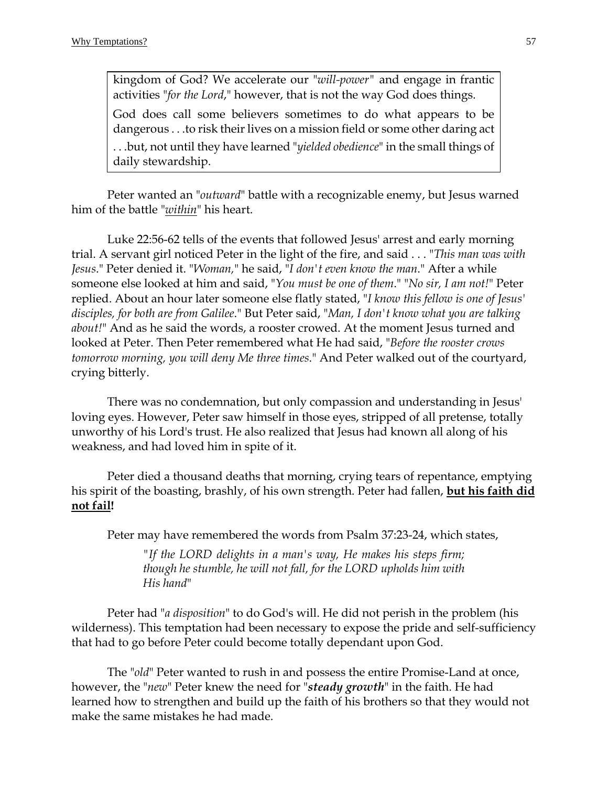kingdom of God? We accelerate our "*will-power"* and engage in frantic activities "*for the Lord*," however, that is not the way God does things.

God does call some believers sometimes to do what appears to be dangerous . . .to risk their lives on a mission field or some other daring act . . .but, not until they have learned "*yielded obedience*" in the small things of daily stewardship.

Peter wanted an "*outward*" battle with a recognizable enemy, but Jesus warned him of the battle "*within*" his heart.

Luke 22:56-62 tells of the events that followed Jesus' arrest and early morning trial. A servant girl noticed Peter in the light of the fire, and said . . . "*This man was with Jesus*." Peter denied it. "*Woman,*" he said, "*I don't even know the man*." After a while someone else looked at him and said, "*You must be one of them*." "*No sir, I am not!*" Peter replied. About an hour later someone else flatly stated, "*I know this fellow is one of Jesus' disciples, for both are from Galilee*." But Peter said, "*Man, I don't know what you are talking about!*" And as he said the words, a rooster crowed. At the moment Jesus turned and looked at Peter. Then Peter remembered what He had said, "*Before the rooster crows tomorrow morning, you will deny Me three times*." And Peter walked out of the courtyard, crying bitterly.

There was no condemnation, but only compassion and understanding in Jesus' loving eyes. However, Peter saw himself in those eyes, stripped of all pretense, totally unworthy of his Lord's trust. He also realized that Jesus had known all along of his weakness, and had loved him in spite of it.

Peter died a thousand deaths that morning, crying tears of repentance, emptying his spirit of the boasting, brashly, of his own strength. Peter had fallen, **but his faith did not fail!**

Peter may have remembered the words from Psalm 37:23-24, which states,

*"If the LORD delights in a man's way, He makes his steps firm; though he stumble, he will not fall, for the LORD upholds him with His hand*"

Peter had "*a disposition*" to do God's will. He did not perish in the problem (his wilderness). This temptation had been necessary to expose the pride and self-sufficiency that had to go before Peter could become totally dependant upon God.

The "*old*" Peter wanted to rush in and possess the entire Promise-Land at once, however, the "*new*" Peter knew the need for "*steady growth*" in the faith. He had learned how to strengthen and build up the faith of his brothers so that they would not make the same mistakes he had made.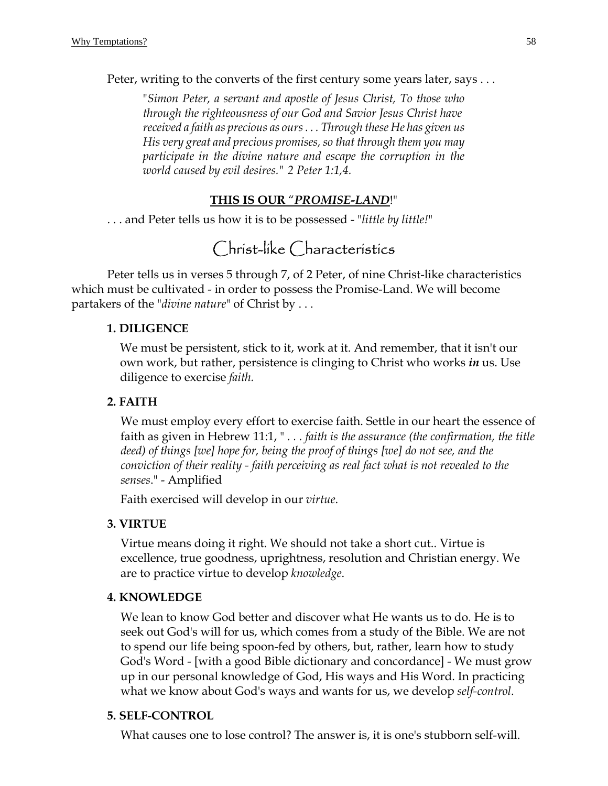Peter, writing to the converts of the first century some years later, says . . .

"*Simon Peter, a servant and apostle of Jesus Christ, To those who through the righteousness of our God and Savior Jesus Christ have received a faith as precious as ours . . . Through these He has given us His very great and precious promises, so that through them you may participate in the divine nature and escape the corruption in the world caused by evil desires." 2 Peter 1:1,4.* 

#### **THIS IS OUR** "*PROMISE-LAND*!"

. . . and Peter tells us how it is to be possessed - "*little by little!*"

# Christ-like Characteristics

Peter tells us in verses 5 through 7, of 2 Peter, of nine Christ-like characteristics which must be cultivated - in order to possess the Promise-Land. We will become partakers of the "*divine nature*" of Christ by . . .

#### **1. DILIGENCE**

We must be persistent, stick to it, work at it. And remember, that it isn't our own work, but rather, persistence is clinging to Christ who works *in* us. Use diligence to exercise *faith.*

#### **2. FAITH**

We must employ every effort to exercise faith. Settle in our heart the essence of faith as given in Hebrew 11:1, " *. . . faith is the assurance (the confirmation, the title deed) of things [we] hope for, being the proof of things [we] do not see, and the conviction of their reality - faith perceiving as real fact what is not revealed to the senses*." - Amplified

Faith exercised will develop in our *virtue*.

#### **3. VIRTUE**

Virtue means doing it right. We should not take a short cut.. Virtue is excellence, true goodness, uprightness, resolution and Christian energy. We are to practice virtue to develop *knowledge*.

#### **4. KNOWLEDGE**

We lean to know God better and discover what He wants us to do. He is to seek out God's will for us, which comes from a study of the Bible. We are not to spend our life being spoon-fed by others, but, rather, learn how to study God's Word - [with a good Bible dictionary and concordance] - We must grow up in our personal knowledge of God, His ways and His Word. In practicing what we know about God's ways and wants for us, we develop *self-control*.

#### **5. SELF-CONTROL**

What causes one to lose control? The answer is, it is one's stubborn self-will.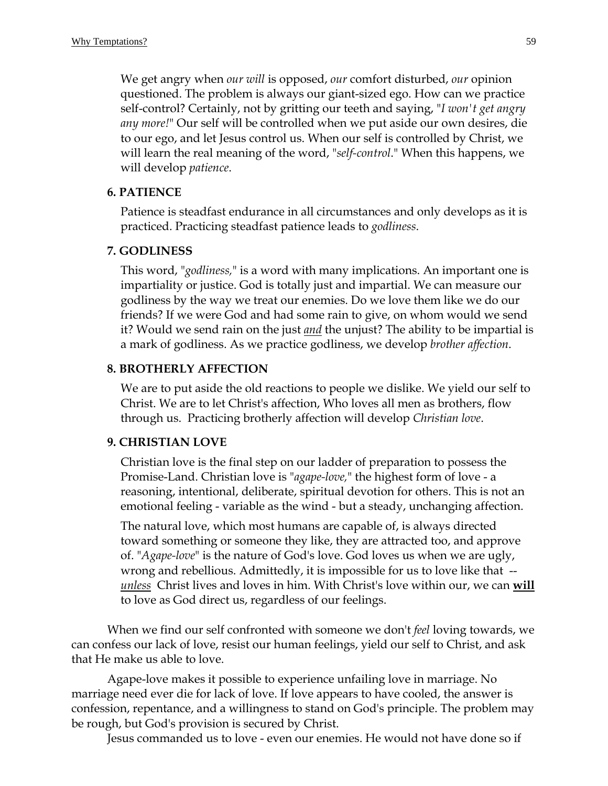We get angry when *our will* is opposed, *our* comfort disturbed, *our* opinion questioned. The problem is always our giant-sized ego. How can we practice self-control? Certainly, not by gritting our teeth and saying, "*I won't get angry any more!*" Our self will be controlled when we put aside our own desires, die to our ego, and let Jesus control us. When our self is controlled by Christ, we will learn the real meaning of the word, "*self-control*." When this happens, we will develop *patience*.

#### **6. PATIENCE**

Patience is steadfast endurance in all circumstances and only develops as it is practiced. Practicing steadfast patience leads to *godliness*.

#### **7. GODLINESS**

This word, "*godliness,*" is a word with many implications. An important one is impartiality or justice. God is totally just and impartial. We can measure our godliness by the way we treat our enemies. Do we love them like we do our friends? If we were God and had some rain to give, on whom would we send it? Would we send rain on the just *and* the unjust? The ability to be impartial is a mark of godliness. As we practice godliness, we develop *brother affection*.

#### **8. BROTHERLY AFFECTION**

We are to put aside the old reactions to people we dislike. We yield our self to Christ. We are to let Christ's affection, Who loves all men as brothers, flow through us. Practicing brotherly affection will develop *Christian love*.

#### **9. CHRISTIAN LOVE**

Christian love is the final step on our ladder of preparation to possess the Promise-Land. Christian love is "*agape-love,*" the highest form of love - a reasoning, intentional, deliberate, spiritual devotion for others. This is not an emotional feeling - variable as the wind - but a steady, unchanging affection.

The natural love, which most humans are capable of, is always directed toward something or someone they like, they are attracted too, and approve of. "*Agape-love*" is the nature of God's love. God loves us when we are ugly, wrong and rebellious. Admittedly, it is impossible for us to love like that - *unless* Christ lives and loves in him. With Christ's love within our, we can **will** to love as God direct us, regardless of our feelings.

When we find our self confronted with someone we don't *feel* loving towards, we can confess our lack of love, resist our human feelings, yield our self to Christ, and ask that He make us able to love.

Agape-love makes it possible to experience unfailing love in marriage. No marriage need ever die for lack of love. If love appears to have cooled, the answer is confession, repentance, and a willingness to stand on God's principle. The problem may be rough, but God's provision is secured by Christ.

Jesus commanded us to love - even our enemies. He would not have done so if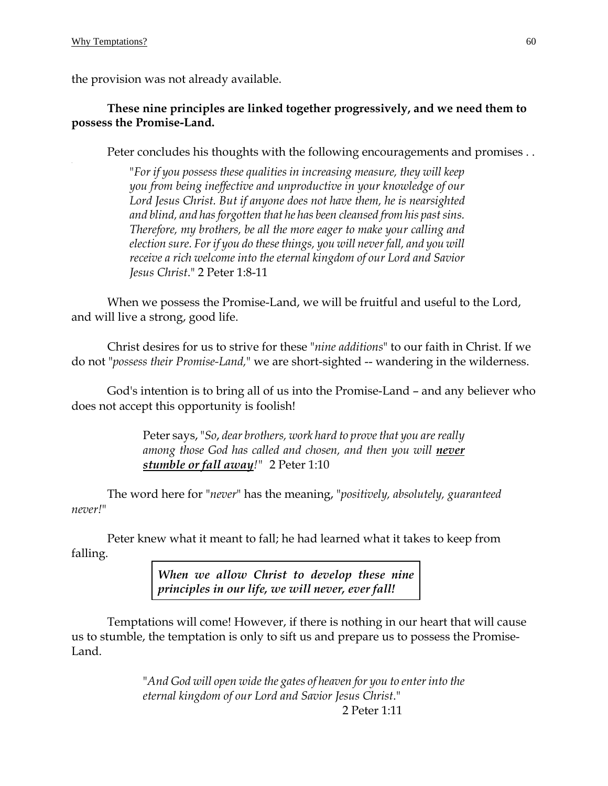the provision was not already available.

#### **These nine principles are linked together progressively, and we need them to possess the Promise-Land.**

Peter concludes his thoughts with the following encouragements and promises . . .

"*For if you possess these qualities in increasing measure, they will keep you from being ineffective and unproductive in your knowledge of our Lord Jesus Christ. But if anyone does not have them, he is nearsighted and blind, and has forgotten that he has been cleansed from his past sins. Therefore, my brothers, be all the more eager to make your calling and election sure. For if you do these things, you will never fall, and you will receive a rich welcome into the eternal kingdom of our Lord and Savior Jesus Christ*." 2 Peter 1:8-11

When we possess the Promise-Land, we will be fruitful and useful to the Lord, and will live a strong, good life.

Christ desires for us to strive for these "*nine additions*" to our faith in Christ. If we do not "*possess their Promise-Land,*" we are short-sighted -- wandering in the wilderness.

God's intention is to bring all of us into the Promise-Land – and any believer who does not accept this opportunity is foolish!

> Peter says, "*So*, *dear brothers, work hard to prove that you are really*  among those God has called and chosen, and then you will never *stumble or fall away!"* 2 Peter 1:10

The word here for "*never*" has the meaning, "*positively, absolutely, guaranteed never!*"

Peter knew what it meant to fall; he had learned what it takes to keep from falling.

> *When we allow Christ to develop these nine principles in our life, we will never, ever fall!*

Temptations will come! However, if there is nothing in our heart that will cause us to stumble, the temptation is only to sift us and prepare us to possess the Promise-Land.

> "*And God will open wide the gates of heaven for you to enter into the eternal kingdom of our Lord and Savior Jesus Christ*." 2 Peter 1:11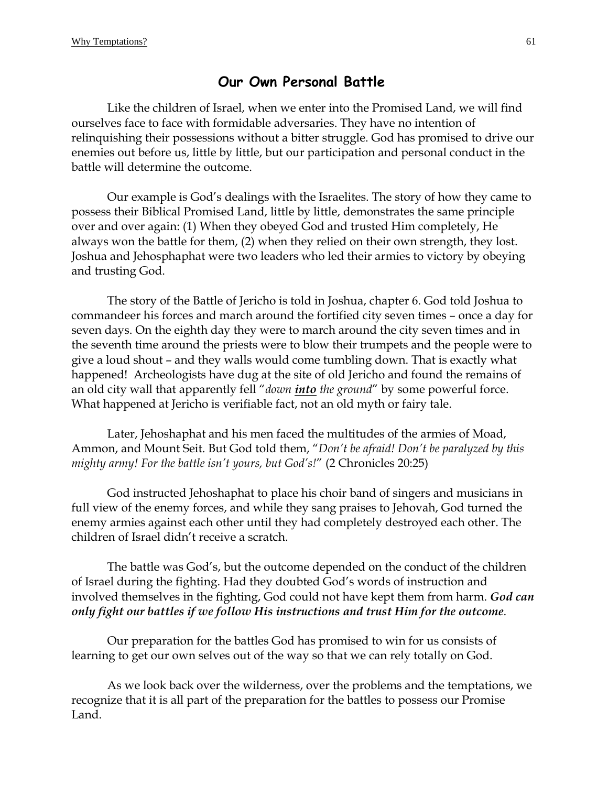## **Our Own Personal Battle**

Like the children of Israel, when we enter into the Promised Land, we will find ourselves face to face with formidable adversaries. They have no intention of relinquishing their possessions without a bitter struggle. God has promised to drive our enemies out before us, little by little, but our participation and personal conduct in the battle will determine the outcome.

Our example is God's dealings with the Israelites. The story of how they came to possess their Biblical Promised Land, little by little, demonstrates the same principle over and over again: (1) When they obeyed God and trusted Him completely, He always won the battle for them, (2) when they relied on their own strength, they lost. Joshua and Jehosphaphat were two leaders who led their armies to victory by obeying and trusting God.

The story of the Battle of Jericho is told in Joshua, chapter 6. God told Joshua to commandeer his forces and march around the fortified city seven times – once a day for seven days. On the eighth day they were to march around the city seven times and in the seventh time around the priests were to blow their trumpets and the people were to give a loud shout – and they walls would come tumbling down. That is exactly what happened! Archeologists have dug at the site of old Jericho and found the remains of an old city wall that apparently fell "*down into the ground*" by some powerful force. What happened at Jericho is verifiable fact, not an old myth or fairy tale.

Later, Jehoshaphat and his men faced the multitudes of the armies of Moad, Ammon, and Mount Seit. But God told them, "*Don't be afraid! Don't be paralyzed by this mighty army! For the battle isn't yours, but God's!*" (2 Chronicles 20:25)

God instructed Jehoshaphat to place his choir band of singers and musicians in full view of the enemy forces, and while they sang praises to Jehovah, God turned the enemy armies against each other until they had completely destroyed each other. The children of Israel didn't receive a scratch.

The battle was God's, but the outcome depended on the conduct of the children of Israel during the fighting. Had they doubted God's words of instruction and involved themselves in the fighting, God could not have kept them from harm. *God can only fight our battles if we follow His instructions and trust Him for the outcome*.

Our preparation for the battles God has promised to win for us consists of learning to get our own selves out of the way so that we can rely totally on God.

As we look back over the wilderness, over the problems and the temptations, we recognize that it is all part of the preparation for the battles to possess our Promise Land.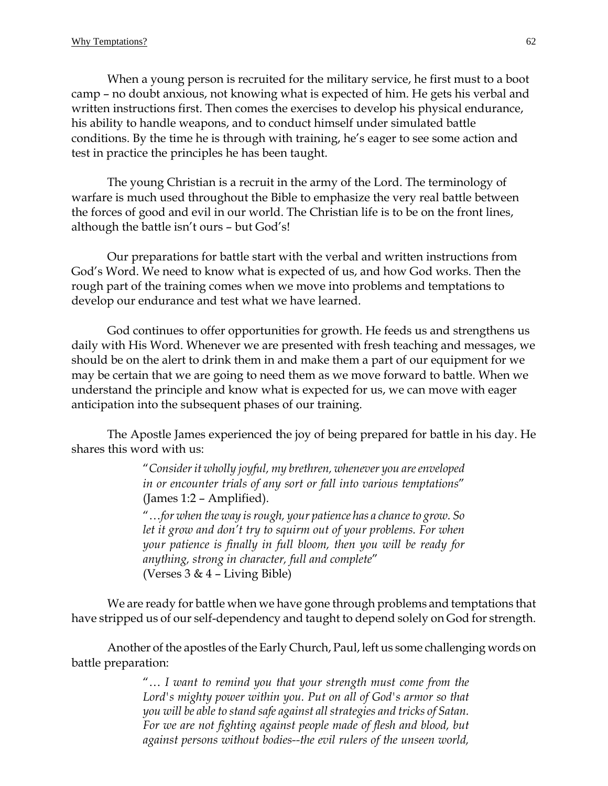When a young person is recruited for the military service, he first must to a boot camp – no doubt anxious, not knowing what is expected of him. He gets his verbal and written instructions first. Then comes the exercises to develop his physical endurance, his ability to handle weapons, and to conduct himself under simulated battle conditions. By the time he is through with training, he's eager to see some action and test in practice the principles he has been taught.

The young Christian is a recruit in the army of the Lord. The terminology of warfare is much used throughout the Bible to emphasize the very real battle between the forces of good and evil in our world. The Christian life is to be on the front lines, although the battle isn't ours – but God's!

Our preparations for battle start with the verbal and written instructions from God's Word. We need to know what is expected of us, and how God works. Then the rough part of the training comes when we move into problems and temptations to develop our endurance and test what we have learned.

God continues to offer opportunities for growth. He feeds us and strengthens us daily with His Word. Whenever we are presented with fresh teaching and messages, we should be on the alert to drink them in and make them a part of our equipment for we may be certain that we are going to need them as we move forward to battle. When we understand the principle and know what is expected for us, we can move with eager anticipation into the subsequent phases of our training.

The Apostle James experienced the joy of being prepared for battle in his day. He shares this word with us:

> "*Consider it wholly joyful, my brethren, whenever you are enveloped in or encounter trials of any sort or fall into various temptations*" (James 1:2 – Amplified).

> "…*for when the way is rough, your patience has a chance to grow. So*  let it grow and don't try to squirm out of your problems. For when *your patience is finally in full bloom, then you will be ready for anything, strong in character, full and complete*" (Verses 3 & 4 – Living Bible)

We are ready for battle when we have gone through problems and temptations that have stripped us of our self-dependency and taught to depend solely on God for strength.

Another of the apostles of the Early Church, Paul, left us some challenging words on battle preparation:

> "… *I want to remind you that your strength must come from the Lord's mighty power within you. Put on all of God's armor so that you will be able to stand safe against all strategies and tricks of Satan. For we are not fighting against people made of flesh and blood, but against persons without bodies--the evil rulers of the unseen world,*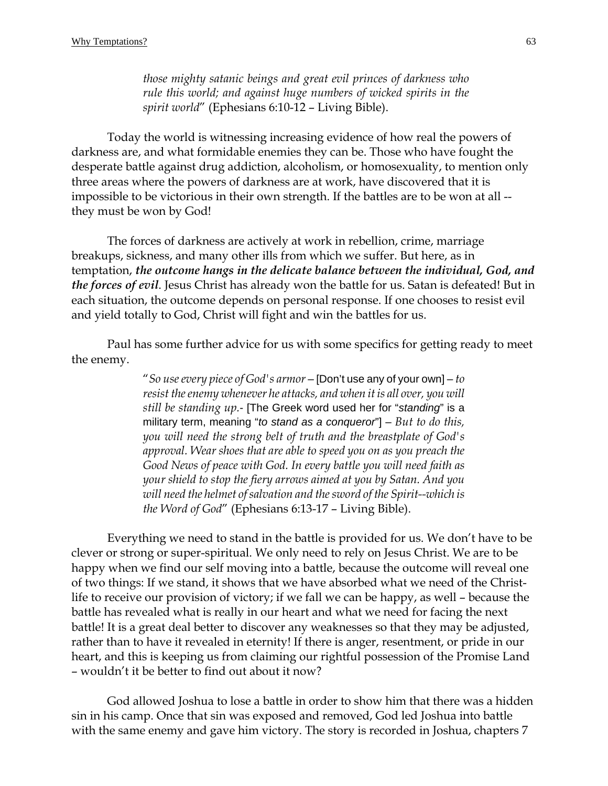*those mighty satanic beings and great evil princes of darkness who rule this world; and against huge numbers of wicked spirits in the spirit world*" (Ephesians 6:10-12 – Living Bible).

Today the world is witnessing increasing evidence of how real the powers of darkness are, and what formidable enemies they can be. Those who have fought the desperate battle against drug addiction, alcoholism, or homosexuality, to mention only three areas where the powers of darkness are at work, have discovered that it is impossible to be victorious in their own strength. If the battles are to be won at all - they must be won by God!

The forces of darkness are actively at work in rebellion, crime, marriage breakups, sickness, and many other ills from which we suffer. But here, as in temptation, *the outcome hangs in the delicate balance between the individual, God, and the forces of evil*. Jesus Christ has already won the battle for us. Satan is defeated! But in each situation, the outcome depends on personal response. If one chooses to resist evil and yield totally to God, Christ will fight and win the battles for us.

Paul has some further advice for us with some specifics for getting ready to meet the enemy.

> "*So use every piece of God's armor* – [Don't use any of your own] – *to*  resist the enemy whenever he attacks, and when it is all over, you will *still be standing up.*- [The Greek word used her for "*standing*" is a military term, meaning "*to stand as a conqueror*"] – *But to do this, you will need the strong belt of truth and the breastplate of God's approval. Wear shoes that are able to speed you on as you preach the Good News of peace with God. In every battle you will need faith as your shield to stop the fiery arrows aimed at you by Satan. And you will need the helmet of salvation and the sword of the Spirit--which is the Word of God*" (Ephesians 6:13-17 – Living Bible).

Everything we need to stand in the battle is provided for us. We don't have to be clever or strong or super-spiritual. We only need to rely on Jesus Christ. We are to be happy when we find our self moving into a battle, because the outcome will reveal one of two things: If we stand, it shows that we have absorbed what we need of the Christlife to receive our provision of victory; if we fall we can be happy, as well – because the battle has revealed what is really in our heart and what we need for facing the next battle! It is a great deal better to discover any weaknesses so that they may be adjusted, rather than to have it revealed in eternity! If there is anger, resentment, or pride in our heart, and this is keeping us from claiming our rightful possession of the Promise Land – wouldn't it be better to find out about it now?

God allowed Joshua to lose a battle in order to show him that there was a hidden sin in his camp. Once that sin was exposed and removed, God led Joshua into battle with the same enemy and gave him victory. The story is recorded in Joshua, chapters 7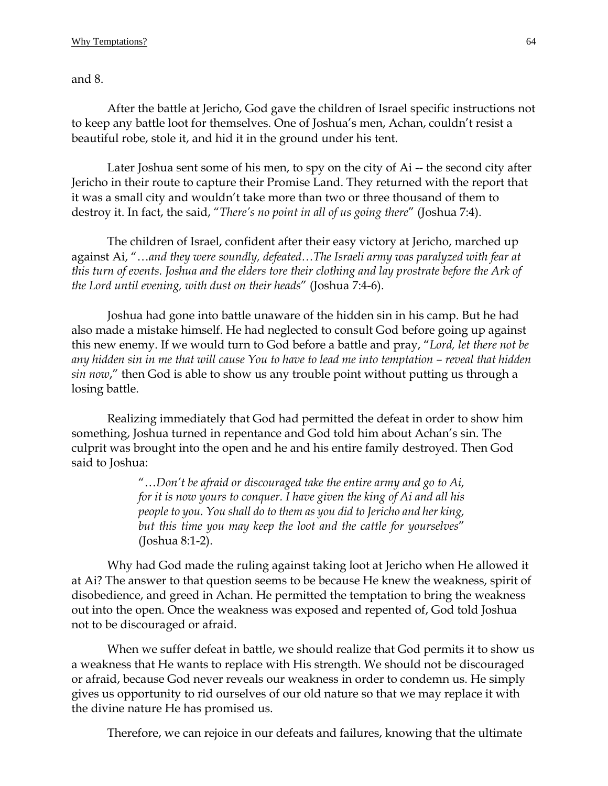and 8.

After the battle at Jericho, God gave the children of Israel specific instructions not to keep any battle loot for themselves. One of Joshua's men, Achan, couldn't resist a beautiful robe, stole it, and hid it in the ground under his tent.

Later Joshua sent some of his men, to spy on the city of Ai -- the second city after Jericho in their route to capture their Promise Land. They returned with the report that it was a small city and wouldn't take more than two or three thousand of them to destroy it. In fact, the said, "*There's no point in all of us going there*" (Joshua 7:4).

The children of Israel, confident after their easy victory at Jericho, marched up against Ai, "…*and they were soundly, defeated…The Israeli army was paralyzed with fear at this turn of events. Joshua and the elders tore their clothing and lay prostrate before the Ark of the Lord until evening, with dust on their heads*" (Joshua 7:4-6).

Joshua had gone into battle unaware of the hidden sin in his camp. But he had also made a mistake himself. He had neglected to consult God before going up against this new enemy. If we would turn to God before a battle and pray, "*Lord, let there not be any hidden sin in me that will cause You to have to lead me into temptation – reveal that hidden sin now*," then God is able to show us any trouble point without putting us through a losing battle.

Realizing immediately that God had permitted the defeat in order to show him something, Joshua turned in repentance and God told him about Achan's sin. The culprit was brought into the open and he and his entire family destroyed. Then God said to Joshua:

> "…*Don't be afraid or discouraged take the entire army and go to Ai, for it is now yours to conquer. I have given the king of Ai and all his people to you. You shall do to them as you did to Jericho and her king, but this time you may keep the loot and the cattle for yourselves*" (Joshua 8:1-2).

Why had God made the ruling against taking loot at Jericho when He allowed it at Ai? The answer to that question seems to be because He knew the weakness, spirit of disobedience, and greed in Achan. He permitted the temptation to bring the weakness out into the open. Once the weakness was exposed and repented of, God told Joshua not to be discouraged or afraid.

When we suffer defeat in battle, we should realize that God permits it to show us a weakness that He wants to replace with His strength. We should not be discouraged or afraid, because God never reveals our weakness in order to condemn us. He simply gives us opportunity to rid ourselves of our old nature so that we may replace it with the divine nature He has promised us.

Therefore, we can rejoice in our defeats and failures, knowing that the ultimate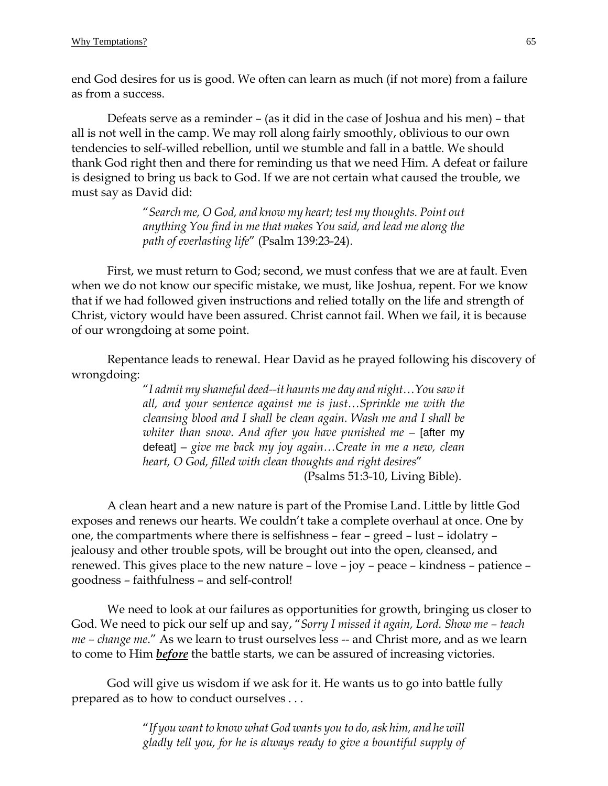end God desires for us is good. We often can learn as much (if not more) from a failure as from a success.

Defeats serve as a reminder – (as it did in the case of Joshua and his men) – that all is not well in the camp. We may roll along fairly smoothly, oblivious to our own tendencies to self-willed rebellion, until we stumble and fall in a battle. We should thank God right then and there for reminding us that we need Him. A defeat or failure is designed to bring us back to God. If we are not certain what caused the trouble, we must say as David did:

> "*Search me, O God, and know my heart; test my thoughts. Point out anything You find in me that makes You said, and lead me along the path of everlasting life*" (Psalm 139:23-24).

First, we must return to God; second, we must confess that we are at fault. Even when we do not know our specific mistake, we must, like Joshua, repent. For we know that if we had followed given instructions and relied totally on the life and strength of Christ, victory would have been assured. Christ cannot fail. When we fail, it is because of our wrongdoing at some point.

Repentance leads to renewal. Hear David as he prayed following his discovery of wrongdoing:

> "*I admit my shameful deed--it haunts me day and night…You saw it all, and your sentence against me is just…Sprinkle me with the cleansing blood and I shall be clean again. Wash me and I shall be whiter than snow. And after you have punished me* – [after my defeat] – *give me back my joy again…Create in me a new, clean heart, O God, filled with clean thoughts and right desires*" (Psalms 51:3-10, Living Bible).

A clean heart and a new nature is part of the Promise Land. Little by little God exposes and renews our hearts. We couldn't take a complete overhaul at once. One by one, the compartments where there is selfishness – fear – greed – lust – idolatry – jealousy and other trouble spots, will be brought out into the open, cleansed, and renewed. This gives place to the new nature – love – joy – peace – kindness – patience – goodness – faithfulness – and self-control!

We need to look at our failures as opportunities for growth, bringing us closer to God. We need to pick our self up and say, "*Sorry I missed it again, Lord. Show me – teach me – change me*." As we learn to trust ourselves less -- and Christ more, and as we learn to come to Him *before* the battle starts, we can be assured of increasing victories.

God will give us wisdom if we ask for it. He wants us to go into battle fully prepared as to how to conduct ourselves . . .

> "*If you want to know what God wants you to do, ask him, and he will gladly tell you, for he is always ready to give a bountiful supply of*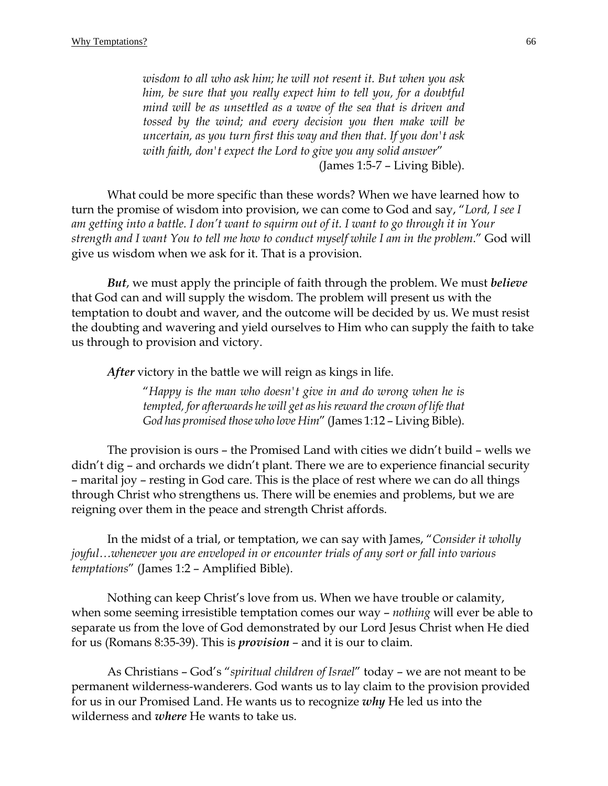*wisdom to all who ask him; he will not resent it. But when you ask him, be sure that you really expect him to tell you, for a doubtful mind will be as unsettled as a wave of the sea that is driven and tossed by the wind; and every decision you then make will be uncertain, as you turn first this way and then that. If you don't ask with faith, don't expect the Lord to give you any solid answer*" (James 1:5-7 – Living Bible).

What could be more specific than these words? When we have learned how to turn the promise of wisdom into provision, we can come to God and say, "*Lord, I see I am getting into a battle. I don't want to squirm out of it. I want to go through it in Your strength and I want You to tell me how to conduct myself while I am in the problem*." God will give us wisdom when we ask for it. That is a provision.

*But*, we must apply the principle of faith through the problem. We must *believe* that God can and will supply the wisdom. The problem will present us with the temptation to doubt and waver, and the outcome will be decided by us. We must resist the doubting and wavering and yield ourselves to Him who can supply the faith to take us through to provision and victory.

*After* victory in the battle we will reign as kings in life.

"*Happy is the man who doesn't give in and do wrong when he is tempted, for afterwards he will get as his reward the crown of life that God has promised those who love Him*" (James 1:12 – Living Bible).

The provision is ours – the Promised Land with cities we didn't build – wells we didn't dig – and orchards we didn't plant. There we are to experience financial security – marital joy – resting in God care. This is the place of rest where we can do all things through Christ who strengthens us. There will be enemies and problems, but we are reigning over them in the peace and strength Christ affords.

In the midst of a trial, or temptation, we can say with James, "*Consider it wholly joyful…whenever you are enveloped in or encounter trials of any sort or fall into various temptations*" (James 1:2 – Amplified Bible).

Nothing can keep Christ's love from us. When we have trouble or calamity, when some seeming irresistible temptation comes our way – *nothing* will ever be able to separate us from the love of God demonstrated by our Lord Jesus Christ when He died for us (Romans 8:35-39). This is *provision* – and it is our to claim.

As Christians – God's "*spiritual children of Israel*" today – we are not meant to be permanent wilderness-wanderers. God wants us to lay claim to the provision provided for us in our Promised Land. He wants us to recognize *why* He led us into the wilderness and *where* He wants to take us.